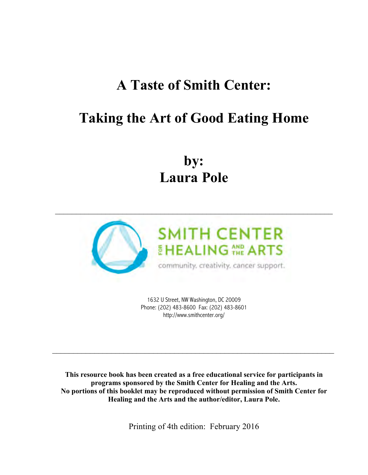# **A Taste of Smith Center:**

# **Taking the Art of Good Eating Home**

**by: Laura Pole**



1632 U Street, NW Washington, DC 20009 Phone: (202) 483-8600 Fax: (202) 483-8601 http://www.smithcenter.org/

 $\mathcal{L}_\text{max}$  , and the contract of the contract of the contract of the contract of the contract of the contract of the contract of the contract of the contract of the contract of the contract of the contract of the contr

**This resource book has been created as a free educational service for participants in programs sponsored by the Smith Center for Healing and the Arts. No portions of this booklet may be reproduced without permission of Smith Center for Healing and the Arts and the author/editor, Laura Pole.** 

Printing of 4th edition: February 2016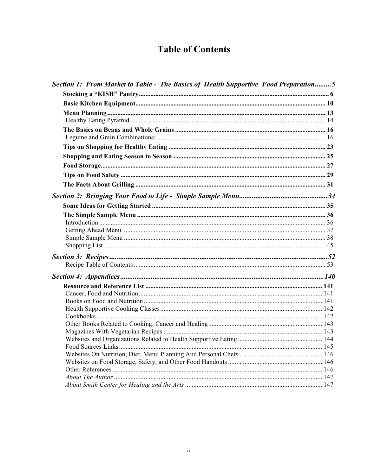# **Table of Contents**

| Section 1: From Market to Table - The Basics of Health Supportive Food Preparation5 |  |
|-------------------------------------------------------------------------------------|--|
|                                                                                     |  |
|                                                                                     |  |
|                                                                                     |  |
|                                                                                     |  |
|                                                                                     |  |
|                                                                                     |  |
|                                                                                     |  |
|                                                                                     |  |
|                                                                                     |  |
|                                                                                     |  |
|                                                                                     |  |
|                                                                                     |  |
|                                                                                     |  |
|                                                                                     |  |
|                                                                                     |  |
|                                                                                     |  |
|                                                                                     |  |
|                                                                                     |  |
|                                                                                     |  |
|                                                                                     |  |
|                                                                                     |  |
|                                                                                     |  |
|                                                                                     |  |
|                                                                                     |  |
|                                                                                     |  |
|                                                                                     |  |
|                                                                                     |  |
|                                                                                     |  |
|                                                                                     |  |
|                                                                                     |  |
|                                                                                     |  |
|                                                                                     |  |
|                                                                                     |  |
|                                                                                     |  |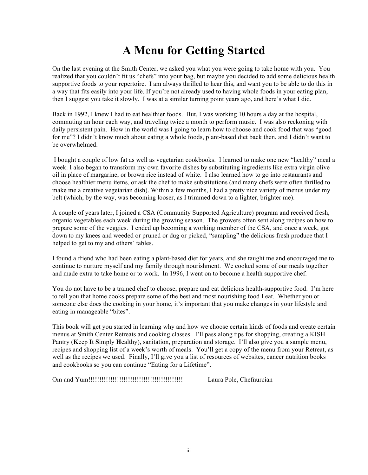# **A Menu for Getting Started**

On the last evening at the Smith Center, we asked you what you were going to take home with you. You realized that you couldn't fit us "chefs" into your bag, but maybe you decided to add some delicious health supportive foods to your repertoire. I am always thrilled to hear this, and want you to be able to do this in a way that fits easily into your life. If you're not already used to having whole foods in your eating plan, then I suggest you take it slowly. I was at a similar turning point years ago, and here's what I did.

Back in 1992, I knew I had to eat healthier foods. But, I was working 10 hours a day at the hospital, commuting an hour each way, and traveling twice a month to perform music. I was also reckoning with daily persistent pain. How in the world was I going to learn how to choose and cook food that was "good for me"? I didn't know much about eating a whole foods, plant-based diet back then, and I didn't want to be overwhelmed.

I bought a couple of low fat as well as vegetarian cookbooks. I learned to make one new "healthy" meal a week. I also began to transform my own favorite dishes by substituting ingredients like extra virgin olive oil in place of margarine, or brown rice instead of white. I also learned how to go into restaurants and choose healthier menu items, or ask the chef to make substitutions (and many chefs were often thrilled to make me a creative vegetarian dish). Within a few months, I had a pretty nice variety of menus under my belt (which, by the way, was becoming looser, as I trimmed down to a lighter, brighter me).

A couple of years later, I joined a CSA (Community Supported Agriculture) program and received fresh, organic vegetables each week during the growing season. The growers often sent along recipes on how to prepare some of the veggies. I ended up becoming a working member of the CSA, and once a week, got down to my knees and weeded or pruned or dug or picked, "sampling" the delicious fresh produce that I helped to get to my and others' tables.

I found a friend who had been eating a plant-based diet for years, and she taught me and encouraged me to continue to nurture myself and my family through nourishment. We cooked some of our meals together and made extra to take home or to work. In 1996, I went on to become a health supportive chef.

You do not have to be a trained chef to choose, prepare and eat delicious health-supportive food. I'm here to tell you that home cooks prepare some of the best and most nourishing food I eat. Whether you or someone else does the cooking in your home, it's important that you make changes in your lifestyle and eating in manageable "bites".

This book will get you started in learning why and how we choose certain kinds of foods and create certain menus at Smith Center Retreats and cooking classes. I'll pass along tips for shopping, creating a KISH Pantry (**K**eep **I**t **S**imply **H**ealthy), sanitation, preparation and storage. I'll also give you a sample menu, recipes and shopping list of a week's worth of meals. You'll get a copy of the menu from your Retreat, as well as the recipes we used. Finally, I'll give you a list of resources of websites, cancer nutrition books and cookbooks so you can continue "Eating for a Lifetime".

Om and Yum!!!!!!!!!!!!!!!!!!!!!!!!!!!!!!!!!!!!!!!!!!! Laura Pole, Chefnurcian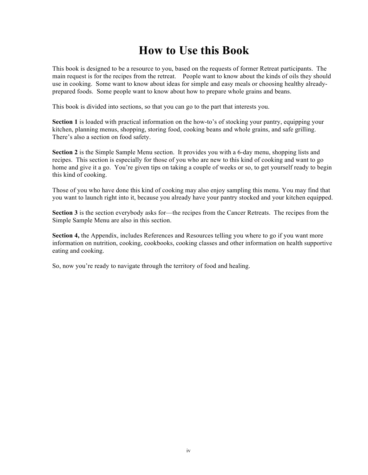# **How to Use this Book**

This book is designed to be a resource to you, based on the requests of former Retreat participants. The main request is for the recipes from the retreat. People want to know about the kinds of oils they should use in cooking. Some want to know about ideas for simple and easy meals or choosing healthy alreadyprepared foods. Some people want to know about how to prepare whole grains and beans.

This book is divided into sections, so that you can go to the part that interests you.

**Section 1** is loaded with practical information on the how-to's of stocking your pantry, equipping your kitchen, planning menus, shopping, storing food, cooking beans and whole grains, and safe grilling. There's also a section on food safety.

**Section 2** is the Simple Sample Menu section. It provides you with a 6-day menu, shopping lists and recipes. This section is especially for those of you who are new to this kind of cooking and want to go home and give it a go. You're given tips on taking a couple of weeks or so, to get yourself ready to begin this kind of cooking.

Those of you who have done this kind of cooking may also enjoy sampling this menu. You may find that you want to launch right into it, because you already have your pantry stocked and your kitchen equipped.

**Section 3** is the section everybody asks for—the recipes from the Cancer Retreats. The recipes from the Simple Sample Menu are also in this section.

**Section 4,** the Appendix, includes References and Resources telling you where to go if you want more information on nutrition, cooking, cookbooks, cooking classes and other information on health supportive eating and cooking.

So, now you're ready to navigate through the territory of food and healing.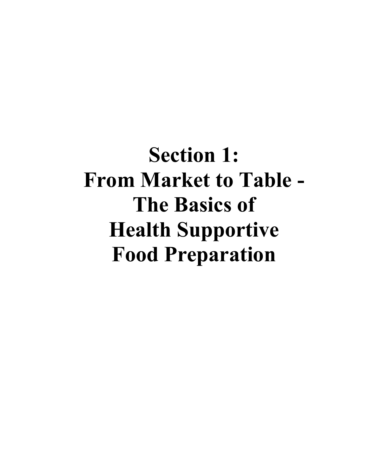**Section 1: From Market to Table - The Basics of Health Supportive Food Preparation**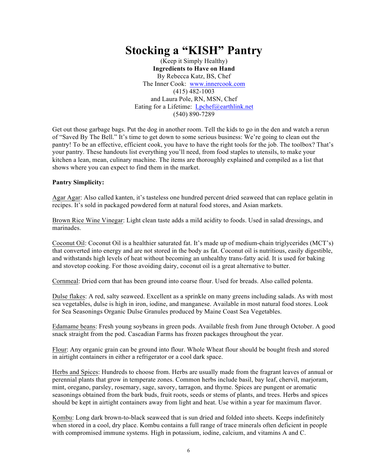# **Stocking a "KISH" Pantry**

(Keep it Simply Healthy) **Ingredients to Have on Hand** By Rebecca Katz, BS, Chef The Inner Cook: www.innercook.com (415) 482-1003 and Laura Pole, RN, MSN, Chef Eating for a Lifetime: Lpchef@earthlink.net (540) 890-7289

Get out those garbage bags. Put the dog in another room. Tell the kids to go in the den and watch a rerun of "Saved By The Bell." It's time to get down to some serious business: We're going to clean out the pantry! To be an effective, efficient cook, you have to have the right tools for the job. The toolbox? That's your pantry. These handouts list everything you'll need, from food staples to utensils, to make your kitchen a lean, mean, culinary machine. The items are thoroughly explained and compiled as a list that shows where you can expect to find them in the market.

#### **Pantry Simplicity:**

Agar Agar: Also called kanten, it's tasteless one hundred percent dried seaweed that can replace gelatin in recipes. It's sold in packaged powdered form at natural food stores, and Asian markets.

Brown Rice Wine Vinegar: Light clean taste adds a mild acidity to foods. Used in salad dressings, and marinades.

Coconut Oil: Coconut Oil is a healthier saturated fat. It's made up of medium-chain triglycerides (MCT's) that converted into energy and are not stored in the body as fat. Coconut oil is nutritious, easily digestible, and withstands high levels of heat without becoming an unhealthy trans-fatty acid. It is used for baking and stovetop cooking. For those avoiding dairy, coconut oil is a great alternative to butter.

Cornmeal: Dried corn that has been ground into coarse flour. Used for breads. Also called polenta.

Dulse flakes: A red, salty seaweed. Excellent as a sprinkle on many greens including salads. As with most sea vegetables, dulse is high in iron, iodine, and manganese. Available in most natural food stores. Look for Sea Seasonings Organic Dulse Granules produced by Maine Coast Sea Vegetables.

Edamame beans: Fresh young soybeans in green pods. Available fresh from June through October. A good snack straight from the pod. Cascadian Farms has frozen packages throughout the year.

Flour: Any organic grain can be ground into flour. Whole Wheat flour should be bought fresh and stored in airtight containers in either a refrigerator or a cool dark space.

Herbs and Spices: Hundreds to choose from. Herbs are usually made from the fragrant leaves of annual or perennial plants that grow in temperate zones. Common herbs include basil, bay leaf, chervil, marjoram, mint, oregano, parsley, rosemary, sage, savory, tarragon, and thyme. Spices are pungent or aromatic seasonings obtained from the bark buds, fruit roots, seeds or stems of plants, and trees. Herbs and spices should be kept in airtight containers away from light and heat. Use within a year for maximum flavor.

Kombu: Long dark brown-to-black seaweed that is sun dried and folded into sheets. Keeps indefinitely when stored in a cool, dry place. Kombu contains a full range of trace minerals often deficient in people with compromised immune systems. High in potassium, iodine, calcium, and vitamins A and C.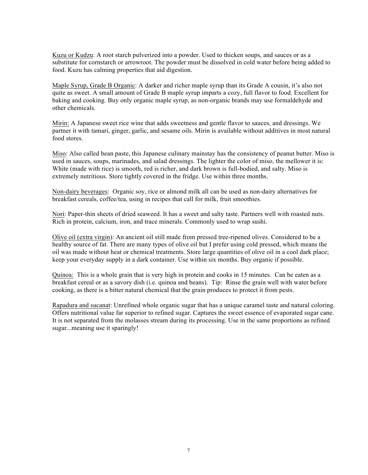Kuzu or Kudzu: A root starch pulverized into a powder. Used to thicken soups, and sauces or as a substitute for cornstarch or arrowroot. The powder must be dissolved in cold water before being added to food. Kuzu has calming properties that aid digestion.

Maple Syrup, Grade B Organic: A darker and richer maple syrup than its Grade A cousin, it's also not quite as sweet. A small amount of Grade B maple syrup imparts a cozy, full flavor to food. Excellent for baking and cooking. Buy only organic maple syrup, as non-organic brands may use formaldehyde and other chemicals.

Mirin: A Japanese sweet rice wine that adds sweetness and gentle flavor to sauces, and dressings. We partner it with tamari, ginger, garlic, and sesame oils. Mirin is available without additives in most natural food stores.

Miso: Also called bean paste, this Japanese culinary mainstay has the consistency of peanut butter. Miso is used in sauces, soups, marinades, and salad dressings. The lighter the color of miso, the mellower it is: White (made with rice) is smooth, red is richer, and dark brown is full-bodied, and salty. Miso is extremely nutritious. Store tightly covered in the fridge. Use within three months.

Non-dairy beverages: Organic soy, rice or almond milk all can be used as non-dairy alternatives for breakfast cereals, coffee/tea, using in recipes that call for milk, fruit smoothies.

Nori: Paper-thin sheets of dried seaweed. It has a sweet and salty taste. Partners well with roasted nuts. Rich in protein, calcium, iron, and trace minerals. Commonly used to wrap sushi.

Olive oil (extra virgin): An ancient oil still made from pressed tree-ripened olives. Considered to be a healthy source of fat. There are many types of olive oil but I prefer using cold pressed, which means the oil was made without heat or chemical treatments. Store large quantities of olive oil in a cool dark place; keep your everyday supply in a dark container. Use within six months. Buy organic if possible.

Quinoa: This is a whole grain that is very high in protein and cooks in 15 minutes. Can be eaten as a breakfast cereal or as a savory dish (i.e. quinoa and beans). Tip: Rinse the grain well with water before cooking, as there is a bitter natural chemical that the grain produces to protect it from pests.

Rapadura and sucanat: Unrefined whole organic sugar that has a unique caramel taste and natural coloring. Offers nutritional value far superior to refined sugar. Captures the sweet essence of evaporated sugar cane. It is not separated from the molasses stream during its processing. Use in the same proportions as refined sugar...meaning use it sparingly!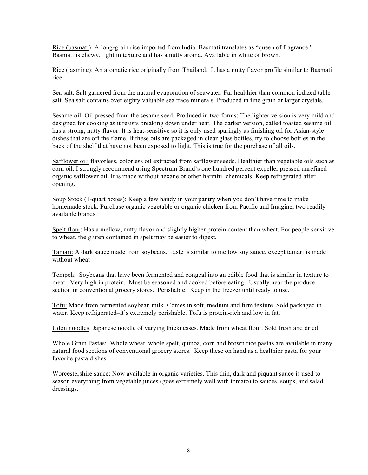Rice (basmati): A long-grain rice imported from India. Basmati translates as "queen of fragrance." Basmati is chewy, light in texture and has a nutty aroma. Available in white or brown.

Rice (jasmine): An aromatic rice originally from Thailand. It has a nutty flavor profile similar to Basmati rice.

Sea salt: Salt garnered from the natural evaporation of seawater. Far healthier than common iodized table salt. Sea salt contains over eighty valuable sea trace minerals. Produced in fine grain or larger crystals.

Sesame oil: Oil pressed from the sesame seed. Produced in two forms: The lighter version is very mild and designed for cooking as it resists breaking down under heat. The darker version, called toasted sesame oil, has a strong, nutty flavor. It is heat-sensitive so it is only used sparingly as finishing oil for Asian-style dishes that are off the flame. If these oils are packaged in clear glass bottles, try to choose bottles in the back of the shelf that have not been exposed to light. This is true for the purchase of all oils.

Safflower oil: flavorless, colorless oil extracted from safflower seeds. Healthier than vegetable oils such as corn oil. I strongly recommend using Spectrum Brand's one hundred percent expeller pressed unrefined organic safflower oil. It is made without hexane or other harmful chemicals. Keep refrigerated after opening.

Soup Stock (1-quart boxes): Keep a few handy in your pantry when you don't have time to make homemade stock. Purchase organic vegetable or organic chicken from Pacific and Imagine, two readily available brands.

Spelt flour: Has a mellow, nutty flavor and slightly higher protein content than wheat. For people sensitive to wheat, the gluten contained in spelt may be easier to digest.

Tamari: A dark sauce made from soybeans. Taste is similar to mellow soy sauce, except tamari is made without wheat

Tempeh: Soybeans that have been fermented and congeal into an edible food that is similar in texture to meat. Very high in protein. Must be seasoned and cooked before eating. Usually near the produce section in conventional grocery stores. Perishable. Keep in the freezer until ready to use.

Tofu: Made from fermented soybean milk. Comes in soft, medium and firm texture. Sold packaged in water. Keep refrigerated–it's extremely perishable. Tofu is protein-rich and low in fat.

Udon noodles: Japanese noodle of varying thicknesses. Made from wheat flour. Sold fresh and dried.

Whole Grain Pastas: Whole wheat, whole spelt, quinoa, corn and brown rice pastas are available in many natural food sections of conventional grocery stores. Keep these on hand as a healthier pasta for your favorite pasta dishes.

Worcestershire sauce: Now available in organic varieties. This thin, dark and piquant sauce is used to season everything from vegetable juices (goes extremely well with tomato) to sauces, soups, and salad dressings.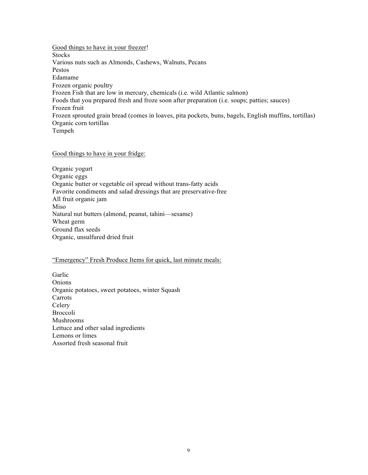Good things to have in your freezer! **Stocks** Various nuts such as Almonds, Cashews, Walnuts, Pecans Pestos Edamame Frozen organic poultry Frozen Fish that are low in mercury, chemicals (i.e. wild Atlantic salmon) Foods that you prepared fresh and froze soon after preparation (i.e. soups; patties; sauces) Frozen fruit Frozen sprouted grain bread (comes in loaves, pita pockets, buns, bagels, English muffins, tortillas) Organic corn tortillas Tempeh

#### Good things to have in your fridge:

Organic yogurt Organic eggs Organic butter or vegetable oil spread without trans-fatty acids Favorite condiments and salad dressings that are preservative-free All fruit organic jam Miso Natural nut butters (almond, peanut, tahini—sesame) Wheat germ Ground flax seeds Organic, unsulfured dried fruit

#### "Emergency" Fresh Produce Items for quick, last minute meals:

Garlic Onions Organic potatoes, sweet potatoes, winter Squash Carrots Celery Broccoli Mushrooms Lettuce and other salad ingredients Lemons or limes Assorted fresh seasonal fruit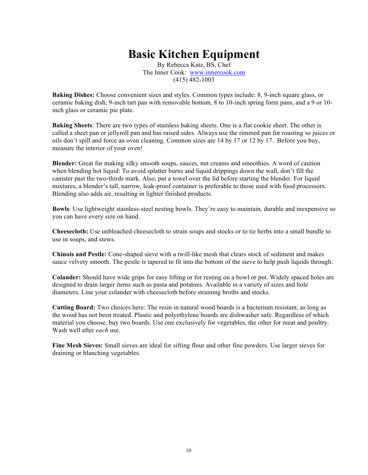# **Basic Kitchen Equipment**

By Rebecca Katz, BS, Chef The Inner Cook: www.innercook.com (415) 482-1003

**Baking Dishes:** Choose convenient sizes and styles. Common types include: 8, 9-inch square glass, or ceramic baking dish, 9-inch tart pan with removable bottom, 8 to 10-inch spring form pans, and a 9 or 10 inch glass or ceramic pie plate.

**Baking Sheets**: There are two types of stainless baking sheets. One is a flat cookie sheet. The other is called a sheet pan or jellyroll pan and has raised sides. Always use the rimmed pan for roasting so juices or oils don't spill and force an oven cleaning. Common sizes are 14 by 17 or 12 by 17. Before you buy, measure the interior of your oven!

**Blender:** Great for making silky smooth soups, sauces, nut creams and smoothies. A word of caution when blending hot liquid: To avoid splatter burns and liquid drippings down the wall, don't fill the canister past the two-thirds mark. Also, put a towel over the lid before starting the blender. For liquid mixtures, a blender's tall, narrow, leak-proof container is preferable to those used with food processors. Blending also adds air, resulting in lighter finished products.

**Bowls**: Use lightweight stainless-steel nesting bowls. They're easy to maintain, durable and inexpensive so you can have every size on hand.

**Cheesecloth:** Use unbleached cheesecloth to strain soups and stocks or to tie herbs into a small bundle to use in soups, and stews.

**Chinois and Pestle:** Cone-shaped sieve with a twill-like mesh that clears stock of sediment and makes sauce velvety smooth. The pestle is tapered to fit into the bottom of the sieve to help push liquids through.

**Colander:** Should have wide grips for easy lifting or for resting on a bowl or pot. Widely spaced holes are designed to drain larger items such as pasta and potatoes. Available in a variety of sizes and hole diameters. Line your colander with cheesecloth before straining broths and stocks.

**Cutting Board:** Two choices here: The resin in natural wood boards is a bacterium resistant, as long as the wood has not been treated. Plastic and polyethylene boards are dishwasher safe. Regardless of which material you choose, buy two boards. Use one exclusively for vegetables, the other for meat and poultry. Wash well after *each* use.

**Fine Mesh Sieves:** Small sieves are ideal for sifting flour and other fine powders. Use larger sieves for draining or blanching vegetables.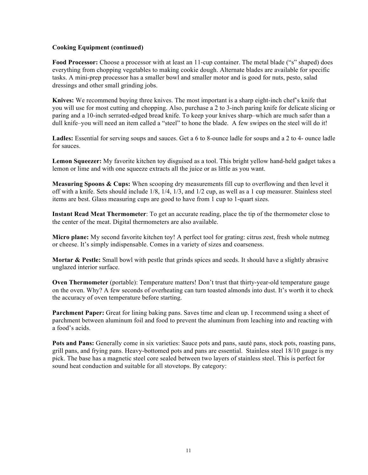#### **Cooking Equipment (continued)**

**Food Processor:** Choose a processor with at least an 11-cup container. The metal blade ("s" shaped) does everything from chopping vegetables to making cookie dough. Alternate blades are available for specific tasks. A mini-prep processor has a smaller bowl and smaller motor and is good for nuts, pesto, salad dressings and other small grinding jobs.

**Knives:** We recommend buying three knives. The most important is a sharp eight-inch chef's knife that you will use for most cutting and chopping. Also, purchase a 2 to 3-inch paring knife for delicate slicing or paring and a 10-inch serrated-edged bread knife. To keep your knives sharp–which are much safer than a dull knife–you will need an item called a "steel" to hone the blade. A few swipes on the steel will do it!

**Ladles:** Essential for serving soups and sauces. Get a 6 to 8-ounce ladle for soups and a 2 to 4- ounce ladle for sauces.

**Lemon Squeezer:** My favorite kitchen toy disguised as a tool. This bright yellow hand-held gadget takes a lemon or lime and with one squeeze extracts all the juice or as little as you want.

**Measuring Spoons & Cups:** When scooping dry measurements fill cup to overflowing and then level it off with a knife. Sets should include 1/8, 1/4, 1/3, and 1/2 cup, as well as a 1 cup measurer. Stainless steel items are best. Glass measuring cups are good to have from 1 cup to 1-quart sizes.

**Instant Read Meat Thermometer**: To get an accurate reading, place the tip of the thermometer close to the center of the meat. Digital thermometers are also available.

**Micro plane:** My second favorite kitchen toy! A perfect tool for grating: citrus zest, fresh whole nutmeg or cheese. It's simply indispensable. Comes in a variety of sizes and coarseness.

**Mortar & Pestle:** Small bowl with pestle that grinds spices and seeds. It should have a slightly abrasive unglazed interior surface.

**Oven Thermometer** (portable): Temperature matters! Don't trust that thirty-year-old temperature gauge on the oven. Why? A few seconds of overheating can turn toasted almonds into dust. It's worth it to check the accuracy of oven temperature before starting.

**Parchment Paper:** Great for lining baking pans. Saves time and clean up. I recommend using a sheet of parchment between aluminum foil and food to prevent the aluminum from leaching into and reacting with a food's acids.

**Pots and Pans:** Generally come in six varieties: Sauce pots and pans, sauté pans, stock pots, roasting pans, grill pans, and frying pans. Heavy-bottomed pots and pans are essential. Stainless steel 18/10 gauge is my pick. The base has a magnetic steel core sealed between two layers of stainless steel. This is perfect for sound heat conduction and suitable for all stovetops. By category: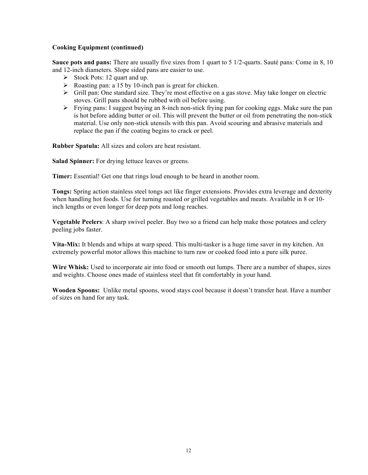#### **Cooking Equipment (continued)**

**Sauce pots and pans:** There are usually five sizes from 1 quart to 5 1/2-quarts. Sauté pans: Come in 8, 10 and 12-inch diameters. Slope sided pans are easier to use.

- $\triangleright$  Stock Pots: 12 quart and up.
- $\triangleright$  Roasting pan: a 15 by 10-inch pan is great for chicken.
- $\triangleright$  Grill pan: One standard size. They're most effective on a gas stove. May take longer on electric stoves. Grill pans should be rubbed with oil before using.
- $\triangleright$  Frying pans: I suggest buying an 8-inch non-stick frying pan for cooking eggs. Make sure the pan is hot before adding butter or oil. This will prevent the butter or oil from penetrating the non-stick material. Use only non-stick utensils with this pan. Avoid scouring and abrasive materials and replace the pan if the coating begins to crack or peel.

**Rubber Spatula:** All sizes and colors are heat resistant.

**Salad Spinner:** For drying lettuce leaves or greens.

**Timer:** Essential! Get one that rings loud enough to be heard in another room.

**Tongs:** Spring action stainless steel tongs act like finger extensions. Provides extra leverage and dexterity when handling hot foods. Use for turning roasted or grilled vegetables and meats. Available in 8 or 10 inch lengths or even longer for deep pots and long reaches.

**Vegetable Peelers**: A sharp swivel peeler. Buy two so a friend can help make those potatoes and celery peeling jobs faster.

**Vita-Mix:** It blends and whips at warp speed. This multi-tasker is a huge time saver in my kitchen. An extremely powerful motor allows this machine to turn raw or cooked food into a pure silk puree.

**Wire Whisk:** Used to incorporate air into food or smooth out lumps. There are a number of shapes, sizes and weights. Choose ones made of stainless steel that fit comfortably in your hand.

**Wooden Spoons:** Unlike metal spoons, wood stays cool because it doesn't transfer heat. Have a number of sizes on hand for any task.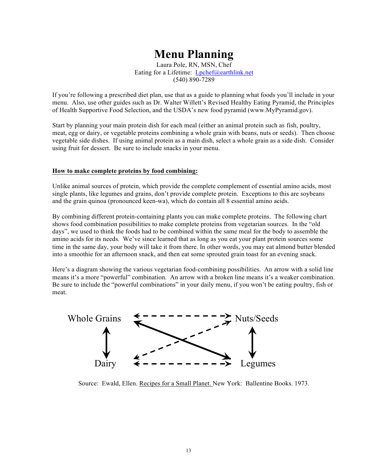# **Menu Planning**

Laura Pole, RN, MSN, Chef Eating for a Lifetime: Lpchef@earthlink.net (540) 890-7289

If you're following a prescribed diet plan, use that as a guide to planning what foods you'll include in your menu. Also, use other guides such as Dr. Walter Willett's Revised Healthy Eating Pyramid, the Principles of Health Supportive Food Selection, and the USDA's new food pyramid (www.MyPyramid.gov).

Start by planning your main protein dish for each meal (either an animal protein such as fish, poultry, meat, egg or dairy, or vegetable proteins combining a whole grain with beans, nuts or seeds). Then choose vegetable side dishes. If using animal protein as a main dish, select a whole grain as a side dish. Consider using fruit for dessert. Be sure to include snacks in your menu.

#### **How to make complete proteins by food combining:**

Unlike animal sources of protein, which provide the complete complement of essential amino acids, most single plants, like legumes and grains, don't provide complete protein. Exceptions to this are soybeans and the grain quinoa (pronounced keen-wa), which do contain all 8 essential amino acids.

By combining different protein-containing plants you can make complete proteins. The following chart shows food combination possibilities to make complete proteins from vegetarian sources. In the "old days", we used to think the foods had to be combined within the same meal for the body to assemble the amino acids for its needs. We've since learned that as long as you eat your plant protein sources some time in the same day, your body will take it from there. In other words, you may eat almond butter blended into a smoothie for an afternoon snack, and then eat some sprouted grain toast for an evening snack.

Here's a diagram showing the various vegetarian food-combining possibilities. An arrow with a solid line means it's a more "powerful" combination. An arrow with a broken line means it's a weaker combination. Be sure to include the "powerful combinations" in your daily menu, if you won't be eating poultry, fish or meat.



Source: Ewald, Ellen. Recipes for a Small Planet. New York: Ballentine Books. 1973.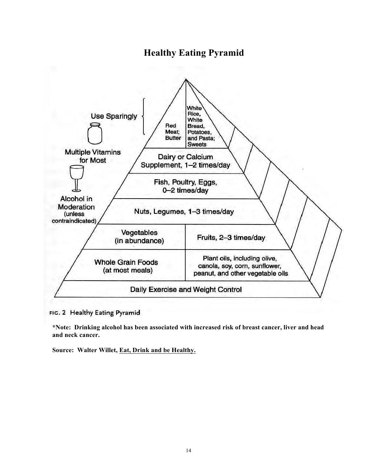# **Healthy Eating Pyramid**



FIG. 2 Healthy Eating Pyramid

**\*Note: Drinking alcohol has been associated with increased risk of breast cancer, liver and head and neck cancer.** 

**Source: Walter Willet, Eat, Drink and be Healthy.**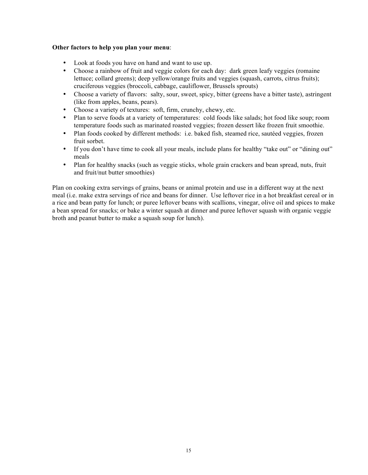#### **Other factors to help you plan your menu**:

- Look at foods you have on hand and want to use up.
- Choose a rainbow of fruit and veggie colors for each day: dark green leafy veggies (romaine lettuce; collard greens); deep yellow/orange fruits and veggies (squash, carrots, citrus fruits); cruciferous veggies (broccoli, cabbage, cauliflower, Brussels sprouts)
- Choose a variety of flavors: salty, sour, sweet, spicy, bitter (greens have a bitter taste), astringent (like from apples, beans, pears).
- Choose a variety of textures: soft, firm, crunchy, chewy, etc.
- Plan to serve foods at a variety of temperatures: cold foods like salads; hot food like soup; room temperature foods such as marinated roasted veggies; frozen dessert like frozen fruit smoothie.
- Plan foods cooked by different methods: i.e. baked fish, steamed rice, sautéed veggies, frozen fruit sorbet.
- If you don't have time to cook all your meals, include plans for healthy "take out" or "dining out" meals
- Plan for healthy snacks (such as veggie sticks, whole grain crackers and bean spread, nuts, fruit and fruit/nut butter smoothies)

Plan on cooking extra servings of grains, beans or animal protein and use in a different way at the next meal (i.e. make extra servings of rice and beans for dinner. Use leftover rice in a hot breakfast cereal or in a rice and bean patty for lunch; or puree leftover beans with scallions, vinegar, olive oil and spices to make a bean spread for snacks; or bake a winter squash at dinner and puree leftover squash with organic veggie broth and peanut butter to make a squash soup for lunch).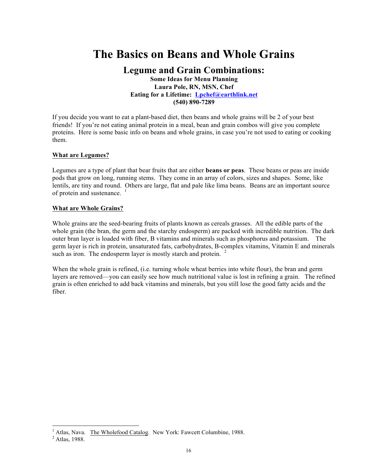# **The Basics on Beans and Whole Grains**

## **Legume and Grain Combinations: Some Ideas for Menu Planning Laura Pole, RN, MSN, Chef Eating for a Lifetime: Lpchef@earthlink.net (540) 890-7289**

If you decide you want to eat a plant-based diet, then beans and whole grains will be 2 of your best friends! If you're not eating animal protein in a meal, bean and grain combos will give you complete proteins. Here is some basic info on beans and whole grains, in case you're not used to eating or cooking them.

#### **What are Legumes?**

Legumes are a type of plant that bear fruits that are either **beans or peas**. These beans or peas are inside pods that grow on long, running stems. They come in an array of colors, sizes and shapes. Some, like lentils, are tiny and round. Others are large, flat and pale like lima beans. Beans are an important source of protein and sustenance.  $\frac{1}{1}$ 

#### **What are Whole Grains?**

Whole grains are the seed-bearing fruits of plants known as cereals grasses. All the edible parts of the whole grain (the bran, the germ and the starchy endosperm) are packed with incredible nutrition. The dark outer bran layer is loaded with fiber, B vitamins and minerals such as phosphorus and potassium. The germ layer is rich in protein, unsaturated fats, carbohydrates, B-complex vitamins, Vitamin E and minerals such as iron. The endosperm layer is mostly starch and protein.<sup>2</sup>

When the whole grain is refined, (i.e. turning whole wheat berries into white flour), the bran and germ layers are removed—you can easily see how much nutritional value is lost in refining a grain. The refined grain is often enriched to add back vitamins and minerals, but you still lose the good fatty acids and the fiber.

 $\overline{a}$ 

<sup>&</sup>lt;sup>1</sup> Atlas, Nava. The Wholefood Catalog. New York: Fawcett Columbine, 1988.  $2$  Atlas. 1988.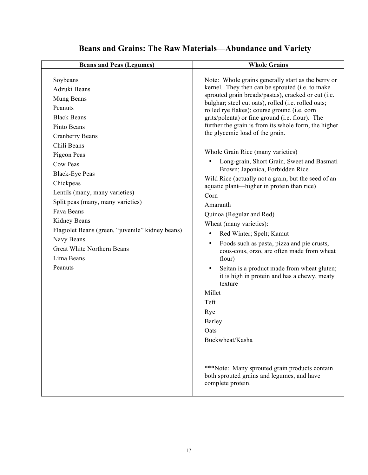# **Beans and Grains: The Raw Materials—Abundance and Variety**

| <b>Beans and Peas (Legumes)</b>                                                                                                                                                                                                                                                                                                                                                                                                | <b>Whole Grains</b>                                                                                                                                                                                                                                                                                                                                                                                                                                                                                                                                                                                                                                                                                                                                                                                                                                                                                                                                                                                                                                                                                                                                                                    |
|--------------------------------------------------------------------------------------------------------------------------------------------------------------------------------------------------------------------------------------------------------------------------------------------------------------------------------------------------------------------------------------------------------------------------------|----------------------------------------------------------------------------------------------------------------------------------------------------------------------------------------------------------------------------------------------------------------------------------------------------------------------------------------------------------------------------------------------------------------------------------------------------------------------------------------------------------------------------------------------------------------------------------------------------------------------------------------------------------------------------------------------------------------------------------------------------------------------------------------------------------------------------------------------------------------------------------------------------------------------------------------------------------------------------------------------------------------------------------------------------------------------------------------------------------------------------------------------------------------------------------------|
| Soybeans<br>Adzuki Beans<br>Mung Beans<br>Peanuts<br><b>Black Beans</b><br>Pinto Beans<br><b>Cranberry Beans</b><br>Chili Beans<br>Pigeon Peas<br>Cow Peas<br><b>Black-Eye Peas</b><br>Chickpeas<br>Lentils (many, many varieties)<br>Split peas (many, many varieties)<br>Fava Beans<br>Kidney Beans<br>Flagiolet Beans (green, "juvenile" kidney beans)<br>Navy Beans<br>Great White Northern Beans<br>Lima Beans<br>Peanuts | Note: Whole grains generally start as the berry or<br>kernel. They then can be sprouted (i.e. to make<br>sprouted grain breads/pastas), cracked or cut (i.e.<br>bulghar; steel cut oats), rolled (i.e. rolled oats;<br>rolled rye flakes); course ground (i.e. corn<br>grits/polenta) or fine ground (i.e. flour). The<br>further the grain is from its whole form, the higher<br>the glycemic load of the grain.<br>Whole Grain Rice (many varieties)<br>Long-grain, Short Grain, Sweet and Basmati<br>Brown; Japonica, Forbidden Rice<br>Wild Rice (actually not a grain, but the seed of an<br>aquatic plant—higher in protein than rice)<br>Corn<br>Amaranth<br>Quinoa (Regular and Red)<br>Wheat (many varieties):<br>Red Winter; Spelt; Kamut<br>$\bullet$<br>Foods such as pasta, pizza and pie crusts,<br>$\bullet$<br>cous-cous, orzo, are often made from wheat<br>flour)<br>Seitan is a product made from wheat gluten;<br>it is high in protein and has a chewy, meaty<br>texture<br>Millet<br>Teft<br>Rye<br><b>Barley</b><br>Oats<br>Buckwheat/Kasha<br>***Note: Many sprouted grain products contain<br>both sprouted grains and legumes, and have<br>complete protein. |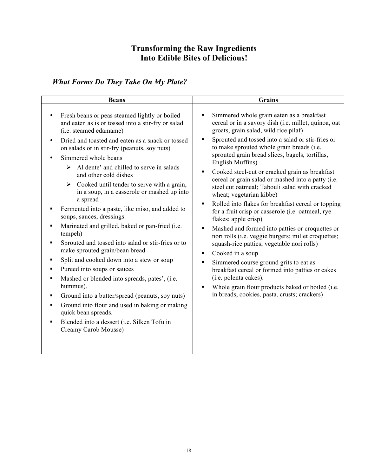# **Transforming the Raw Ingredients Into Edible Bites of Delicious!**

# *What Forms Do They Take On My Plate?*

| <b>Beans</b>                                                                                                                                                                                                                                                                                                                                                                                                                                                                                                                                                                                                                                                                                                                                                                                                                                                                                                                                                                                                                                                                                       | <b>Grains</b>                                                                                                                                                                                                                                                                                                                                                                                                                                                                                                                                                                                                                                                                                                                                                                                                                                                                                                                                                                                                                                                                                                   |
|----------------------------------------------------------------------------------------------------------------------------------------------------------------------------------------------------------------------------------------------------------------------------------------------------------------------------------------------------------------------------------------------------------------------------------------------------------------------------------------------------------------------------------------------------------------------------------------------------------------------------------------------------------------------------------------------------------------------------------------------------------------------------------------------------------------------------------------------------------------------------------------------------------------------------------------------------------------------------------------------------------------------------------------------------------------------------------------------------|-----------------------------------------------------------------------------------------------------------------------------------------------------------------------------------------------------------------------------------------------------------------------------------------------------------------------------------------------------------------------------------------------------------------------------------------------------------------------------------------------------------------------------------------------------------------------------------------------------------------------------------------------------------------------------------------------------------------------------------------------------------------------------------------------------------------------------------------------------------------------------------------------------------------------------------------------------------------------------------------------------------------------------------------------------------------------------------------------------------------|
| Fresh beans or peas steamed lightly or boiled<br>and eaten as is or tossed into a stir-fry or salad<br>(i.e. steamed edamame)<br>Dried and toasted and eaten as a snack or tossed<br>$\bullet$<br>on salads or in stir-fry (peanuts, soy nuts)<br>Simmered whole beans<br>Al dente' and chilled to serve in salads<br>➤<br>and other cold dishes<br>$\triangleright$ Cooked until tender to serve with a grain,<br>in a soup, in a casserole or mashed up into<br>a spread<br>Fermented into a paste, like miso, and added to<br>soups, sauces, dressings.<br>Marinated and grilled, baked or pan-fried (i.e.<br>tempeh)<br>Sprouted and tossed into salad or stir-fries or to<br>make sprouted grain/bean bread<br>Split and cooked down into a stew or soup<br>٠<br>Pureed into soups or sauces<br>٠<br>Mashed or blended into spreads, pates', (i.e.<br>hummus).<br>Ground into a butter/spread (peanuts, soy nuts)<br>٠<br>Ground into flour and used in baking or making<br>٠<br>quick bean spreads.<br>Blended into a dessert (i.e. Silken Tofu in<br>$\blacksquare$<br>Creamy Carob Mousse) | Simmered whole grain eaten as a breakfast<br>cereal or in a savory dish (i.e. millet, quinoa, oat<br>groats, grain salad, wild rice pilaf)<br>Sprouted and tossed into a salad or stir-fries or<br>٠<br>to make sprouted whole grain breads (i.e.<br>sprouted grain bread slices, bagels, tortillas,<br>English Muffins)<br>Cooked steel-cut or cracked grain as breakfast<br>٠<br>cereal or grain salad or mashed into a patty (i.e.<br>steel cut oatmeal; Tabouli salad with cracked<br>wheat; vegetarian kibbe)<br>Rolled into flakes for breakfast cereal or topping<br>$\blacksquare$<br>for a fruit crisp or casserole (i.e. oatmeal, rye<br>flakes; apple crisp)<br>Mashed and formed into patties or croquettes or<br>٠<br>nori rolls (i.e. veggie burgers; millet croquettes;<br>squash-rice patties; vegetable nori rolls)<br>Cooked in a soup<br>٠<br>Simmered course ground grits to eat as<br>٠<br>breakfast cereal or formed into patties or cakes<br>(i.e. polenta cakes).<br>Whole grain flour products baked or boiled (i.e.<br>$\blacksquare$<br>in breads, cookies, pasta, crusts; crackers) |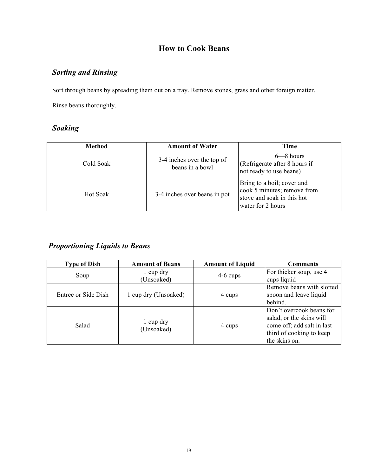## **How to Cook Beans**

# *Sorting and Rinsing*

Sort through beans by spreading them out on a tray. Remove stones, grass and other foreign matter.

Rinse beans thoroughly.

# *Soaking*

| <b>Method</b>   | <b>Amount of Water</b>                        | Time                                                                                                         |
|-----------------|-----------------------------------------------|--------------------------------------------------------------------------------------------------------------|
| Cold Soak       | 3-4 inches over the top of<br>beans in a bowl | $6 - 8$ hours<br>(Refrigerate after 8 hours if<br>not ready to use beans)                                    |
| <b>Hot Soak</b> | 3-4 inches over beans in pot                  | Bring to a boil; cover and<br>cook 5 minutes; remove from<br>stove and soak in this hot<br>water for 2 hours |

# *Proportioning Liquids to Beans*

| <b>Type of Dish</b> | <b>Amount of Beans</b>  | <b>Amount of Liquid</b> | <b>Comments</b>            |
|---------------------|-------------------------|-------------------------|----------------------------|
| Soup                | 1 cup dry               | $4-6$ cups              | For thicker soup, use 4    |
|                     | (Unsoaked)              |                         | cups liquid                |
|                     |                         |                         | Remove beans with slotted  |
| Entree or Side Dish | 1 cup dry (Unsoaked)    | 4 cups                  | spoon and leave liquid     |
|                     |                         |                         | behind.                    |
| Salad               | 1 cup dry<br>(Unsoaked) | 4 cups                  | Don't overcook beans for   |
|                     |                         |                         | salad, or the skins will   |
|                     |                         |                         | come off; add salt in last |
|                     |                         |                         | third of cooking to keep   |
|                     |                         |                         | the skins on.              |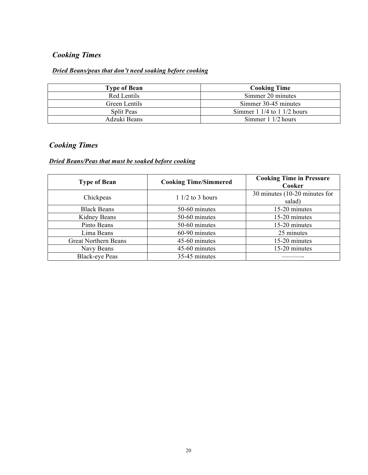# *Cooking Times*

## *Dried Beans/peas that don't need soaking before cooking*

| <b>Type of Bean</b> | <b>Cooking Time</b>                             |
|---------------------|-------------------------------------------------|
| Red Lentils         | Simmer 20 minutes                               |
| Green Lentils       | Simmer 30-45 minutes                            |
| <b>Split Peas</b>   | Simmer $1 \frac{1}{4}$ to $1 \frac{1}{2}$ hours |
| Adzuki Beans        | Simmer $1 \frac{1}{2}$ hours                    |

## *Cooking Times*

## *Dried Beans/Peas that must be soaked before cooking*

| <b>Type of Bean</b>         | <b>Cooking Time/Simmered</b> | <b>Cooking Time in Pressure</b><br>Cooker |
|-----------------------------|------------------------------|-------------------------------------------|
| Chickpeas                   | $11/2$ to 3 hours            | 30 minutes $(10-20$ minutes for<br>salad) |
| <b>Black Beans</b>          | 50-60 minutes                | 15-20 minutes                             |
| Kidney Beans                | 50-60 minutes                | 15-20 minutes                             |
| Pinto Beans                 | 50-60 minutes                | 15-20 minutes                             |
| Lima Beans                  | 60-90 minutes                | 25 minutes                                |
| <b>Great Northern Beans</b> | 45-60 minutes                | 15-20 minutes                             |
| Navy Beans                  | 45-60 minutes                | 15-20 minutes                             |
| <b>Black-eye Peas</b>       | 35-45 minutes                |                                           |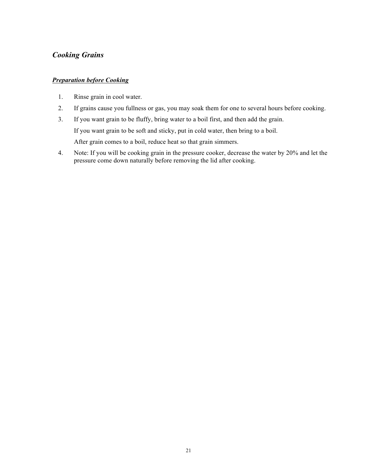## *Cooking Grains*

#### *Preparation before Cooking*

- 1. Rinse grain in cool water.
- 2. If grains cause you fullness or gas, you may soak them for one to several hours before cooking.
- 3. If you want grain to be fluffy, bring water to a boil first, and then add the grain. If you want grain to be soft and sticky, put in cold water, then bring to a boil. After grain comes to a boil, reduce heat so that grain simmers.
- 4. Note: If you will be cooking grain in the pressure cooker, decrease the water by 20% and let the pressure come down naturally before removing the lid after cooking.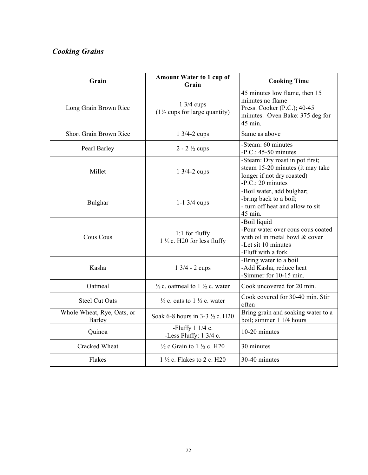# *Cooking Grains*

| Grain                                | <b>Amount Water to 1 cup of</b><br>Grain                         | <b>Cooking Time</b>                                                                                                              |
|--------------------------------------|------------------------------------------------------------------|----------------------------------------------------------------------------------------------------------------------------------|
| Long Grain Brown Rice                | $1\frac{3}{4}$ cups<br>$(1\frac{1}{2})$ cups for large quantity) | 45 minutes low flame, then 15<br>minutes no flame<br>Press. Cooker (P.C.); 40-45<br>minutes. Oven Bake: 375 deg for<br>45 min.   |
| Short Grain Brown Rice               | $1 \frac{3}{4} - 2 \text{ cups}$                                 | Same as above                                                                                                                    |
| Pearl Barley                         | $2 - 2 \frac{1}{2}$ cups                                         | -Steam: 60 minutes<br>$-P.C.: 45-50$ minutes                                                                                     |
| Millet                               | $1 \frac{3}{4} - 2 \text{ cups}$                                 | -Steam: Dry roast in pot first;<br>steam 15-20 minutes (it may take<br>longer if not dry roasted)<br>$-P.C.: 20 minutes$         |
| Bulghar                              | $1 - 1$ 3/4 cups                                                 | -Boil water, add bulghar;<br>-bring back to a boil;<br>- turn off heat and allow to sit<br>45 min.                               |
| <b>Cous Cous</b>                     | 1:1 for fluffy<br>$1\frac{1}{2}$ c. H20 for less fluffy          | -Boil liquid<br>-Pour water over cous cous coated<br>with oil in metal bowl & cover<br>-Let sit 10 minutes<br>-Fluff with a fork |
| Kasha                                | $1 \frac{3}{4} - 2 \text{ cups}$                                 | -Bring water to a boil<br>-Add Kasha, reduce heat<br>-Simmer for 10-15 min.                                                      |
| Oatmeal                              | $\frac{1}{2}$ c. oatmeal to 1 $\frac{1}{2}$ c. water             | Cook uncovered for 20 min.                                                                                                       |
| <b>Steel Cut Oats</b>                | $\frac{1}{2}$ c. oats to 1 $\frac{1}{2}$ c. water                | Cook covered for 30-40 min. Stir<br>often                                                                                        |
| Whole Wheat, Rye, Oats, or<br>Barley | Soak 6-8 hours in 3-3 ½ c. H20                                   | Bring grain and soaking water to a<br>boil; simmer 1 1/4 hours                                                                   |
| Quinoa                               | -Fluffy $11/4$ c.<br>-Less Fluffy: 1 3/4 c.                      | 10-20 minutes                                                                                                                    |
| Cracked Wheat                        | $\frac{1}{2}$ c Grain to 1 $\frac{1}{2}$ c. H20                  | 30 minutes                                                                                                                       |
| Flakes                               | $1\frac{1}{2}$ c. Flakes to 2 c. H20                             | 30-40 minutes                                                                                                                    |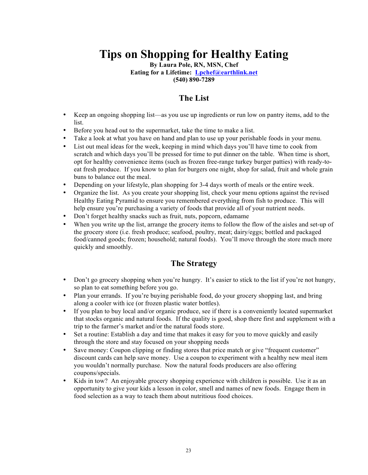# **Tips on Shopping for Healthy Eating**

**By Laura Pole, RN, MSN, Chef**

**Eating for a Lifetime: Lpchef@earthlink.net**

**(540) 890-7289**

## **The List**

- Keep an ongoing shopping list—as you use up ingredients or run low on pantry items, add to the list.
- Before you head out to the supermarket, take the time to make a list.
- Take a look at what you have on hand and plan to use up your perishable foods in your menu.
- List out meal ideas for the week, keeping in mind which days you'll have time to cook from scratch and which days you'll be pressed for time to put dinner on the table. When time is short, opt for healthy convenience items (such as frozen free-range turkey burger patties) with ready-toeat fresh produce. If you know to plan for burgers one night, shop for salad, fruit and whole grain buns to balance out the meal.
- Depending on your lifestyle, plan shopping for 3-4 days worth of meals or the entire week.
- Organize the list. As you create your shopping list, check your menu options against the revised Healthy Eating Pyramid to ensure you remembered everything from fish to produce. This will help ensure you're purchasing a variety of foods that provide all of your nutrient needs.
- Don't forget healthy snacks such as fruit, nuts, popcorn, edamame
- When you write up the list, arrange the grocery items to follow the flow of the aisles and set-up of the grocery store (i.e. fresh produce; seafood, poultry, meat; dairy/eggs; bottled and packaged food/canned goods; frozen; household; natural foods). You'll move through the store much more quickly and smoothly.

## **The Strategy**

- Don't go grocery shopping when you're hungry. It's easier to stick to the list if you're not hungry, so plan to eat something before you go.
- Plan your errands. If you're buying perishable food, do your grocery shopping last, and bring along a cooler with ice (or frozen plastic water bottles).
- If you plan to buy local and/or organic produce, see if there is a conveniently located supermarket that stocks organic and natural foods. If the quality is good, shop there first and supplement with a trip to the farmer's market and/or the natural foods store.
- Set a routine: Establish a day and time that makes it easy for you to move quickly and easily through the store and stay focused on your shopping needs
- Save money: Coupon clipping or finding stores that price match or give "frequent customer" discount cards can help save money. Use a coupon to experiment with a healthy new meal item you wouldn't normally purchase. Now the natural foods producers are also offering coupons/specials.
- Kids in tow? An enjoyable grocery shopping experience with children is possible. Use it as an opportunity to give your kids a lesson in color, smell and names of new foods. Engage them in food selection as a way to teach them about nutritious food choices.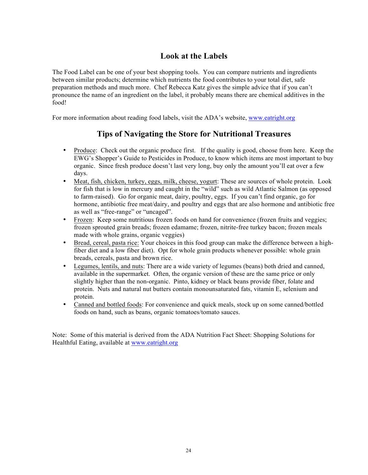## **Look at the Labels**

The Food Label can be one of your best shopping tools. You can compare nutrients and ingredients between similar products; determine which nutrients the food contributes to your total diet, safe preparation methods and much more. Chef Rebecca Katz gives the simple advice that if you can't pronounce the name of an ingredient on the label, it probably means there are chemical additives in the food!

For more information about reading food labels, visit the ADA's website, www.eatright.org

## **Tips of Navigating the Store for Nutritional Treasures**

- Produce: Check out the organic produce first. If the quality is good, choose from here. Keep the EWG's Shopper's Guide to Pesticides in Produce, to know which items are most important to buy organic. Since fresh produce doesn't last very long, buy only the amount you'll eat over a few days.
- Meat, fish, chicken, turkey, eggs, milk, cheese, yogurt: These are sources of whole protein. Look for fish that is low in mercury and caught in the "wild" such as wild Atlantic Salmon (as opposed to farm-raised). Go for organic meat, dairy, poultry, eggs. If you can't find organic, go for hormone, antibiotic free meat/dairy, and poultry and eggs that are also hormone and antibiotic free as well as "free-range" or "uncaged".
- Frozen: Keep some nutritious frozen foods on hand for convenience (frozen fruits and veggies; frozen sprouted grain breads; frozen edamame; frozen, nitrite-free turkey bacon; frozen meals made with whole grains, organic veggies)
- Bread, cereal, pasta rice: Your choices in this food group can make the difference between a highfiber diet and a low fiber diet). Opt for whole grain products whenever possible: whole grain breads, cereals, pasta and brown rice.
- Legumes, lentils, and nuts: There are a wide variety of legumes (beans) both dried and canned, available in the supermarket. Often, the organic version of these are the same price or only slightly higher than the non-organic. Pinto, kidney or black beans provide fiber, folate and protein. Nuts and natural nut butters contain monounsaturated fats, vitamin E, selenium and protein.
- Canned and bottled foods: For convenience and quick meals, stock up on some canned/bottled foods on hand, such as beans, organic tomatoes/tomato sauces.

Note: Some of this material is derived from the ADA Nutrition Fact Sheet: Shopping Solutions for Healthful Eating, available at www.eatright.org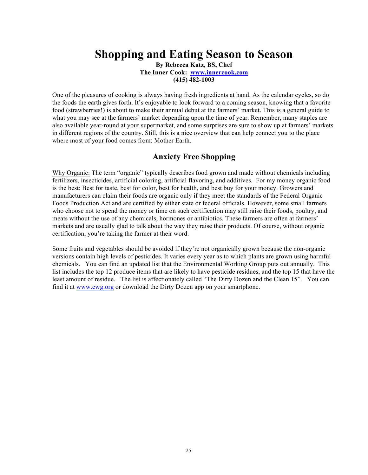# **Shopping and Eating Season to Season**

**By Rebecca Katz, BS, Chef The Inner Cook: www.innercook.com (415) 482-1003**

One of the pleasures of cooking is always having fresh ingredients at hand. As the calendar cycles, so do the foods the earth gives forth. It's enjoyable to look forward to a coming season, knowing that a favorite food (strawberries!) is about to make their annual debut at the farmers' market. This is a general guide to what you may see at the farmers' market depending upon the time of year. Remember, many staples are also available year-round at your supermarket, and some surprises are sure to show up at farmers' markets in different regions of the country. Still, this is a nice overview that can help connect you to the place where most of your food comes from: Mother Earth.

## **Anxiety Free Shopping**

Why Organic: The term "organic" typically describes food grown and made without chemicals including fertilizers, insecticides, artificial coloring, artificial flavoring, and additives. For my money organic food is the best: Best for taste, best for color, best for health, and best buy for your money. Growers and manufacturers can claim their foods are organic only if they meet the standards of the Federal Organic Foods Production Act and are certified by either state or federal officials. However, some small farmers who choose not to spend the money or time on such certification may still raise their foods, poultry, and meats without the use of any chemicals, hormones or antibiotics. These farmers are often at farmers' markets and are usually glad to talk about the way they raise their products. Of course, without organic certification, you're taking the farmer at their word.

Some fruits and vegetables should be avoided if they're not organically grown because the non-organic versions contain high levels of pesticides. It varies every year as to which plants are grown using harmful chemicals. You can find an updated list that the Environmental Working Group puts out annually. This list includes the top 12 produce items that are likely to have pesticide residues, and the top 15 that have the least amount of residue. The list is affectionately called "The Dirty Dozen and the Clean 15". You can find it at www.ewg.org or download the Dirty Dozen app on your smartphone.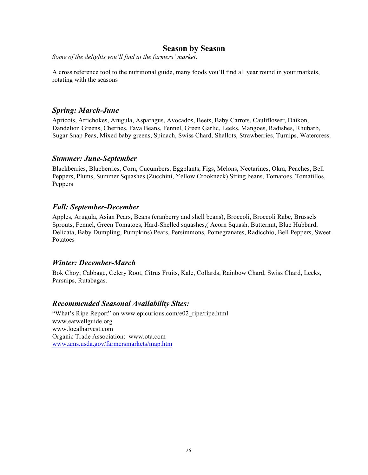## **Season by Season**

*Some of the delights you'll find at the farmers' market*.

A cross reference tool to the nutritional guide, many foods you'll find all year round in your markets, rotating with the seasons

## *Spring: March-June*

Apricots, Artichokes, Arugula, Asparagus, Avocados, Beets, Baby Carrots, Cauliflower, Daikon, Dandelion Greens, Cherries, Fava Beans, Fennel, Green Garlic, Leeks, Mangoes, Radishes, Rhubarb, Sugar Snap Peas, Mixed baby greens, Spinach, Swiss Chard, Shallots, Strawberries, Turnips, Watercress.

### *Summer: June-September*

Blackberries, Blueberries, Corn, Cucumbers, Eggplants, Figs, Melons, Nectarines, Okra, Peaches, Bell Peppers, Plums, Summer Squashes (Zucchini, Yellow Crookneck) String beans, Tomatoes, Tomatillos, Peppers

## *Fall: September-December*

Apples, Arugula, Asian Pears, Beans (cranberry and shell beans), Broccoli, Broccoli Rabe, Brussels Sprouts, Fennel, Green Tomatoes, Hard-Shelled squashes,( Acorn Squash, Butternut, Blue Hubbard, Delicata, Baby Dumpling, Pumpkins) Pears, Persimmons, Pomegranates, Radicchio, Bell Peppers, Sweet Potatoes

## *Winter: December-March*

Bok Choy, Cabbage, Celery Root, Citrus Fruits, Kale, Collards, Rainbow Chard, Swiss Chard, Leeks, Parsnips, Rutabagas.

## *Recommended Seasonal Availability Sites:*

"What's Ripe Report" on www.epicurious.com/e02\_ripe/ripe.html www.eatwellguide.org www.localharvest.com Organic Trade Association: www.ota.com www.ams.usda.gov/farmersmarkets/map.htm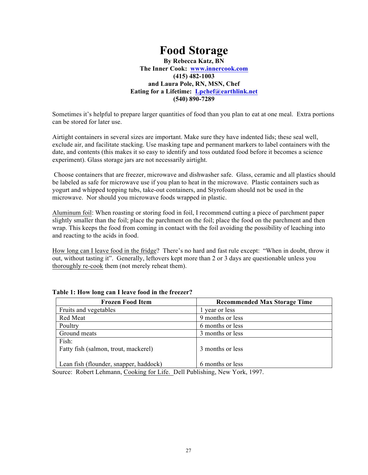# **Food Storage**

**By Rebecca Katz, BN The Inner Cook: www.innercook.com (415) 482-1003 and Laura Pole, RN, MSN, Chef Eating for a Lifetime: Lpchef@earthlink.net (540) 890-7289**

Sometimes it's helpful to prepare larger quantities of food than you plan to eat at one meal. Extra portions can be stored for later use.

Airtight containers in several sizes are important. Make sure they have indented lids; these seal well, exclude air, and facilitate stacking. Use masking tape and permanent markers to label containers with the date, and contents (this makes it so easy to identify and toss outdated food before it becomes a science experiment). Glass storage jars are not necessarily airtight.

Choose containers that are freezer, microwave and dishwasher safe. Glass, ceramic and all plastics should be labeled as safe for microwave use if you plan to heat in the microwave. Plastic containers such as yogurt and whipped topping tubs, take-out containers, and Styrofoam should not be used in the microwave. Nor should you microwave foods wrapped in plastic.

Aluminum foil: When roasting or storing food in foil, I recommend cutting a piece of parchment paper slightly smaller than the foil; place the parchment on the foil; place the food on the parchment and then wrap. This keeps the food from coming in contact with the foil avoiding the possibility of leaching into and reacting to the acids in food.

How long can I leave food in the fridge? There's no hard and fast rule except: "When in doubt, throw it out, without tasting it". Generally, leftovers kept more than 2 or 3 days are questionable unless you thoroughly re-cook them (not merely reheat them).

| <b>Frozen Food Item</b>                       | <b>Recommended Max Storage Time</b> |
|-----------------------------------------------|-------------------------------------|
| Fruits and vegetables                         | 1 year or less                      |
| Red Meat                                      | 9 months or less                    |
| Poultry                                       | 6 months or less                    |
| Ground meats                                  | 3 months or less                    |
| Fish:<br>Fatty fish (salmon, trout, mackerel) | 3 months or less                    |
| Lean fish (flounder, snapper, haddock)        | 6 months or less                    |

#### **Table 1: How long can I leave food in the freezer?**

Source: Robert Lehmann, Cooking for Life. Dell Publishing, New York, 1997.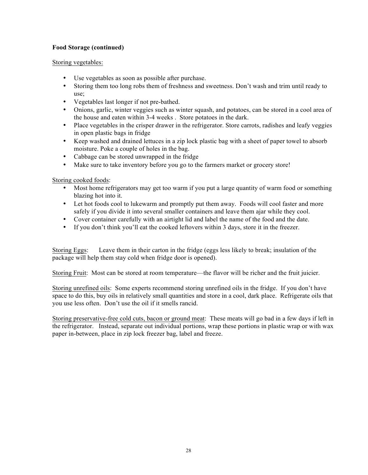#### **Food Storage (continued)**

#### Storing vegetables:

- Use vegetables as soon as possible after purchase.
- Storing them too long robs them of freshness and sweetness. Don't wash and trim until ready to use;
- Vegetables last longer if not pre-bathed.
- Onions, garlic, winter veggies such as winter squash, and potatoes, can be stored in a cool area of the house and eaten within 3-4 weeks . Store potatoes in the dark.
- Place vegetables in the crisper drawer in the refrigerator. Store carrots, radishes and leafy veggies in open plastic bags in fridge
- Keep washed and drained lettuces in a zip lock plastic bag with a sheet of paper towel to absorb moisture. Poke a couple of holes in the bag.
- Cabbage can be stored unwrapped in the fridge
- Make sure to take inventory before you go to the farmers market or grocery store!

#### Storing cooked foods:

- Most home refrigerators may get too warm if you put a large quantity of warm food or something blazing hot into it.
- Let hot foods cool to lukewarm and promptly put them away. Foods will cool faster and more safely if you divide it into several smaller containers and leave them ajar while they cool.
- Cover container carefully with an airtight lid and label the name of the food and the date.
- If you don't think you'll eat the cooked leftovers within 3 days, store it in the freezer.

Storing Eggs: Leave them in their carton in the fridge (eggs less likely to break; insulation of the package will help them stay cold when fridge door is opened).

Storing Fruit: Most can be stored at room temperature—the flavor will be richer and the fruit juicier.

Storing unrefined oils: Some experts recommend storing unrefined oils in the fridge. If you don't have space to do this, buy oils in relatively small quantities and store in a cool, dark place. Refrigerate oils that you use less often. Don't use the oil if it smells rancid.

Storing preservative-free cold cuts, bacon or ground meat: These meats will go bad in a few days if left in the refrigerator. Instead, separate out individual portions, wrap these portions in plastic wrap or with wax paper in-between, place in zip lock freezer bag, label and freeze.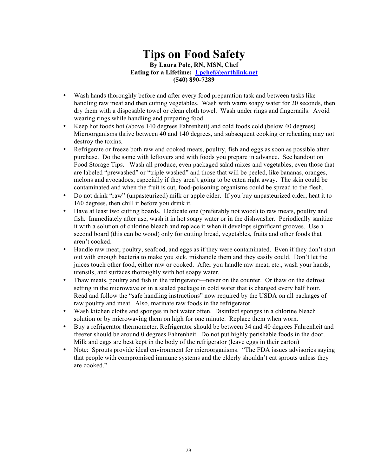## **Tips on Food Safety By Laura Pole, RN, MSN, Chef Eating for a Lifetime; Lpchef@earthlink.net (540) 890-7289**

- Wash hands thoroughly before and after every food preparation task and between tasks like handling raw meat and then cutting vegetables. Wash with warm soapy water for 20 seconds, then dry them with a disposable towel or clean cloth towel. Wash under rings and fingernails. Avoid wearing rings while handling and preparing food.
- Keep hot foods hot (above 140 degrees Fahrenheit) and cold foods cold (below 40 degrees) Microorganisms thrive between 40 and 140 degrees, and subsequent cooking or reheating may not destroy the toxins.
- Refrigerate or freeze both raw and cooked meats, poultry, fish and eggs as soon as possible after purchase. Do the same with leftovers and with foods you prepare in advance. See handout on Food Storage Tips. Wash all produce, even packaged salad mixes and vegetables, even those that are labeled "prewashed" or "triple washed" and those that will be peeled, like bananas, oranges, melons and avocadoes, especially if they aren't going to be eaten right away. The skin could be contaminated and when the fruit is cut, food-poisoning organisms could be spread to the flesh.
- Do not drink "raw" (unpasteurized) milk or apple cider. If you buy unpasteurized cider, heat it to 160 degrees, then chill it before you drink it.
- Have at least two cutting boards. Dedicate one (preferably not wood) to raw meats, poultry and fish. Immediately after use, wash it in hot soapy water or in the dishwasher. Periodically sanitize it with a solution of chlorine bleach and replace it when it develops significant grooves. Use a second board (this can be wood) only for cutting bread, vegetables, fruits and other foods that aren't cooked.
- Handle raw meat, poultry, seafood, and eggs as if they were contaminated. Even if they don't start out with enough bacteria to make you sick, mishandle them and they easily could. Don't let the juices touch other food, either raw or cooked. After you handle raw meat, etc., wash your hands, utensils, and surfaces thoroughly with hot soapy water.
- Thaw meats, poultry and fish in the refrigerator—never on the counter. Or thaw on the defrost setting in the microwave or in a sealed package in cold water that is changed every half hour. Read and follow the "safe handling instructions" now required by the USDA on all packages of raw poultry and meat. Also, marinate raw foods in the refrigerator.
- Wash kitchen cloths and sponges in hot water often. Disinfect sponges in a chlorine bleach solution or by microwaving them on high for one minute. Replace them when worn.
- Buy a refrigerator thermometer. Refrigerator should be between 34 and 40 degrees Fahrenheit and freezer should be around 0 degrees Fahrenheit. Do not put highly perishable foods in the door. Milk and eggs are best kept in the body of the refrigerator (leave eggs in their carton)
- Note: Sprouts provide ideal environment for microorganisms. "The FDA issues advisories saying that people with compromised immune systems and the elderly shouldn't eat sprouts unless they are cooked."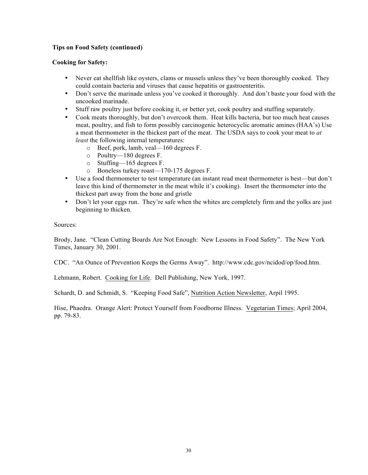#### **Tips on Food Safety (continued)**

#### **Cooking for Safety:**

- Never eat shell fish like oysters, clams or mussels unless they've been thoroughly cooked. They could contain bacteria and viruses that cause hepatitis or gastroenteritis.
- Don't serve the marinade unless you've cooked it thoroughly. And don't baste your food with the uncooked marinade.
- Stuff raw poultry just before cooking it, or better yet, cook poultry and stuffing separately.
- Cook meats thoroughly, but don't overcook them. Heat kills bacteria, but too much heat causes meat, poultry, and fish to form possibly carcinogenic heterocyclic aromatic amines (HAA's) Use a meat thermometer in the thickest part of the meat. The USDA says to cook your meat to *at least* the following internal temperatures:
	- o Beef, pork, lamb, veal—160 degrees F.
	- o Poultry—180 degrees F.
	- o Stuffing—165 degrees F.
	- o Boneless turkey roast—170-175 degrees F.
- Use a food thermometer to test temperature (an instant read meat thermometer is best—but don't leave this kind of thermometer in the meat while it's cooking). Insert the thermometer into the thickest part away from the bone and gristle
- Don't let your eggs run. They're safe when the whites are completely firm and the yolks are just beginning to thicken.

Sources:

Brody, Jane. "Clean Cutting Boards Are Not Enough: New Lessons in Food Safety". The New York Times, January 30, 2001.

CDC. "An Ounce of Prevention Keeps the Germs Away". http://www.cdc.gov/ncidod/op/food.htm.

Lehmann, Robert. Cooking for Life. Dell Publishing, New York, 1997.

Schardt, D. and Schmidt, S. "Keeping Food Safe", Nutrition Action Newsletter, Arpil 1995.

Hise, Phaedra. Orange Alert: Protect Yourself from Foodborne Illness. Vegetarian Times; April 2004, pp. 79-83.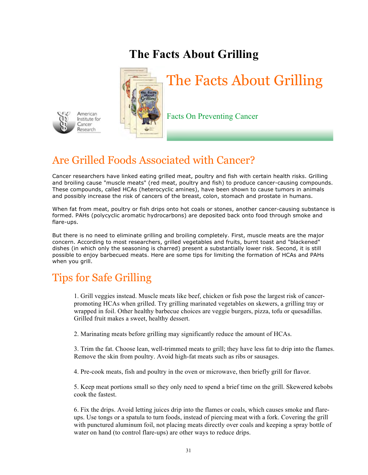# **The Facts About Grilling**



# Are Grilled Foods Associated with Cancer?

Cancer researchers have linked eating grilled meat, poultry and fish with certain health risks. Grilling and broiling cause "muscle meats" (red meat, poultry and fish) to produce cancer-causing compounds. These compounds, called HCAs (heterocyclic amines), have been shown to cause tumors in animals and possibly increase the risk of cancers of the breast, colon, stomach and prostate in humans.

When fat from meat, poultry or fish drips onto hot coals or stones, another cancer-causing substance is formed. PAHs (polycyclic aromatic hydrocarbons) are deposited back onto food through smoke and flare-ups.

But there is no need to eliminate grilling and broiling completely. First, muscle meats are the major concern. According to most researchers, grilled vegetables and fruits, burnt toast and "blackened" dishes (in which only the seasoning is charred) present a substantially lower risk. Second, it is still possible to enjoy barbecued meats. Here are some tips for limiting the formation of HCAs and PAHs when you grill.

# Tips for Safe Grilling

American Institute for Cancer Research

1. Grill veggies instead. Muscle meats like beef, chicken or fish pose the largest risk of cancerpromoting HCAs when grilled. Try grilling marinated vegetables on skewers, a grilling tray or wrapped in foil. Other healthy barbecue choices are veggie burgers, pizza, tofu or quesadillas. Grilled fruit makes a sweet, healthy dessert.

2. Marinating meats before grilling may significantly reduce the amount of HCAs.

3. Trim the fat. Choose lean, well-trimmed meats to grill; they have less fat to drip into the flames. Remove the skin from poultry. Avoid high-fat meats such as ribs or sausages.

4. Pre-cook meats, fish and poultry in the oven or microwave, then briefly grill for flavor.

5. Keep meat portions small so they only need to spend a brief time on the grill. Skewered kebobs cook the fastest.

6. Fix the drips. Avoid letting juices drip into the flames or coals, which causes smoke and flareups. Use tongs or a spatula to turn foods, instead of piercing meat with a fork. Covering the grill with punctured aluminum foil, not placing meats directly over coals and keeping a spray bottle of water on hand (to control flare-ups) are other ways to reduce drips.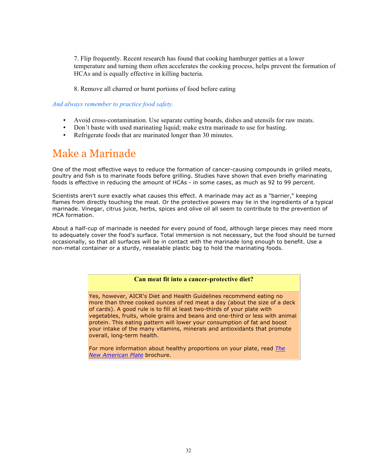7. Flip frequently. Recent research has found that cooking hamburger patties at a lower temperature and turning them often accelerates the cooking process, helps prevent the formation of HCAs and is equally effective in killing bacteria.

8. Remove all charred or burnt portions of food before eating

#### *And always remember to practice food safety.*

- Avoid cross-contamination. Use separate cutting boards, dishes and utensils for raw meats.
- Don't baste with used marinating liquid; make extra marinade to use for basting.
- Refrigerate foods that are marinated longer than 30 minutes.

# Make a Marinade

One of the most effective ways to reduce the formation of cancer-causing compounds in grilled meats, poultry and fish is to marinate foods before grilling. Studies have shown that even briefly marinating foods is effective in reducing the amount of HCAs - in some cases, as much as 92 to 99 percent.

Scientists aren't sure exactly what causes this effect. A marinade may act as a "barrier," keeping flames from directly touching the meat. Or the protective powers may lie in the ingredients of a typical marinade. Vinegar, citrus juice, herbs, spices and olive oil all seem to contribute to the prevention of HCA formation.

About a half-cup of marinade is needed for every pound of food, although large pieces may need more to adequately cover the food's surface. Total immersion is not necessary, but the food should be turned occasionally, so that all surfaces will be in contact with the marinade long enough to benefit. Use a non-metal container or a sturdy, resealable plastic bag to hold the marinating foods.

#### **Can meat fit into a cancer-protective diet?**

Yes, however, AICR's Diet and Health Guidelines recommend eating no more than three cooked ounces of red meat a day (about the size of a deck of cards). A good rule is to fill at least two-thirds of your plate with vegetables, fruits, whole grains and beans and one-third or less with animal protein. This eating pattern will lower your consumption of fat and boost your intake of the many vitamins, minerals and antioxidants that promote overall, long-term health.

For more information about healthy proportions on your plate, read *The New American Plate* brochure.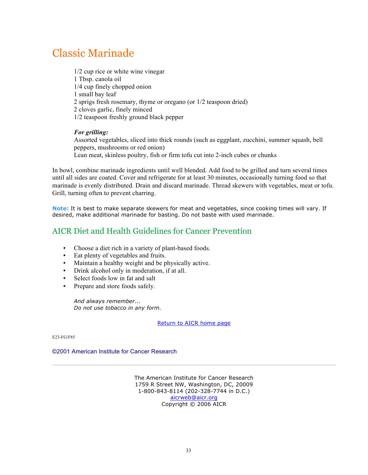# Classic Marinade

1/2 cup rice or white wine vinegar 1 Tbsp. canola oil 1/4 cup finely chopped onion 1 small bay leaf 2 sprigs fresh rosemary, thyme or oregano (or 1/2 teaspoon dried) 2 cloves garlic, finely minced 1/2 teaspoon freshly ground black pepper

#### *For grilling:*

Assorted vegetables, sliced into thick rounds (such as eggplant, zucchini, summer squash, bell peppers, mushrooms or red onion) Lean meat, skinless poultry, fish or firm tofu cut into 2-inch cubes or chunks

In bowl, combine marinade ingredients until well blended. Add food to be grilled and turn several times until all sides are coated. Cover and refrigerate for at least 30 minutes, occasionally turning food so that marinade is evenly distributed. Drain and discard marinade. Thread skewers with vegetables, meat or tofu. Grill, turning often to prevent charring.

**Note:** It is best to make separate skewers for meat and vegetables, since cooking times will vary. If desired, make additional marinade for basting. Do not baste with used marinade.

## AICR Diet and Health Guidelines for Cancer Prevention

- Choose a diet rich in a variety of plant-based foods.
- Eat plenty of vegetables and fruits.
- Maintain a healthy weight and be physically active.
- Drink alcohol only in moderation, if at all.
- Select foods low in fat and salt
- Prepare and store foods safely.

*And always remember... Do not use tobacco in any form.*

Return to AICR home page

E23-FG/F85

#### ©2001 American Institute for Cancer Research

The American Institute for Cancer Research 1759 R Street NW, Washington, DC, 20009 1-800-843-8114 (202-328-7744 in D.C.) aicrweb@aicr.org Copyright © 2006 AICR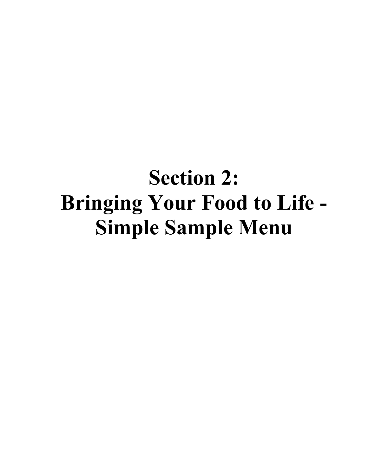# **Section 2: Bringing Your Food to Life - Simple Sample Menu**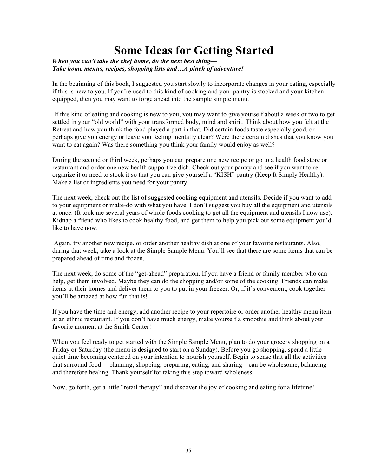# **Some Ideas for Getting Started**

#### *When you can't take the chef home, do the next best thing— Take home menus, recipes, shopping lists and…A pinch of adventure!*

In the beginning of this book, I suggested you start slowly to incorporate changes in your eating, especially if this is new to you. If you're used to this kind of cooking and your pantry is stocked and your kitchen equipped, then you may want to forge ahead into the sample simple menu.

If this kind of eating and cooking is new to you, you may want to give yourself about a week or two to get settled in your "old world" with your transformed body, mind and spirit. Think about how you felt at the Retreat and how you think the food played a part in that. Did certain foods taste especially good, or perhaps give you energy or leave you feeling mentally clear? Were there certain dishes that you know you want to eat again? Was there something you think your family would enjoy as well?

During the second or third week, perhaps you can prepare one new recipe or go to a health food store or restaurant and order one new health supportive dish. Check out your pantry and see if you want to reorganize it or need to stock it so that you can give yourself a "KISH" pantry (Keep It Simply Healthy). Make a list of ingredients you need for your pantry.

The next week, check out the list of suggested cooking equipment and utensils. Decide if you want to add to your equipment or make-do with what you have. I don't suggest you buy all the equipment and utensils at once. (It took me several years of whole foods cooking to get all the equipment and utensils I now use). Kidnap a friend who likes to cook healthy food, and get them to help you pick out some equipment you'd like to have now.

Again, try another new recipe, or order another healthy dish at one of your favorite restaurants. Also, during that week, take a look at the Simple Sample Menu. You'll see that there are some items that can be prepared ahead of time and frozen.

The next week, do some of the "get-ahead" preparation. If you have a friend or family member who can help, get them involved. Maybe they can do the shopping and/or some of the cooking. Friends can make items at their homes and deliver them to you to put in your freezer. Or, if it's convenient, cook together you'll be amazed at how fun that is!

If you have the time and energy, add another recipe to your repertoire or order another healthy menu item at an ethnic restaurant. If you don't have much energy, make yourself a smoothie and think about your favorite moment at the Smith Center!

When you feel ready to get started with the Simple Sample Menu, plan to do your grocery shopping on a Friday or Saturday (the menu is designed to start on a Sunday). Before you go shopping, spend a little quiet time becoming centered on your intention to nourish yourself. Begin to sense that all the activities that surround food— planning, shopping, preparing, eating, and sharing—can be wholesome, balancing and therefore healing. Thank yourself for taking this step toward wholeness.

Now, go forth, get a little "retail therapy" and discover the joy of cooking and eating for a lifetime!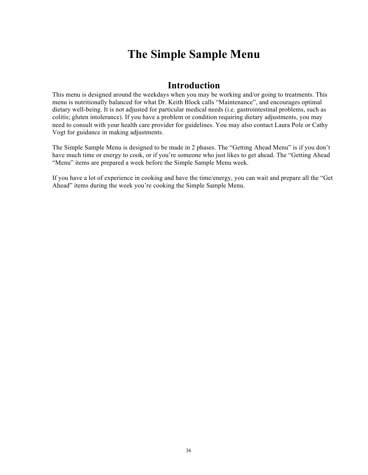# **The Simple Sample Menu**

# **Introduction**

This menu is designed around the weekdays when you may be working and/or going to treatments. This menu is nutritionally balanced for what Dr. Keith Block calls "Maintenance", and encourages optimal dietary well-being. It is not adjusted for particular medical needs (i.e. gastrointestinal problems, such as colitis; gluten intolerance). If you have a problem or condition requiring dietary adjustments, you may need to consult with your health care provider for guidelines. You may also contact Laura Pole or Cathy Vogt for guidance in making adjustments.

The Simple Sample Menu is designed to be made in 2 phases. The "Getting Ahead Menu" is if you don't have much time or energy to cook, or if you're someone who just likes to get ahead. The "Getting Ahead "Menu" items are prepared a week before the Simple Sample Menu week.

If you have a lot of experience in cooking and have the time/energy, you can wait and prepare all the "Get Ahead" items during the week you're cooking the Simple Sample Menu.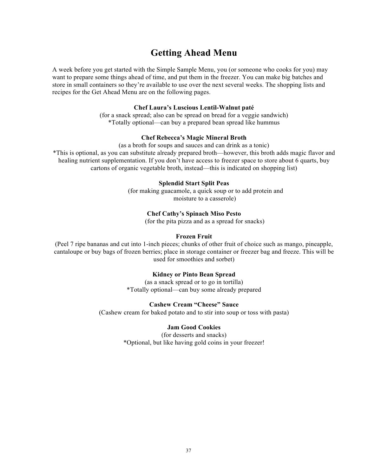# **Getting Ahead Menu**

A week before you get started with the Simple Sample Menu, you (or someone who cooks for you) may want to prepare some things ahead of time, and put them in the freezer. You can make big batches and store in small containers so they're available to use over the next several weeks. The shopping lists and recipes for the Get Ahead Menu are on the following pages.

#### **Chef Laura's Luscious Lentil-Walnut paté**

(for a snack spread; also can be spread on bread for a veggie sandwich) \*Totally optional—can buy a prepared bean spread like hummus

#### **Chef Rebecca's Magic Mineral Broth**

(as a broth for soups and sauces and can drink as a tonic) \*This is optional, as you can substitute already prepared broth—however, this broth adds magic flavor and healing nutrient supplementation. If you don't have access to freezer space to store about 6 quarts, buy cartons of organic vegetable broth, instead—this is indicated on shopping list)

#### **Splendid Start Split Peas**

(for making guacamole, a quick soup or to add protein and moisture to a casserole)

#### **Chef Cathy's Spinach Miso Pesto**

(for the pita pizza and as a spread for snacks)

#### **Frozen Fruit**

(Peel 7 ripe bananas and cut into 1-inch pieces; chunks of other fruit of choice such as mango, pineapple, cantaloupe or buy bags of frozen berries; place in storage container or freezer bag and freeze. This will be used for smoothies and sorbet)

#### **Kidney or Pinto Bean Spread**

(as a snack spread or to go in tortilla) \*Totally optional—can buy some already prepared

#### **Cashew Cream "Cheese" Sauce**

(Cashew cream for baked potato and to stir into soup or toss with pasta)

#### **Jam Good Cookies**

(for desserts and snacks) \*Optional, but like having gold coins in your freezer!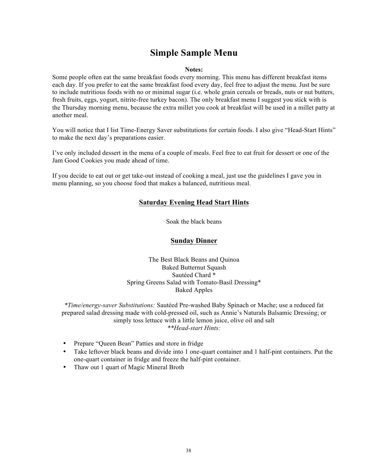# **Simple Sample Menu**

#### **Notes:**

Some people often eat the same breakfast foods every morning. This menu has different breakfast items each day. If you prefer to eat the same breakfast food every day, feel free to adjust the menu. Just be sure to include nutritious foods with no or minimal sugar (i.e. whole grain cereals or breads, nuts or nut butters, fresh fruits, eggs, yogurt, nitrite-free turkey bacon). The only breakfast menu I suggest you stick with is the Thursday morning menu, because the extra millet you cook at breakfast will be used in a millet patty at another meal.

You will notice that I list Time-Energy Saver substitutions for certain foods. I also give "Head-Start Hints" to make the next day's preparations easier.

I've only included dessert in the menu of a couple of meals. Feel free to eat fruit for dessert or one of the Jam Good Cookies you made ahead of time.

If you decide to eat out or get take-out instead of cooking a meal, just use the guidelines I gave you in menu planning, so you choose food that makes a balanced, nutritious meal.

# **Saturday Evening Head Start Hints**

Soak the black beans

## **Sunday Dinner**

The Best Black Beans and Quinoa Baked Butternut Squash Sautéed Chard \* Spring Greens Salad with Tomato-Basil Dressing\* Baked Apples

*\*Time/energy-saver Substitutions:* Sautéed Pre-washed Baby Spinach or Mache; use a reduced fat prepared salad dressing made with cold-pressed oil, such as Annie's Naturals Balsamic Dressing; or simply toss lettuce with a little lemon juice, olive oil and salt *\*\*Head-start Hints:* 

- Prepare "Queen Bean" Patties and store in fridge
- Take leftover black beans and divide into 1 one-quart container and 1 half-pint containers. Put the one-quart container in fridge and freeze the half-pint container.
- Thaw out 1 quart of Magic Mineral Broth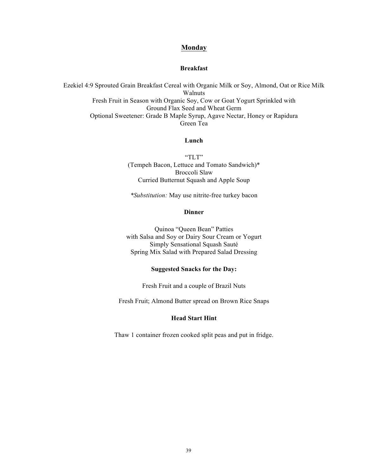#### **Monday**

#### **Breakfast**

Ezekiel 4:9 Sprouted Grain Breakfast Cereal with Organic Milk or Soy, Almond, Oat or Rice Milk Walnuts Fresh Fruit in Season with Organic Soy, Cow or Goat Yogurt Sprinkled with Ground Flax Seed and Wheat Germ Optional Sweetener: Grade B Maple Syrup, Agave Nectar, Honey or Rapidura Green Tea

## **Lunch**

"TLT" (Tempeh Bacon, Lettuce and Tomato Sandwich)\* Broccoli Slaw Curried Butternut Squash and Apple Soup

*\*Substitution:* May use nitrite-free turkey bacon

#### **Dinner**

Quinoa "Queen Bean" Patties with Salsa and Soy or Dairy Sour Cream or Yogurt Simply Sensational Squash Sauté Spring Mix Salad with Prepared Salad Dressing

#### **Suggested Snacks for the Day:**

Fresh Fruit and a couple of Brazil Nuts

Fresh Fruit; Almond Butter spread on Brown Rice Snaps

#### **Head Start Hint**

Thaw 1 container frozen cooked split peas and put in fridge.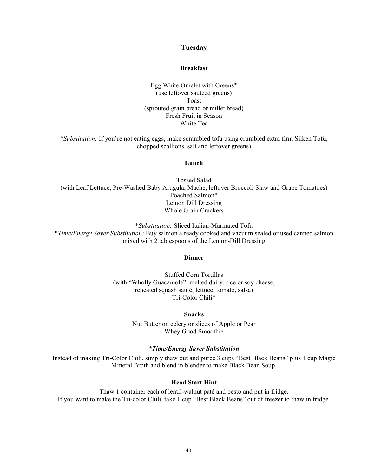#### **Tuesday**

#### **Breakfast**

Egg White Omelet with Greens\* (use leftover sautéed greens) Toast (sprouted grain bread or millet bread) Fresh Fruit in Season White Tea

*\*Substitution:* If you're not eating eggs, make scrambled tofu using crumbled extra firm Silken Tofu, chopped scallions, salt and leftover greens)

#### **Lunch**

Tossed Salad (with Leaf Lettuce, Pre-Washed Baby Arugula, Mache, leftover Broccoli Slaw and Grape Tomatoes) Poached Salmon\* Lemon Dill Dressing Whole Grain Crackers

\**Substitution:* Sliced Italian-Marinated Tofu \**Time/Energy Saver Substitution:* Buy salmon already cooked and vacuum sealed or used canned salmon mixed with 2 tablespoons of the Lemon-Dill Dressing

#### **Dinner**

Stuffed Corn Tortillas (with "Wholly Guacamole", melted dairy, rice or soy cheese, reheated squash sauté, lettuce, tomato, salsa) Tri-Color Chili\*

#### **Snacks**

Nut Butter on celery or slices of Apple or Pear Whey Good Smoothie

#### *\*Time/Energy Saver Substitution*

Instead of making Tri-Color Chili, simply thaw out and puree 3 cups "Best Black Beans" plus 1 cup Magic Mineral Broth and blend in blender to make Black Bean Soup.

#### **Head Start Hint**

Thaw 1 container each of lentil-walnut paté and pesto and put in fridge. If you want to make the Tri-color Chili, take 1 cup "Best Black Beans" out of freezer to thaw in fridge.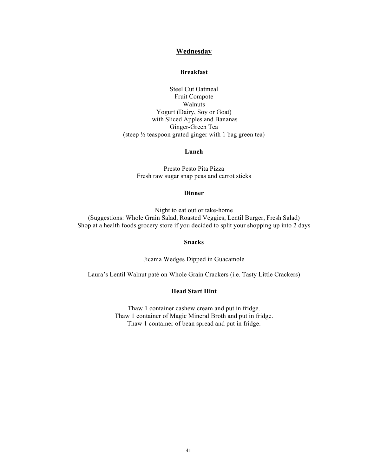#### **Wednesday**

#### **Breakfast**

Steel Cut Oatmeal Fruit Compote Walnuts Yogurt (Dairy, Soy or Goat) with Sliced Apples and Bananas Ginger-Green Tea (steep ½ teaspoon grated ginger with 1 bag green tea)

#### **Lunch**

Presto Pesto Pita Pizza Fresh raw sugar snap peas and carrot sticks

#### **Dinner**

Night to eat out or take-home (Suggestions: Whole Grain Salad, Roasted Veggies, Lentil Burger, Fresh Salad) Shop at a health foods grocery store if you decided to split your shopping up into 2 days

#### **Snacks**

Jicama Wedges Dipped in Guacamole

Laura's Lentil Walnut paté on Whole Grain Crackers (i.e. Tasty Little Crackers)

#### **Head Start Hint**

Thaw 1 container cashew cream and put in fridge. Thaw 1 container of Magic Mineral Broth and put in fridge. Thaw 1 container of bean spread and put in fridge.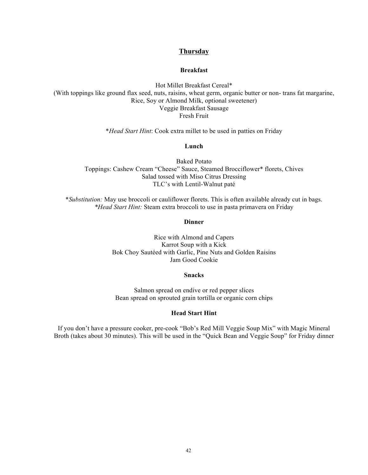#### **Thursday**

#### **Breakfast**

Hot Millet Breakfast Cereal\* (With toppings like ground flax seed, nuts, raisins, wheat germ, organic butter or non- trans fat margarine, Rice, Soy or Almond Milk, optional sweetener) Veggie Breakfast Sausage Fresh Fruit

\**Head Start Hint*: Cook extra millet to be used in patties on Friday

#### **Lunch**

Baked Potato Toppings: Cashew Cream "Cheese" Sauce, Steamed Brocciflower\* florets, Chives Salad tossed with Miso Citrus Dressing TLC's with Lentil-Walnut paté

\**Substitution:* May use broccoli or cauliflower florets. This is often available already cut in bags. *\*Head Start Hint:* Steam extra broccoli to use in pasta primavera on Friday

#### **Dinner**

Rice with Almond and Capers Karrot Soup with a Kick Bok Choy Sautéed with Garlic, Pine Nuts and Golden Raisins Jam Good Cookie

#### **Snacks**

Salmon spread on endive or red pepper slices Bean spread on sprouted grain tortilla or organic corn chips

#### **Head Start Hint**

If you don't have a pressure cooker, pre-cook "Bob's Red Mill Veggie Soup Mix" with Magic Mineral Broth (takes about 30 minutes). This will be used in the "Quick Bean and Veggie Soup" for Friday dinner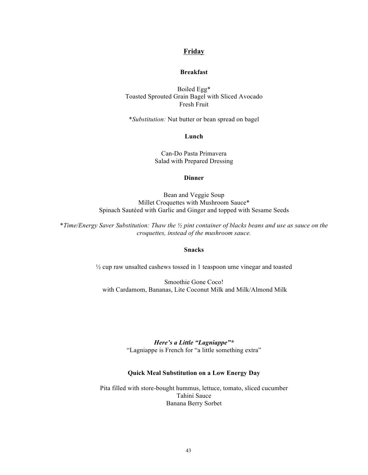#### **Friday**

#### **Breakfast**

Boiled Egg\* Toasted Sprouted Grain Bagel with Sliced Avocado Fresh Fruit

\**Substitution:* Nut butter or bean spread on bagel

**Lunch**

Can-Do Pasta Primavera Salad with Prepared Dressing

#### **Dinner**

Bean and Veggie Soup Millet Croquettes with Mushroom Sauce\* Spinach Sautéed with Garlic and Ginger and topped with Sesame Seeds

\**Time/Energy Saver Substitution: Thaw the ½ pint container of blacks beans and use as sauce on the croquettes, instead of the mushroom sauce.*

#### **Snacks**

½ cup raw unsalted cashews tossed in 1 teaspoon ume vinegar and toasted

Smoothie Gone Coco! with Cardamom, Bananas, Lite Coconut Milk and Milk/Almond Milk

> *Here's a Little "Lagniappe"\** "Lagniappe is French for "a little something extra"

#### **Quick Meal Substitution on a Low Energy Day**

Pita filled with store-bought hummus, lettuce, tomato, sliced cucumber Tahini Sauce Banana Berry Sorbet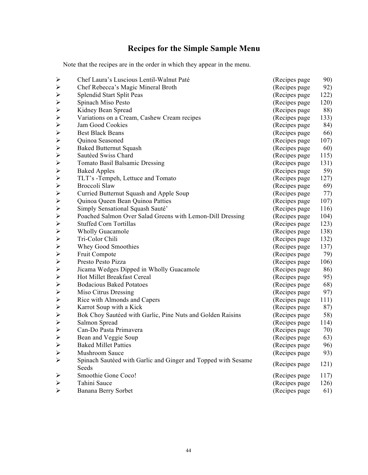# **Recipes for the Simple Sample Menu**

Note that the recipes are in the order in which they appear in the menu.

| $\blacktriangleright$ | Chef Laura's Luscious Lentil-Walnut Paté                               | (Recipes page) | 90)  |
|-----------------------|------------------------------------------------------------------------|----------------|------|
| $\blacktriangleright$ | Chef Rebecca's Magic Mineral Broth                                     | (Recipes page) | 92)  |
| $\blacktriangleright$ | Splendid Start Split Peas                                              | (Recipes page) | 122) |
| $\blacktriangleright$ | Spinach Miso Pesto                                                     | (Recipes page) | 120) |
| $\blacktriangleright$ | Kidney Bean Spread                                                     | (Recipes page  | 88)  |
| $\blacktriangleright$ | Variations on a Cream, Cashew Cream recipes                            | (Recipes page) | 133) |
| $\blacktriangleright$ | Jam Good Cookies                                                       | (Recipes page  | 84)  |
| $\blacktriangleright$ | <b>Best Black Beans</b>                                                | (Recipes page) | 66)  |
| $\blacktriangleright$ | Quinoa Seasoned                                                        | (Recipes page) | 107) |
| $\blacktriangleright$ | <b>Baked Butternut Squash</b>                                          | (Recipes page) | 60)  |
| $\blacktriangleright$ | Sautéed Swiss Chard                                                    | (Recipes page) | 115) |
| $\blacktriangleright$ | <b>Tomato Basil Balsamic Dressing</b>                                  | (Recipes page) | 131) |
| $\blacktriangleright$ | <b>Baked Apples</b>                                                    | (Recipes page) | 59)  |
| $\blacktriangleright$ | TLT's -Tempeh, Lettuce and Tomato                                      | (Recipes page) | 127) |
| $\blacktriangleright$ | Broccoli Slaw                                                          | (Recipes page) | 69)  |
| $\blacktriangleright$ | Curried Butternut Squash and Apple Soup                                | (Recipes page  | 77)  |
| $\blacktriangleright$ | Quinoa Queen Bean Quinoa Patties                                       | (Recipes page  | 107) |
| $\blacktriangleright$ | Simply Sensational Squash Sauté'                                       | (Recipes page  | 116) |
| $\blacktriangleright$ | Poached Salmon Over Salad Greens with Lemon-Dill Dressing              | (Recipes page) | 104) |
| $\blacktriangleright$ | <b>Stuffed Corn Tortillas</b>                                          | (Recipes page) | 123) |
| $\blacktriangleright$ | <b>Wholly Guacamole</b>                                                | (Recipes page) | 138) |
| $\blacktriangleright$ | Tri-Color Chili                                                        | (Recipes page) | 132) |
| $\blacktriangleright$ | Whey Good Smoothies                                                    | (Recipes page) | 137) |
| $\blacktriangleright$ | Fruit Compote                                                          | (Recipes page  | 79)  |
| $\blacktriangleright$ | Presto Pesto Pizza                                                     | (Recipes page) | 106) |
| $\blacktriangleright$ | Jicama Wedges Dipped in Wholly Guacamole                               | (Recipes page  | 86)  |
| $\blacktriangleright$ | Hot Millet Breakfast Cereal                                            | (Recipes page) | 95)  |
| $\blacktriangleright$ | <b>Bodacious Baked Potatoes</b>                                        | (Recipes page) | 68)  |
| $\blacktriangleright$ | Miso Citrus Dressing                                                   | (Recipes page  | 97)  |
| $\blacktriangleright$ | Rice with Almonds and Capers                                           | (Recipes page) | 111) |
| $\blacktriangleright$ | Karrot Soup with a Kick                                                | (Recipes page) | 87)  |
| $\blacktriangleright$ | Bok Choy Sautéed with Garlic, Pine Nuts and Golden Raisins             | (Recipes page) | 58)  |
| $\blacktriangleright$ | Salmon Spread                                                          | (Recipes page) | 114) |
| $\blacktriangleright$ | Can-Do Pasta Primavera                                                 | (Recipes page  | 70)  |
| $\blacktriangleright$ | Bean and Veggie Soup                                                   | (Recipes page) | 63)  |
| $\blacktriangleright$ | <b>Baked Millet Patties</b>                                            | (Recipes page  | 96)  |
| $\blacktriangleright$ | Mushroom Sauce                                                         | (Recipes page  | 93)  |
| $\blacktriangleright$ | Spinach Sautéed with Garlic and Ginger and Topped with Sesame<br>Seeds | (Recipes page) | 121) |
| ➤                     | Smoothie Gone Coco!                                                    | (Recipes page) | 117) |
| ➤                     | Tahini Sauce                                                           | (Recipes page  | 126) |
| $\blacktriangleright$ | Banana Berry Sorbet                                                    | (Recipes page  | 61)  |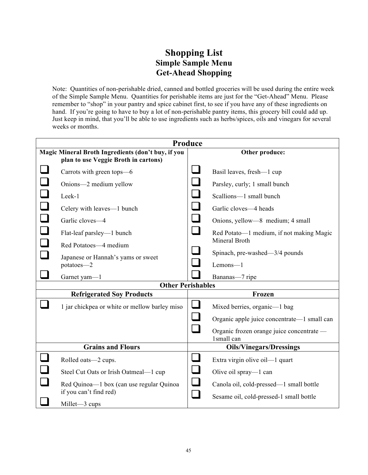# **Shopping List Simple Sample Menu Get-Ahead Shopping**

Note: Quantities of non-perishable dried, canned and bottled groceries will be used during the entire week of the Simple Sample Menu. Quantities for perishable items are just for the "Get-Ahead" Menu. Please remember to "shop" in your pantry and spice cabinet first, to see if you have any of these ingredients on hand. If you're going to have to buy a lot of non-perishable pantry items, this grocery bill could add up. Just keep in mind, that you'll be able to use ingredients such as herbs/spices, oils and vinegars for several weeks or months.

| Produce                                            |                                                                    |                |                                                         |
|----------------------------------------------------|--------------------------------------------------------------------|----------------|---------------------------------------------------------|
| Magic Mineral Broth Ingredients (don't buy, if you |                                                                    | Other produce: |                                                         |
|                                                    | plan to use Veggie Broth in cartons)                               |                |                                                         |
|                                                    | Carrots with green tops-6                                          |                | Basil leaves, fresh-1 cup                               |
|                                                    | Onions-2 medium yellow                                             |                | Parsley, curly; 1 small bunch                           |
|                                                    | Leek-1                                                             | $\mathcal{L}$  | Scallions-1 small bunch                                 |
| $\Box$                                             | Celery with leaves—1 bunch                                         | $\sqcup$       | Garlic cloves-4 heads                                   |
| $\Box$                                             | Garlic cloves-4                                                    |                | Onions, yellow—8 medium; 4 small                        |
|                                                    | Flat-leaf parsley—1 bunch                                          |                | Red Potato—1 medium, if not making Magic                |
|                                                    | Red Potatoes-4 medium                                              |                | Mineral Broth                                           |
|                                                    | Japanese or Hannah's yams or sweet                                 |                | Spinach, pre-washed—3/4 pounds                          |
|                                                    | potatoes-2                                                         |                | Lemons-1                                                |
|                                                    | Garnet yam-1                                                       |                | Bananas-7 ripe                                          |
|                                                    | <b>Other Perishables</b>                                           |                |                                                         |
|                                                    | <b>Refrigerated Soy Products</b>                                   |                | Frozen                                                  |
|                                                    | 1 jar chickpea or white or mellow barley miso                      |                | Mixed berries, organic—1 bag                            |
|                                                    |                                                                    |                | Organic apple juice concentrate—1 small can             |
|                                                    |                                                                    |                | Organic frozen orange juice concentrate -<br>1small can |
|                                                    | <b>Grains and Flours</b>                                           |                | <b>Oils/Vinegars/Dressings</b>                          |
|                                                    | Rolled oats-2 cups.                                                |                | Extra virgin olive oil—1 quart                          |
|                                                    | Steel Cut Oats or Irish Oatmeal-1 cup                              |                | Olive oil spray-1 can                                   |
|                                                    | Red Quinoa-l box (can use regular Quinoa<br>if you can't find red) |                | Canola oil, cold-pressed-1 small bottle                 |
|                                                    | Millet-3 cups                                                      |                | Sesame oil, cold-pressed-1 small bottle                 |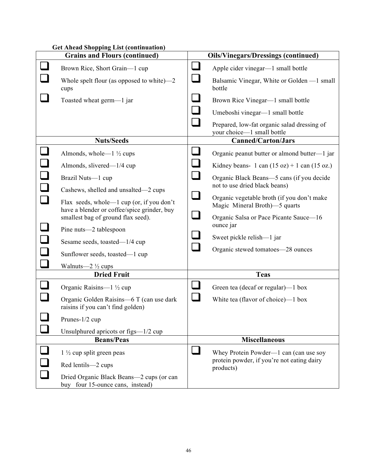|                            | Get Ahead Shopping List (continuation)                                                                                                                                                                                                                                                                                                                       |                                          |                                                                                                                                                                                                                                                                                                                                                                                         |
|----------------------------|--------------------------------------------------------------------------------------------------------------------------------------------------------------------------------------------------------------------------------------------------------------------------------------------------------------------------------------------------------------|------------------------------------------|-----------------------------------------------------------------------------------------------------------------------------------------------------------------------------------------------------------------------------------------------------------------------------------------------------------------------------------------------------------------------------------------|
|                            | <b>Grains and Flours (continued)</b>                                                                                                                                                                                                                                                                                                                         |                                          | <b>Oils/Vinegars/Dressings (continued)</b>                                                                                                                                                                                                                                                                                                                                              |
|                            | Brown Rice, Short Grain-1 cup<br>Whole spelt flour (as opposed to white) $-2$<br>cups                                                                                                                                                                                                                                                                        | $\sqcup$                                 | Apple cider vinegar—1 small bottle<br>Balsamic Vinegar, White or Golden —1 small<br>bottle                                                                                                                                                                                                                                                                                              |
|                            | Toasted wheat germ-1 jar                                                                                                                                                                                                                                                                                                                                     | $\sqcup$<br>$\Box$                       | Brown Rice Vinegar—1 small bottle<br>Umeboshi vinegar—1 small bottle<br>Prepared, low-fat organic salad dressing of                                                                                                                                                                                                                                                                     |
|                            |                                                                                                                                                                                                                                                                                                                                                              |                                          | your choice-1 small bottle                                                                                                                                                                                                                                                                                                                                                              |
|                            | <b>Nuts/Seeds</b>                                                                                                                                                                                                                                                                                                                                            |                                          | <b>Canned/Carton/Jars</b>                                                                                                                                                                                                                                                                                                                                                               |
| $\Box$<br>$\Box$<br>$\Box$ | Almonds, whole— $1\frac{1}{2}$ cups<br>Almonds, slivered—1/4 cup<br>Brazil Nuts-1 cup<br>Cashews, shelled and unsalted—2 cups<br>Flax seeds, whole—1 cup (or, if you don't<br>have a blender or coffee/spice grinder, buy<br>smallest bag of ground flax seed).<br>Pine nuts—2 tablespoon<br>Sesame seeds, toasted—1/4 cup<br>Sunflower seeds, toasted-1 cup | $\sqcup$<br>$\Box$<br>$\sqcup$<br>$\Box$ | Organic peanut butter or almond butter-1 jar<br>Kidney beans- 1 can $(15 oz) + 1$ can $(15 oz)$ .<br>Organic Black Beans-5 cans (if you decide<br>not to use dried black beans)<br>Organic vegetable broth (if you don't make<br>Magic Mineral Broth)—5 quarts<br>Organic Salsa or Pace Picante Sauce-16<br>ounce jar<br>Sweet pickle relish-1 jar<br>Organic stewed tomatoes-28 ounces |
|                            | Walnuts— $2\frac{1}{2}$ cups<br><b>Dried Fruit</b>                                                                                                                                                                                                                                                                                                           |                                          | <b>Teas</b>                                                                                                                                                                                                                                                                                                                                                                             |
|                            | Organic Raisins-1 1/2 cup<br>Organic Golden Raisins-6 T (can use dark<br>raisins if you can't find golden)<br>Prunes-1/2 cup                                                                                                                                                                                                                                 | $\mathcal{L}_{\mathcal{A}}$              | Green tea (decaf or regular)—1 box<br>White tea (flavor of choice)—1 box                                                                                                                                                                                                                                                                                                                |
|                            | Unsulphured apricots or figs—1/2 cup                                                                                                                                                                                                                                                                                                                         |                                          |                                                                                                                                                                                                                                                                                                                                                                                         |
|                            | <b>Beans/Peas</b>                                                                                                                                                                                                                                                                                                                                            |                                          | <b>Miscellaneous</b>                                                                                                                                                                                                                                                                                                                                                                    |
|                            | $1\frac{1}{2}$ cup split green peas<br>Red lentils-2 cups                                                                                                                                                                                                                                                                                                    |                                          | Whey Protein Powder—1 can (can use soy<br>protein powder, if you're not eating dairy<br>products)                                                                                                                                                                                                                                                                                       |
|                            | Dried Organic Black Beans-2 cups (or can<br>buy four 15-ounce cans, instead)                                                                                                                                                                                                                                                                                 |                                          |                                                                                                                                                                                                                                                                                                                                                                                         |

# **Get Ahead Shopping List (continuation)**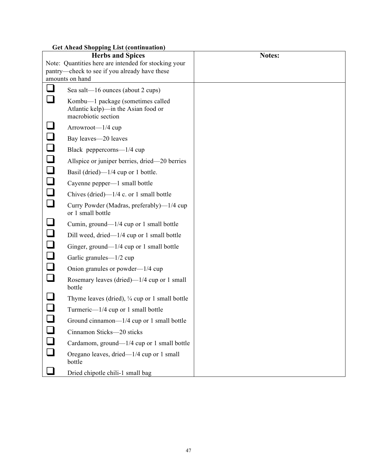| <b>Get Ahead Shopping List (continuation)</b> |                                                                                                 |        |
|-----------------------------------------------|-------------------------------------------------------------------------------------------------|--------|
|                                               | <b>Herbs and Spices</b>                                                                         | Notes: |
|                                               | Note: Quantities here are intended for stocking your                                            |        |
|                                               | pantry—check to see if you already have these                                                   |        |
|                                               | amounts on hand                                                                                 |        |
| $\Box$                                        | Sea salt—16 ounces (about 2 cups)                                                               |        |
|                                               | Kombu—1 package (sometimes called<br>Atlantic kelp)—in the Asian food or<br>macrobiotic section |        |
|                                               | Arrowroot-1/4 cup                                                                               |        |
|                                               | Bay leaves-20 leaves                                                                            |        |
|                                               | Black peppercorns—1/4 cup                                                                       |        |
|                                               | Allspice or juniper berries, dried—20 berries                                                   |        |
| 000000                                        | Basil (dried)—1/4 cup or 1 bottle.                                                              |        |
|                                               | Cayenne pepper—1 small bottle                                                                   |        |
|                                               | Chives (dried)— $1/4$ c. or 1 small bottle                                                      |        |
| $\Box$                                        | Curry Powder (Madras, preferably)—1/4 cup<br>or 1 small bottle                                  |        |
| $\Box$                                        | Cumin, ground—1/4 cup or 1 small bottle                                                         |        |
| $\Box$                                        | Dill weed, dried—1/4 cup or 1 small bottle                                                      |        |
| $\Box$                                        | Ginger, ground—1/4 cup or 1 small bottle                                                        |        |
| $\Box$                                        | Garlic granules—1/2 cup                                                                         |        |
|                                               | Onion granules or powder—1/4 cup                                                                |        |
| $\Box$                                        | Rosemary leaves (dried)— $1/4$ cup or 1 small<br>bottle                                         |        |
|                                               | Thyme leaves (dried), $\frac{1}{4}$ cup or 1 small bottle                                       |        |
|                                               | Turmeric—1/4 cup or 1 small bottle                                                              |        |
|                                               | Ground cinnamon— $1/4$ cup or 1 small bottle                                                    |        |
| $\Box$                                        | Cinnamon Sticks-20 sticks                                                                       |        |
| $\Box$                                        | Cardamom, ground—1/4 cup or 1 small bottle                                                      |        |
| $\Box$                                        | Oregano leaves, dried—1/4 cup or 1 small<br>bottle                                              |        |
|                                               | Dried chipotle chili-1 small bag                                                                |        |

# **Get Ahead Shopping List (continuation)**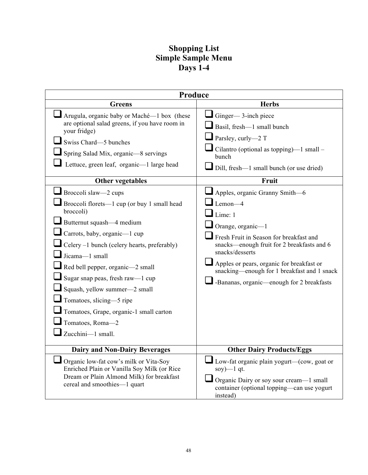# **Shopping List Simple Sample Menu Days 1-4**

| Produce                                                                                                                                                                                                                                                                                                                                                                                                                                                                                                                                                                                                                                                                                                          |                                                                                                                                                                                                                                                                                                                                                                                                                                                                                                                                                                                        |  |
|------------------------------------------------------------------------------------------------------------------------------------------------------------------------------------------------------------------------------------------------------------------------------------------------------------------------------------------------------------------------------------------------------------------------------------------------------------------------------------------------------------------------------------------------------------------------------------------------------------------------------------------------------------------------------------------------------------------|----------------------------------------------------------------------------------------------------------------------------------------------------------------------------------------------------------------------------------------------------------------------------------------------------------------------------------------------------------------------------------------------------------------------------------------------------------------------------------------------------------------------------------------------------------------------------------------|--|
| <b>Greens</b>                                                                                                                                                                                                                                                                                                                                                                                                                                                                                                                                                                                                                                                                                                    | <b>Herbs</b>                                                                                                                                                                                                                                                                                                                                                                                                                                                                                                                                                                           |  |
| Arugula, organic baby or Maché—1 box (these<br>are optional salad greens, if you have room in<br>your fridge)<br>Swiss Chard-5 bunches<br>Spring Salad Mix, organic-8 servings<br>Lettuce, green leaf, organic—1 large head<br><b>Other vegetables</b><br>$\blacksquare$ Broccoli slaw—2 cups<br>Broccoli florets—1 cup (or buy 1 small head<br>broccoli)<br>Butternut squash—4 medium<br>Carrots, baby, organic-1 cup<br>Celery -1 bunch (celery hearts, preferably)<br>Jicama-1 small<br>Red bell pepper, organic—2 small<br>Sugar snap peas, fresh raw—1 cup<br>Squash, yellow summer-2 small<br>Tomatoes, slicing-5 ripe<br>Tomatoes, Grape, organic-1 small carton<br>Tomatoes, Roma-2<br>Zucchini-1 small. | $\Box$ Ginger— 3-inch piece<br>$\blacksquare$ Basil, fresh—1 small bunch<br>$\blacksquare$ Parsley, curly—2 T<br>Cilantro (optional as topping)— $1$ small –<br>bunch<br>Dill, fresh—1 small bunch (or use dried)<br>Fruit<br>$\blacksquare$ Apples, organic Granny Smith—6<br>$\mathsf{Lemon-4}$<br>Lime: 1<br>Orange, organic-1<br>Fresh Fruit in Season for breakfast and<br>snacks-enough fruit for 2 breakfasts and 6<br>snacks/desserts<br>Apples or pears, organic for breakfast or<br>snacking—enough for 1 breakfast and 1 snack<br>-Bananas, organic—enough for 2 breakfasts |  |
| <b>Dairy and Non-Dairy Beverages</b>                                                                                                                                                                                                                                                                                                                                                                                                                                                                                                                                                                                                                                                                             | <b>Other Dairy Products/Eggs</b>                                                                                                                                                                                                                                                                                                                                                                                                                                                                                                                                                       |  |
| Organic low-fat cow's milk or Vita-Soy<br>Enriched Plain or Vanilla Soy Milk (or Rice<br>Dream or Plain Almond Milk) for breakfast<br>cereal and smoothies-1 quart                                                                                                                                                                                                                                                                                                                                                                                                                                                                                                                                               | $\blacksquare$ Low-fat organic plain yogurt—(cow, goat or<br>soy) $-1$ qt.<br>Organic Dairy or soy sour cream-1 small<br>container (optional topping—can use yogurt<br>instead)                                                                                                                                                                                                                                                                                                                                                                                                        |  |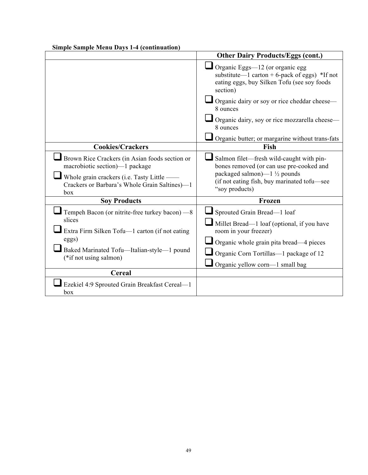| Simple Sample Menu Days 1-4 (continuation)                                                                                                                                                    |                                                                                                                                                                                                                                                                                |
|-----------------------------------------------------------------------------------------------------------------------------------------------------------------------------------------------|--------------------------------------------------------------------------------------------------------------------------------------------------------------------------------------------------------------------------------------------------------------------------------|
|                                                                                                                                                                                               | <b>Other Dairy Products/Eggs (cont.)</b>                                                                                                                                                                                                                                       |
|                                                                                                                                                                                               | $\Box$ Organic Eggs—12 (or organic egg<br>substitute—1 carton + 6-pack of eggs) $*$ If not<br>eating eggs, buy Silken Tofu (see soy foods<br>section)<br>Organic dairy or soy or rice cheddar cheese-<br>8 ounces<br>Organic dairy, soy or rice mozzarella cheese-<br>8 ounces |
|                                                                                                                                                                                               |                                                                                                                                                                                                                                                                                |
| <b>Cookies/Crackers</b>                                                                                                                                                                       | Organic butter; or margarine without trans-fats<br>Fish                                                                                                                                                                                                                        |
|                                                                                                                                                                                               |                                                                                                                                                                                                                                                                                |
| Brown Rice Crackers (in Asian foods section or<br>macrobiotic section)—1 package<br>Whole grain crackers (i.e. Tasty Little —<br>Crackers or Barbara's Whole Grain Saltines)—1<br>box         | Salmon filet—fresh wild-caught with pin-<br>bones removed (or can use pre-cooked and<br>packaged salmon)— $1\frac{1}{2}$ pounds<br>(if not eating fish, buy marinated tofu-see<br>"soy products)                                                                               |
| <b>Soy Products</b>                                                                                                                                                                           | Frozen                                                                                                                                                                                                                                                                         |
| Tempeh Bacon (or nitrite-free turkey bacon) —8<br>slices<br>Extra Firm Silken Tofu-1 carton (if not eating<br>eggs)<br>Baked Marinated Tofu-Italian-style-1 pound<br>$(*if not using salmon)$ | Sprouted Grain Bread-1 loaf<br>Millet Bread-1 loaf (optional, if you have<br>room in your freezer)<br>Organic whole grain pita bread-4 pieces<br>Organic Corn Tortillas-1 package of 12<br>Organic yellow corn-1 small bag                                                     |
| <b>Cereal</b>                                                                                                                                                                                 |                                                                                                                                                                                                                                                                                |
| Ezekiel 4:9 Sprouted Grain Breakfast Cereal-1<br>box                                                                                                                                          |                                                                                                                                                                                                                                                                                |

#### **Simple Sample Menu Days 1-4 (continuation)**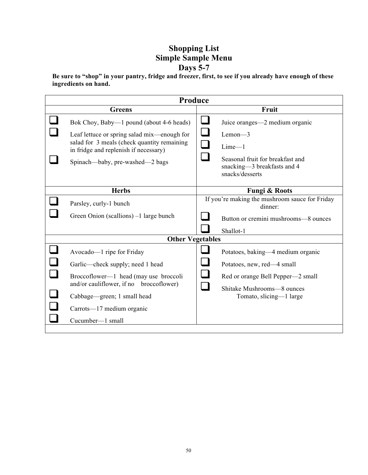# **Shopping List Simple Sample Menu Days 5-7**

**Be sure to "shop" in your pantry, fridge and freezer, first, to see if you already have enough of these ingredients on hand.**

| Produce |                                                                                            |        |                                                                                    |
|---------|--------------------------------------------------------------------------------------------|--------|------------------------------------------------------------------------------------|
|         | <b>Greens</b>                                                                              |        | Fruit                                                                              |
|         | Bok Choy, Baby—1 pound (about 4-6 heads)                                                   |        | Juice oranges—2 medium organic                                                     |
|         | Leaf lettuce or spring salad mix—enough for<br>salad for 3 meals (check quantity remaining | $\Box$ | $Lemon-3$                                                                          |
|         | in fridge and replenish if necessary)                                                      | $\Box$ | $Lime-1$                                                                           |
|         | Spinach—baby, pre-washed—2 bags                                                            | $\sim$ | Seasonal fruit for breakfast and<br>snacking-3 breakfasts and 4<br>snacks/desserts |
|         | <b>Herbs</b>                                                                               |        | <b>Fungi &amp; Roots</b>                                                           |
|         | Parsley, curly-1 bunch                                                                     |        | If you're making the mushroom sauce for Friday<br>dinner:                          |
|         | Green Onion (scallions) –1 large bunch                                                     |        | Button or cremini mushrooms-8 ounces                                               |
|         |                                                                                            |        | Shallot-1                                                                          |
|         | <b>Other Vegetables</b>                                                                    |        |                                                                                    |
|         | Avocado—1 ripe for Friday                                                                  |        | Potatoes, baking—4 medium organic                                                  |
|         | Garlic—check supply; need 1 head                                                           |        | Potatoes, new, red—4 small                                                         |
|         | Broccoflower—1 head (may use broccoli<br>and/or cauliflower, if no broccoflower)           |        | Red or orange Bell Pepper-2 small                                                  |
|         | Cabbage—green; 1 small head                                                                |        | Shitake Mushrooms-8 ounces<br>Tomato, slicing-1 large                              |
|         | Carrots—17 medium organic                                                                  |        |                                                                                    |
|         | Cucumber-1 small                                                                           |        |                                                                                    |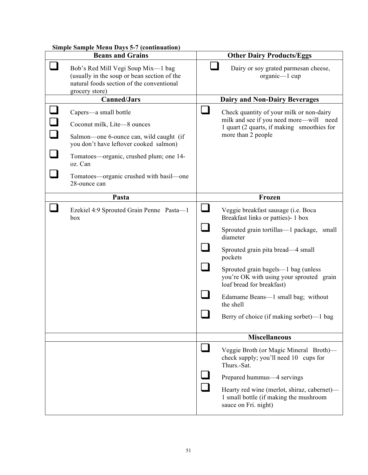| <b>Simple Sample Menu Days 5-7 (continuation)</b> |                                                                                                                                                                                                                                                            |                                                                                                                                                                                                                                                                                                                                                                                                   |
|---------------------------------------------------|------------------------------------------------------------------------------------------------------------------------------------------------------------------------------------------------------------------------------------------------------------|---------------------------------------------------------------------------------------------------------------------------------------------------------------------------------------------------------------------------------------------------------------------------------------------------------------------------------------------------------------------------------------------------|
|                                                   | <b>Beans and Grains</b>                                                                                                                                                                                                                                    | <b>Other Dairy Products/Eggs</b>                                                                                                                                                                                                                                                                                                                                                                  |
|                                                   | Bob's Red Mill Vegi Soup Mix-1 bag<br>(usually in the soup or bean section of the<br>natural foods section of the conventional<br>grocery store)                                                                                                           | Dairy or soy grated parmesan cheese,<br>organic—1 cup                                                                                                                                                                                                                                                                                                                                             |
|                                                   | <b>Canned/Jars</b>                                                                                                                                                                                                                                         | <b>Dairy and Non-Dairy Beverages</b>                                                                                                                                                                                                                                                                                                                                                              |
|                                                   | Capers-a small bottle<br>Coconut milk, Lite-8 ounces<br>Salmon—one 6-ounce can, wild caught (if<br>you don't have leftover cooked salmon)<br>Tomatoes—organic, crushed plum; one 14-<br>oz. Can<br>Tomatoes—organic crushed with basil—one<br>28-ounce can | Check quantity of your milk or non-dairy<br>milk and see if you need more—will need<br>1 quart (2 quarts, if making smoothies for<br>more than 2 people                                                                                                                                                                                                                                           |
|                                                   | Pasta                                                                                                                                                                                                                                                      | Frozen                                                                                                                                                                                                                                                                                                                                                                                            |
|                                                   | Ezekiel 4:9 Sprouted Grain Penne Pasta-1<br>box                                                                                                                                                                                                            | Veggie breakfast sausage (i.e. Boca<br>Breakfast links or patties)- 1 box<br>Sprouted grain tortillas—1 package, small<br>diameter<br>Sprouted grain pita bread—4 small<br>pockets<br>Sprouted grain bagels—1 bag (unless<br>you're OK with using your sprouted grain<br>loaf bread for breakfast)<br>Edamame Beans-1 small bag; without<br>the shell<br>Berry of choice (if making sorbet)-1 bag |
|                                                   |                                                                                                                                                                                                                                                            | <b>Miscellaneous</b>                                                                                                                                                                                                                                                                                                                                                                              |
|                                                   |                                                                                                                                                                                                                                                            | Veggie Broth (or Magic Mineral Broth)-<br>check supply; you'll need 10 cups for<br>Thurs.-Sat.<br>Prepared hummus—4 servings<br>Hearty red wine (merlot, shiraz, cabernet)—<br>1 small bottle (if making the mushroom<br>sauce on Fri. night)                                                                                                                                                     |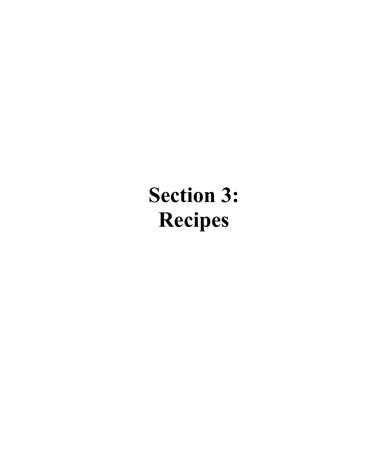# **Section 3: Recipes**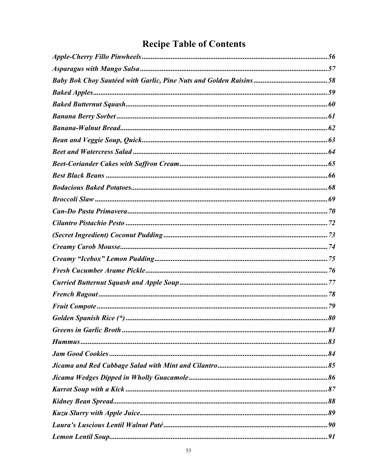# **Recipe Table of Contents**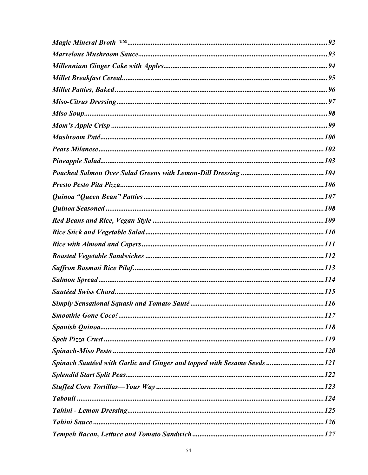| Spinach Sautéed with Garlic and Ginger and topped with Sesame Seeds 121 |  |
|-------------------------------------------------------------------------|--|
|                                                                         |  |
|                                                                         |  |
|                                                                         |  |
|                                                                         |  |
|                                                                         |  |
|                                                                         |  |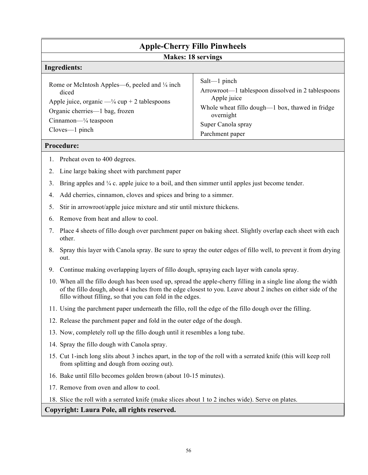| <b>Apple-Cherry Fillo Pinwheels</b><br><b>Makes: 18 servings</b>                                                                                                                                                  |                                                                                                                                                                                              |  |
|-------------------------------------------------------------------------------------------------------------------------------------------------------------------------------------------------------------------|----------------------------------------------------------------------------------------------------------------------------------------------------------------------------------------------|--|
| Ingredients:                                                                                                                                                                                                      |                                                                                                                                                                                              |  |
| Rome or McIntosh Apples—6, peeled and 1/4 inch<br>diced<br>Apple juice, organic $-$ <sup>1/4</sup> cup + 2 tablespoons<br>Organic cherries-1 bag, frozen<br>$Cinnamon—\frac{1}{4} teaspoon$<br>$Cloves - 1$ pinch | $Salt$ —1 pinch<br>Arrowroot—1 tablespoon dissolved in 2 tablespoons<br>Apple juice<br>Whole wheat fillo dough—1 box, thawed in fridge<br>overnight<br>Super Canola spray<br>Parchment paper |  |

# **Procedure:**

- 1. Preheat oven to 400 degrees.
- 2. Line large baking sheet with parchment paper
- 3. Bring apples and  $\frac{1}{4}$  c. apple juice to a boil, and then simmer until apples just become tender.
- 4. Add cherries, cinnamon, cloves and spices and bring to a simmer.
- 5. Stir in arrowroot/apple juice mixture and stir until mixture thickens.
- 6. Remove from heat and allow to cool.
- 7. Place 4 sheets of fillo dough over parchment paper on baking sheet. Slightly overlap each sheet with each other.
- 8. Spray this layer with Canola spray. Be sure to spray the outer edges of fillo well, to prevent it from drying out.
- 9. Continue making overlapping layers of fillo dough, spraying each layer with canola spray.
- 10. When all the fillo dough has been used up, spread the apple-cherry filling in a single line along the width of the fillo dough, about 4 inches from the edge closest to you. Leave about 2 inches on either side of the fillo without filling, so that you can fold in the edges.
- 11. Using the parchment paper underneath the fillo, roll the edge of the fillo dough over the filling.
- 12. Release the parchment paper and fold in the outer edge of the dough.
- 13. Now, completely roll up the fillo dough until it resembles a long tube.
- 14. Spray the fillo dough with Canola spray.
- 15. Cut 1-inch long slits about 3 inches apart, in the top of the roll with a serrated knife (this will keep roll from splitting and dough from oozing out).
- 16. Bake until fillo becomes golden brown (about 10-15 minutes).
- 17. Remove from oven and allow to cool.

18. Slice the roll with a serrated knife (make slices about 1 to 2 inches wide). Serve on plates.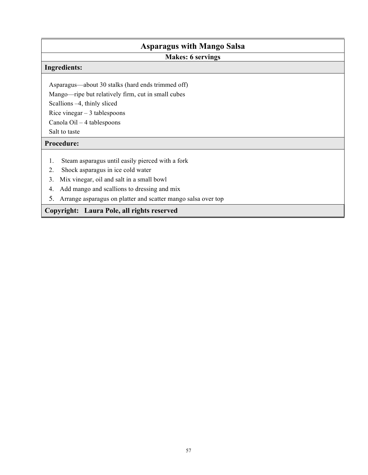# **Asparagus with Mango Salsa**

# **Makes: 6 servings**

# **Ingredients:**

Asparagus—about 30 stalks (hard ends trimmed off)

Mango—ripe but relatively firm, cut in small cubes

Scallions –4, thinly sliced

Rice vinegar  $-3$  tablespoons

Canola Oil – 4 tablespoons

Salt to taste

# **Procedure:**

- 1. Steam asparagus until easily pierced with a fork
- 2. Shock asparagus in ice cold water
- 3. Mix vinegar, oil and salt in a small bowl
- 4. Add mango and scallions to dressing and mix
- 5. Arrange asparagus on platter and scatter mango salsa over top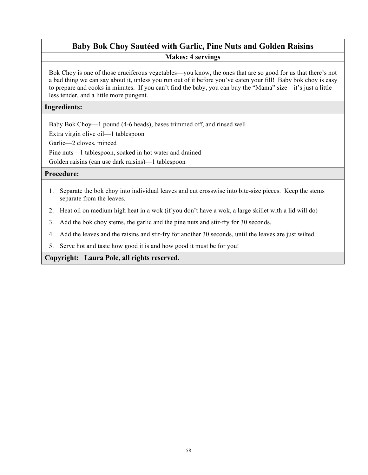# **Baby Bok Choy Sautéed with Garlic, Pine Nuts and Golden Raisins Makes: 4 servings**

Bok Choy is one of those cruciferous vegetables—you know, the ones that are so good for us that there's not a bad thing we can say about it, unless you run out of it before you've eaten your fill! Baby bok choy is easy to prepare and cooks in minutes. If you can't find the baby, you can buy the "Mama" size—it's just a little less tender, and a little more pungent.

# **Ingredients:**

Baby Bok Choy—1 pound (4-6 heads), bases trimmed off, and rinsed well

Extra virgin olive oil—1 tablespoon

Garlic—2 cloves, minced

Pine nuts—1 tablespoon, soaked in hot water and drained

Golden raisins (can use dark raisins)—1 tablespoon

# **Procedure:**

- 1. Separate the bok choy into individual leaves and cut crosswise into bite-size pieces. Keep the stems separate from the leaves.
- 2. Heat oil on medium high heat in a wok (if you don't have a wok, a large skillet with a lid will do)
- 3. Add the bok choy stems, the garlic and the pine nuts and stir-fry for 30 seconds.
- 4. Add the leaves and the raisins and stir-fry for another 30 seconds, until the leaves are just wilted.
- 5. Serve hot and taste how good it is and how good it must be for you!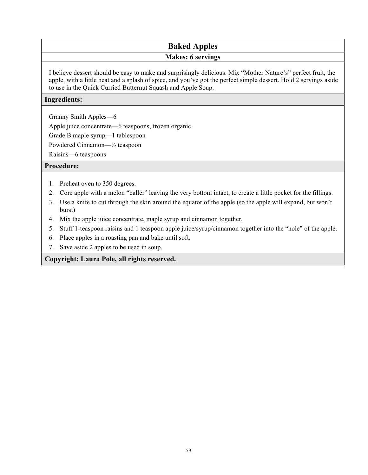# **Baked Apples**

# **Makes: 6 servings**

I believe dessert should be easy to make and surprisingly delicious. Mix "Mother Nature's" perfect fruit, the apple, with a little heat and a splash of spice, and you've got the perfect simple dessert. Hold 2 servings aside to use in the Quick Curried Butternut Squash and Apple Soup.

# **Ingredients:**

Granny Smith Apples—6

Apple juice concentrate—6 teaspoons, frozen organic

Grade B maple syrup—1 tablespoon

Powdered Cinnamon—½ teaspoon

Raisins—6 teaspoons

# **Procedure:**

- 1. Preheat oven to 350 degrees.
- 2. Core apple with a melon "baller" leaving the very bottom intact, to create a little pocket for the fillings.
- 3. Use a knife to cut through the skin around the equator of the apple (so the apple will expand, but won't burst)
- 4. Mix the apple juice concentrate, maple syrup and cinnamon together.
- 5. Stuff 1-teaspoon raisins and 1 teaspoon apple juice/syrup/cinnamon together into the "hole" of the apple.
- 6. Place apples in a roasting pan and bake until soft.
- 7. Save aside 2 apples to be used in soup.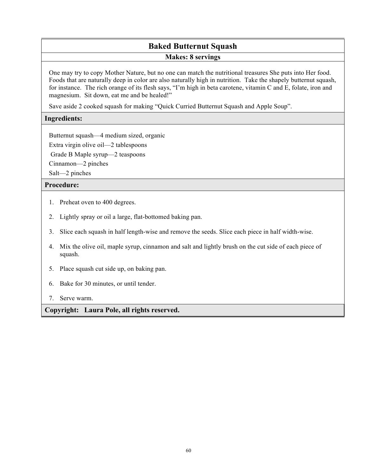# **Baked Butternut Squash**

#### **Makes: 8 servings**

One may try to copy Mother Nature, but no one can match the nutritional treasures She puts into Her food. Foods that are naturally deep in color are also naturally high in nutrition. Take the shapely butternut squash, for instance. The rich orange of its flesh says, "I'm high in beta carotene, vitamin C and E, folate, iron and magnesium. Sit down, eat me and be healed!"

Save aside 2 cooked squash for making "Quick Curried Butternut Squash and Apple Soup".

# **Ingredients:**

Butternut squash—4 medium sized, organic

Extra virgin olive oil—2 tablespoons

Grade B Maple syrup—2 teaspoons

Cinnamon—2 pinches

Salt—2 pinches

# **Procedure:**

- 1. Preheat oven to 400 degrees.
- 2. Lightly spray or oil a large, flat-bottomed baking pan.
- 3. Slice each squash in half length-wise and remove the seeds. Slice each piece in half width-wise.
- 4. Mix the olive oil, maple syrup, cinnamon and salt and lightly brush on the cut side of each piece of squash.
- 5. Place squash cut side up, on baking pan.
- 6. Bake for 30 minutes, or until tender.
- 7. Serve warm.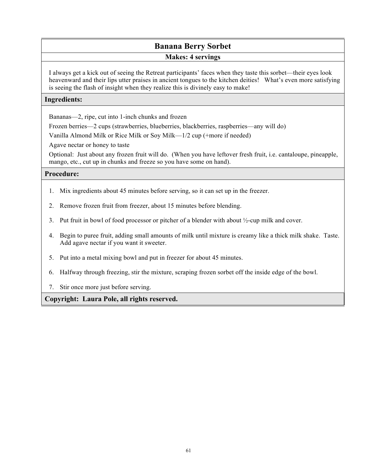# **Banana Berry Sorbet**

## **Makes: 4 servings**

I always get a kick out of seeing the Retreat participants' faces when they taste this sorbet—their eyes look heavenward and their lips utter praises in ancient tongues to the kitchen deities! What's even more satisfying is seeing the flash of insight when they realize this is divinely easy to make!

# **Ingredients:**

Bananas—2, ripe, cut into 1-inch chunks and frozen

Frozen berries—2 cups (strawberries, blueberries, blackberries, raspberries—any will do)

Vanilla Almond Milk or Rice Milk or Soy Milk—1/2 cup (+more if needed)

Agave nectar or honey to taste

Optional: Just about any frozen fruit will do. (When you have leftover fresh fruit, i.e. cantaloupe, pineapple, mango, etc., cut up in chunks and freeze so you have some on hand).

# **Procedure:**

- 1. Mix ingredients about 45 minutes before serving, so it can set up in the freezer.
- 2. Remove frozen fruit from freezer, about 15 minutes before blending.
- 3. Put fruit in bowl of food processor or pitcher of a blender with about ½-cup milk and cover.
- 4. Begin to puree fruit, adding small amounts of milk until mixture is creamy like a thick milk shake. Taste. Add agave nectar if you want it sweeter.
- 5. Put into a metal mixing bowl and put in freezer for about 45 minutes.
- 6. Halfway through freezing, stir the mixture, scraping frozen sorbet off the inside edge of the bowl.
- 7. Stir once more just before serving.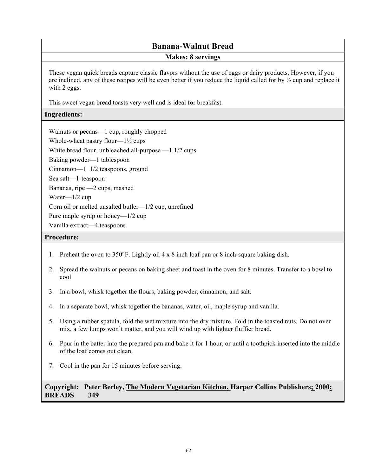# **Banana-Walnut Bread**

## **Makes: 8 servings**

These vegan quick breads capture classic flavors without the use of eggs or dairy products. However, if you are inclined, any of these recipes will be even better if you reduce the liquid called for by  $\frac{1}{2}$  cup and replace it with 2 eggs.

This sweet vegan bread toasts very well and is ideal for breakfast.

# **Ingredients:**

Walnuts or pecans—1 cup, roughly chopped Whole-wheat pastry flour— $1\frac{1}{2}$  cups White bread flour, unbleached all-purpose —1 1/2 cups Baking powder—1 tablespoon Cinnamon—1 1/2 teaspoons, ground Sea salt—1-teaspoon Bananas, ripe —2 cups, mashed Water—1/2 cup Corn oil or melted unsalted butler—1/2 cup, unrefined Pure maple syrup or honey—1/2 cup Vanilla extract—4 teaspoons

## **Procedure:**

- 1. Preheat the oven to 350°F. Lightly oil 4 x 8 inch loaf pan or 8 inch-square baking dish.
- 2. Spread the walnuts or pecans on baking sheet and toast in the oven for 8 minutes. Transfer to a bowl to cool
- 3. In a bowl, whisk together the flours, baking powder, cinnamon, and salt.
- 4. ln a separate bowl, whisk together the bananas, water, oil, maple syrup and vanilla.
- 5. Using a rubber spatula, fold the wet mixture into the dry mixture. Fold in the toasted nuts. Do not over mix, a few lumps won't matter, and you will wind up with lighter fluffier bread.
- 6. Pour in the batter into the prepared pan and bake it for 1 hour, or until a toothpick inserted into the middle of the loaf comes out clean.
- 7. Cool in the pan for 15 minutes before serving.

# **Copyright: Peter Berley, The Modern Vegetarian Kitchen, Harper Collins Publishers; 2000; BREADS 349**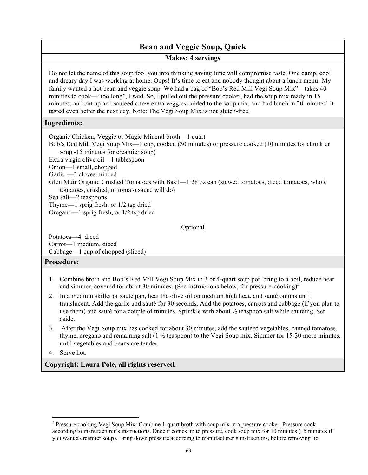# **Bean and Veggie Soup, Quick**

# **Makes: 4 servings**

Do not let the name of this soup fool you into thinking saving time will compromise taste. One damp, cool and dreary day I was working at home. Oops! It's time to eat and nobody thought about a lunch menu! My family wanted a hot bean and veggie soup. We had a bag of "Bob's Red Mill Vegi Soup Mix"—takes 40 minutes to cook—"too long", I said. So, I pulled out the pressure cooker, had the soup mix ready in 15 minutes, and cut up and sautéed a few extra veggies, added to the soup mix, and had lunch in 20 minutes! It tasted even better the next day. Note: The Vegi Soup Mix is not gluten-free.

## **Ingredients:**

Organic Chicken, Veggie or Magic Mineral broth—1 quart Bob's Red Mill Vegi Soup Mix—1 cup, cooked (30 minutes) or pressure cooked (10 minutes for chunkier soup -15 minutes for creamier soup) Extra virgin olive oil—1 tablespoon Onion—1 small, chopped Garlic —3 cloves minced Glen Muir Organic Crushed Tomatoes with Basil—1 28 oz can (stewed tomatoes, diced tomatoes, whole tomatoes, crushed, or tomato sauce will do) Sea salt—2 teaspoons Thyme—1 sprig fresh, or 1/2 tsp dried Oregano—1 sprig fresh, or 1/2 tsp dried

#### Optional

Potatoes—4, diced Carrot—1 medium, diced Cabbage—1 cup of chopped (sliced)

# **Procedure:**

- 1. Combine broth and Bob's Red Mill Vegi Soup Mix in 3 or 4-quart soup pot, bring to a boil, reduce heat and simmer, covered for about 30 minutes. (See instructions below, for pressure-cooking)<sup>3.</sup>
- 2. In a medium skillet or sauté pan, heat the olive oil on medium high heat, and sauté onions until translucent. Add the garlic and sauté for 30 seconds. Add the potatoes, carrots and cabbage (if you plan to use them) and sauté for a couple of minutes. Sprinkle with about ½ teaspoon salt while sautéing. Set aside.
- 3. After the Vegi Soup mix has cooked for about 30 minutes, add the sautéed vegetables, canned tomatoes, thyme, oregano and remaining salt (1 ½ teaspoon) to the Vegi Soup mix. Simmer for 15-30 more minutes, until vegetables and beans are tender.

4. Serve hot.

l

<sup>&</sup>lt;sup>3</sup> Pressure cooking Vegi Soup Mix: Combine 1-quart broth with soup mix in a pressure cooker. Pressure cook according to manufacturer's instructions. Once it comes up to pressure, cook soup mix for 10 minutes (15 minutes if you want a creamier soup). Bring down pressure according to manufacturer's instructions, before removing lid.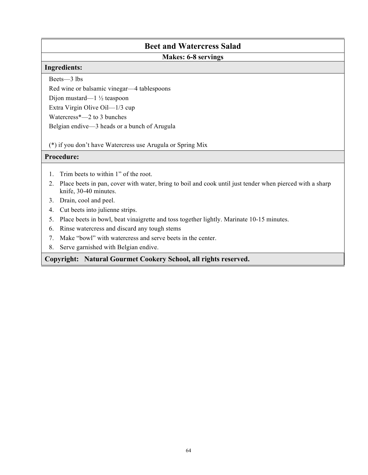# **Beet and Watercress Salad**

# **Makes: 6-8 servings**

#### **Ingredients:**

Beets—3 lbs

Red wine or balsamic vinegar—4 tablespoons

Dijon mustard—1 ½ teaspoon

Extra Virgin Olive Oil—1/3 cup

Watercress\*—2 to 3 bunches

Belgian endive—3 heads or a bunch of Arugula

(\*) if you don't have Watercress use Arugula or Spring Mix

# **Procedure:**

- 1. Trim beets to within 1" of the root.
- 2. Place beets in pan, cover with water, bring to boil and cook until just tender when pierced with a sharp knife, 30-40 minutes.
- 3. Drain, cool and peel.
- 4. Cut beets into julienne strips.
- 5. Place beets in bowl, beat vinaigrette and toss together lightly. Marinate 10-15 minutes.
- 6. Rinse watercress and discard any tough stems
- 7. Make "bowl" with watercress and serve beets in the center.
- 8. Serve garnished with Belgian endive.

**Copyright: Natural Gourmet Cookery School, all rights reserved.**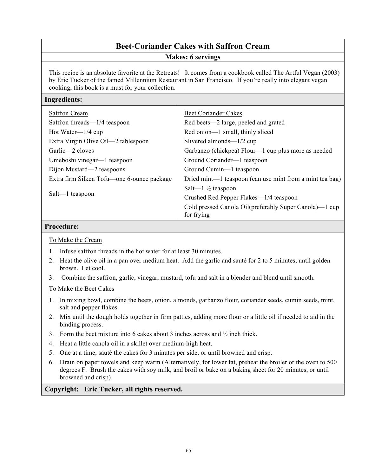# **Beet-Coriander Cakes with Saffron Cream**

**Makes: 6 servings** 

This recipe is an absolute favorite at the Retreats! It comes from a cookbook called The Artful Vegan (2003) by Eric Tucker of the famed Millennium Restaurant in San Francisco. If you're really into elegant vegan cooking, this book is a must for your collection.

## **Ingredients:**

| <b>Saffron Cream</b>                       | <b>Beet Coriander Cakes</b>                                          |
|--------------------------------------------|----------------------------------------------------------------------|
| Saffron threads—1/4 teaspoon               | Red beets—2 large, peeled and grated                                 |
| Hot Water— $1/4$ cup                       | Red onion—1 small, thinly sliced                                     |
| Extra Virgin Olive Oil—2 tablespoon        | Slivered almonds— $1/2$ cup                                          |
| Garlic—2 cloves                            | Garbanzo (chickpea) Flour—1 cup plus more as needed                  |
| Umeboshi vinegar—1 teaspoon                | Ground Coriander—1 teaspoon                                          |
| Dijon Mustard—2 teaspoons                  | Ground Cumin—1 teaspoon                                              |
| Extra firm Silken Tofu—one 6-ounce package | Dried mint—1 teaspoon (can use mint from a mint tea bag)             |
| Salt—1 teaspoon                            | Salt— $1\frac{1}{2}$ teaspoon                                        |
|                                            | Crushed Red Pepper Flakes—1/4 teaspoon                               |
|                                            | Cold pressed Canola Oil(preferably Super Canola)—1 cup<br>for frying |

#### **Procedure:**

To Make the Cream

- 1. Infuse saffron threads in the hot water for at least 30 minutes.
- 2. Heat the olive oil in a pan over medium heat. Add the garlic and sauté for 2 to 5 minutes, until golden brown. Let cool.
- 3. Combine the saffron, garlic, vinegar, mustard, tofu and salt in a blender and blend until smooth.

To Make the Beet Cakes

- 1. In mixing bowl, combine the beets, onion, almonds, garbanzo flour, coriander seeds, cumin seeds, mint, salt and pepper flakes.
- 2. Mix until the dough holds together in firm patties, adding more flour or a little oil if needed to aid in the binding process.
- 3. Form the beet mixture into 6 cakes about 3 inches across and  $\frac{1}{2}$  inch thick.
- 4. Heat a little canola oil in a skillet over medium-high heat.
- 5. One at a time, sauté the cakes for 3 minutes per side, or until browned and crisp.
- 6. Drain on paper towels and keep warm (Alternatively, for lower fat, preheat the broiler or the oven to 500 degrees F. Brush the cakes with soy milk, and broil or bake on a baking sheet for 20 minutes, or until browned and crisp)

#### **Copyright: Eric Tucker, all rights reserved.**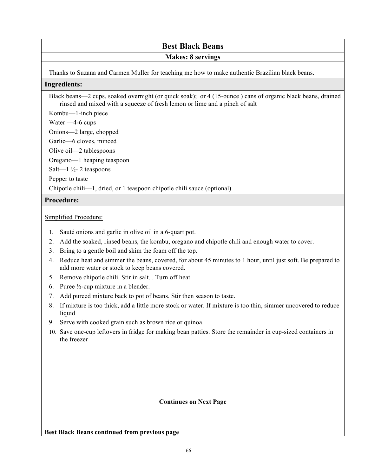# **Best Black Beans**

# **Makes: 8 servings**

Thanks to Suzana and Carmen Muller for teaching me how to make authentic Brazilian black beans.

## **Ingredients:**

Black beans—2 cups, soaked overnight (or quick soak); or 4 (15-ounce ) cans of organic black beans, drained rinsed and mixed with a squeeze of fresh lemon or lime and a pinch of salt

Kombu—1-inch piece

Water —4-6 cups

Onions—2 large, chopped

Garlic—6 cloves, minced

Olive oil—2 tablespoons

Oregano—1 heaping teaspoon

Salt— $1\frac{1}{2}$ - 2 teaspoons

Pepper to taste

Chipotle chili—1, dried, or 1 teaspoon chipotle chili sauce (optional)

# **Procedure:**

## Simplified Procedure:

- 1. Sauté onions and garlic in olive oil in a 6-quart pot.
- 2. Add the soaked, rinsed beans, the kombu, oregano and chipotle chili and enough water to cover.
- 3. Bring to a gentle boil and skim the foam off the top.
- 4. Reduce heat and simmer the beans, covered, for about 45 minutes to 1 hour, until just soft. Be prepared to add more water or stock to keep beans covered.
- 5. Remove chipotle chili. Stir in salt. . Turn off heat.
- 6. Puree ½-cup mixture in a blender.
- 7. Add pureed mixture back to pot of beans. Stir then season to taste.
- 8. If mixture is too thick, add a little more stock or water. If mixture is too thin, simmer uncovered to reduce liquid
- 9. Serve with cooked grain such as brown rice or quinoa.
- 10. Save one-cup leftovers in fridge for making bean patties. Store the remainder in cup-sized containers in the freezer

# **Continues on Next Page**

**Best Black Beans continued from previous page**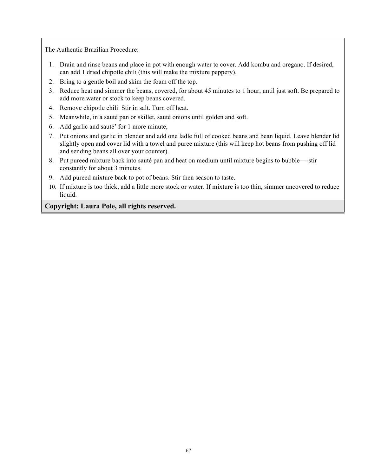The Authentic Brazilian Procedure:

- 1. Drain and rinse beans and place in pot with enough water to cover. Add kombu and oregano. If desired, can add 1 dried chipotle chili (this will make the mixture peppery).
- 2. Bring to a gentle boil and skim the foam off the top.
- 3. Reduce heat and simmer the beans, covered, for about 45 minutes to 1 hour, until just soft. Be prepared to add more water or stock to keep beans covered.
- 4. Remove chipotle chili. Stir in salt. Turn off heat.
- 5. Meanwhile, in a sauté pan or skillet, sauté onions until golden and soft.
- 6. Add garlic and sauté' for 1 more minute,
- 7. Put onions and garlic in blender and add one ladle full of cooked beans and bean liquid. Leave blender lid slightly open and cover lid with a towel and puree mixture (this will keep hot beans from pushing off lid and sending beans all over your counter).
- 8. Put pureed mixture back into sauté pan and heat on medium until mixture begins to bubble—-stir constantly for about 3 minutes.
- 9. Add pureed mixture back to pot of beans. Stir then season to taste.
- 10. If mixture is too thick, add a little more stock or water. If mixture is too thin, simmer uncovered to reduce liquid.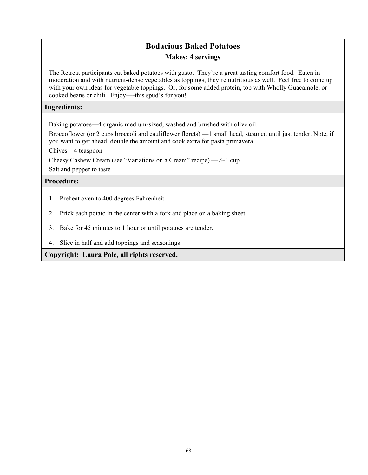# **Bodacious Baked Potatoes Makes: 4 servings**

The Retreat participants eat baked potatoes with gusto. They're a great tasting comfort food. Eaten in moderation and with nutrient-dense vegetables as toppings, they're nutritious as well. Feel free to come up with your own ideas for vegetable toppings. Or, for some added protein, top with Wholly Guacamole, or cooked beans or chili. Enjoy—-this spud's for you!

# **Ingredients:**

Baking potatoes—4 organic medium-sized, washed and brushed with olive oil.

Broccoflower (or 2 cups broccoli and cauliflower florets) —1 small head, steamed until just tender. Note, if you want to get ahead, double the amount and cook extra for pasta primavera

Chives—4 teaspoon

Cheesy Cashew Cream (see "Variations on a Cream" recipe)  $-\frac{1}{2}$ -1 cup

Salt and pepper to taste

# **Procedure:**

- 1. Preheat oven to 400 degrees Fahrenheit.
- 2. Prick each potato in the center with a fork and place on a baking sheet.
- 3. Bake for 45 minutes to 1 hour or until potatoes are tender.
- 4. Slice in half and add toppings and seasonings.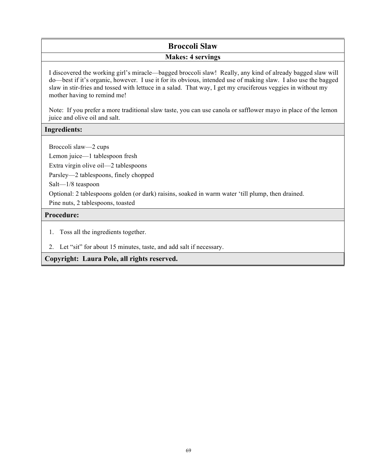# **Broccoli Slaw**

# **Makes: 4 servings**

I discovered the working girl's miracle—bagged broccoli slaw! Really, any kind of already bagged slaw will do—best if it's organic, however. I use it for its obvious, intended use of making slaw. I also use the bagged slaw in stir-fries and tossed with lettuce in a salad. That way, I get my cruciferous veggies in without my mother having to remind me!

Note: If you prefer a more traditional slaw taste, you can use canola or safflower mayo in place of the lemon juice and olive oil and salt.

# **Ingredients:**

Broccoli slaw—2 cups

Lemon juice—1 tablespoon fresh

Extra virgin olive oil—2 tablespoons

Parsley—2 tablespoons, finely chopped

Salt—1/8 teaspoon

Optional: 2 tablespoons golden (or dark) raisins, soaked in warm water 'till plump, then drained.

Pine nuts, 2 tablespoons, toasted

# **Procedure:**

- 1. Toss all the ingredients together.
- 2. Let "sit" for about 15 minutes, taste, and add salt if necessary.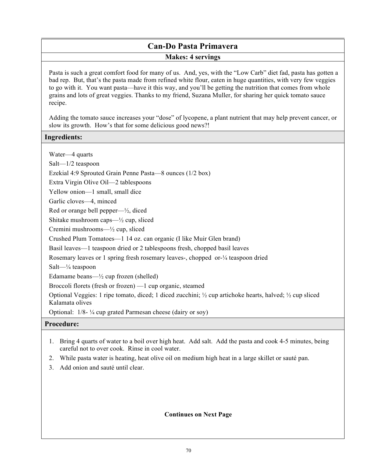# **Can-Do Pasta Primavera Makes: 4 servings**

Pasta is such a great comfort food for many of us. And, yes, with the "Low Carb" diet fad, pasta has gotten a bad rep. But, that's the pasta made from refined white flour, eaten in huge quantities, with very few veggies to go with it. You want pasta—have it this way, and you'll be getting the nutrition that comes from whole grains and lots of great veggies. Thanks to my friend, Suzana Muller, for sharing her quick tomato sauce recipe.

Adding the tomato sauce increases your "dose" of lycopene, a plant nutrient that may help prevent cancer, or slow its growth. How's that for some delicious good news?!

# **Ingredients:**

Water—4 quarts

Salt—1/2 teaspoon

Ezekial 4:9 Sprouted Grain Penne Pasta—8 ounces (1/2 box)

Extra Virgin Olive Oil—2 tablespoons

Yellow onion—1 small, small dice

Garlic cloves—4, minced

Red or orange bell pepper—½, diced

Shitake mushroom caps— $\frac{1}{2}$  cup, sliced

Cremini mushrooms—½ cup, sliced

Crushed Plum Tomatoes—1 14 oz. can organic (I like Muir Glen brand)

Basil leaves—1 teaspoon dried or 2 tablespoons fresh, chopped basil leaves

Rosemary leaves or 1 spring fresh rosemary leaves-, chopped or-¼ teaspoon dried

Salt—¼ teaspoon

Edamame beans—½ cup frozen (shelled)

Broccoli florets (fresh or frozen) —1 cup organic, steamed

Optional Veggies: 1 ripe tomato, diced; 1 diced zucchini; ½ cup artichoke hearts, halved; ½ cup sliced Kalamata olives

Optional: 1/8- ¼ cup grated Parmesan cheese (dairy or soy)

# **Procedure:**

- 1. Bring 4 quarts of water to a boil over high heat. Add salt. Add the pasta and cook 4-5 minutes, being careful not to over cook. Rinse in cool water.
- 2. While pasta water is heating, heat olive oil on medium high heat in a large skillet or sauté pan.
- 3. Add onion and sauté until clear.

# **Continues on Next Page**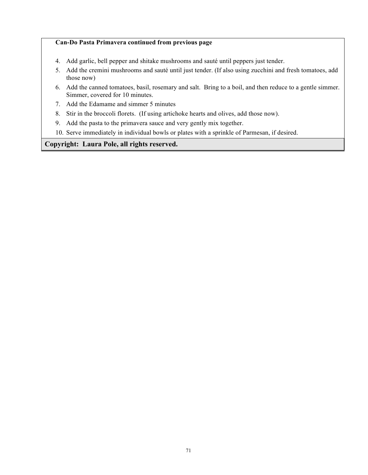### **Can-Do Pasta Primavera continued from previous page**

- 4. Add garlic, bell pepper and shitake mushrooms and sauté until peppers just tender.
- 5. Add the cremini mushrooms and sauté until just tender. (If also using zucchini and fresh tomatoes, add those now)
- 6. Add the canned tomatoes, basil, rosemary and salt. Bring to a boil, and then reduce to a gentle simmer. Simmer, covered for 10 minutes.
- 7. Add the Edamame and simmer 5 minutes
- 8. Stir in the broccoli florets. (If using artichoke hearts and olives, add those now).
- 9. Add the pasta to the primavera sauce and very gently mix together.
- 10. Serve immediately in individual bowls or plates with a sprinkle of Parmesan, if desired.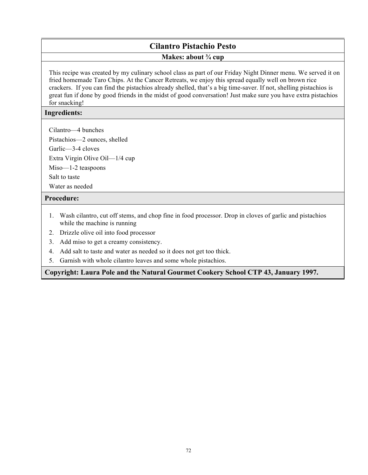# **Cilantro Pistachio Pesto**

## **Makes: about ¾ cup**

This recipe was created by my culinary school class as part of our Friday Night Dinner menu. We served it on fried homemade Taro Chips. At the Cancer Retreats, we enjoy this spread equally well on brown rice crackers. If you can find the pistachios already shelled, that's a big time-saver. If not, shelling pistachios is great fun if done by good friends in the midst of good conversation! Just make sure you have extra pistachios for snacking!

## **Ingredients:**

Cilantro—4 bunches

Pistachios—2 ounces, shelled Garlic—3-4 cloves

Extra Virgin Olive Oil—1/4 cup

Miso—1-2 teaspoons

Salt to taste

Water as needed

## **Procedure:**

- 1. Wash cilantro, cut off stems, and chop fine in food processor. Drop in cloves of garlic and pistachios while the machine is running
- 2. Drizzle olive oil into food processor
- 3. Add miso to get a creamy consistency.
- 4. Add salt to taste and water as needed so it does not get too thick.
- 5. Garnish with whole cilantro leaves and some whole pistachios.

**Copyright: Laura Pole and the Natural Gourmet Cookery School CTP 43, January 1997.**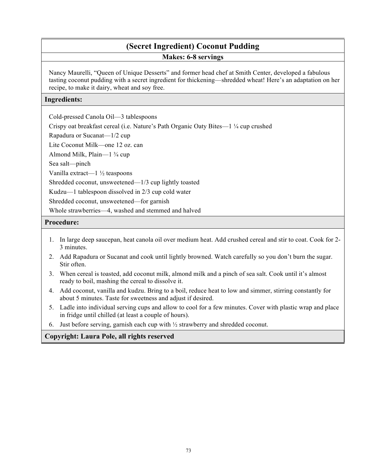# **(Secret Ingredient) Coconut Pudding Makes: 6-8 servings**

Nancy Maurelli, "Queen of Unique Desserts" and former head chef at Smith Center, developed a fabulous tasting coconut pudding with a secret ingredient for thickening—shredded wheat! Here's an adaptation on her recipe, to make it dairy, wheat and soy free.

## **Ingredients:**

Cold-pressed Canola Oil—3 tablespoons

Crispy oat breakfast cereal (i.e. Nature's Path Organic Oaty Bites—1 ¼ cup crushed

Rapadura or Sucanat—1/2 cup

Lite Coconut Milk—one 12 oz. can

Almond Milk, Plain—1 ¾ cup

Sea salt—pinch

Vanilla extract—1 ½ teaspoons

Shredded coconut, unsweetened—1/3 cup lightly toasted

Kudzu—1 tablespoon dissolved in 2/3 cup cold water

Shredded coconut, unsweetened—for garnish

Whole strawberries—4, washed and stemmed and halved

# **Procedure:**

- 1. In large deep saucepan, heat canola oil over medium heat. Add crushed cereal and stir to coat. Cook for 2- 3 minutes.
- 2. Add Rapadura or Sucanat and cook until lightly browned. Watch carefully so you don't burn the sugar. Stir often.
- 3. When cereal is toasted, add coconut milk, almond milk and a pinch of sea salt. Cook until it's almost ready to boil, mashing the cereal to dissolve it.
- 4. Add coconut, vanilla and kudzu. Bring to a boil, reduce heat to low and simmer, stirring constantly for about 5 minutes. Taste for sweetness and adjust if desired.
- 5. Ladle into individual serving cups and allow to cool for a few minutes. Cover with plastic wrap and place in fridge until chilled (at least a couple of hours).
- 6. Just before serving, garnish each cup with ½ strawberry and shredded coconut.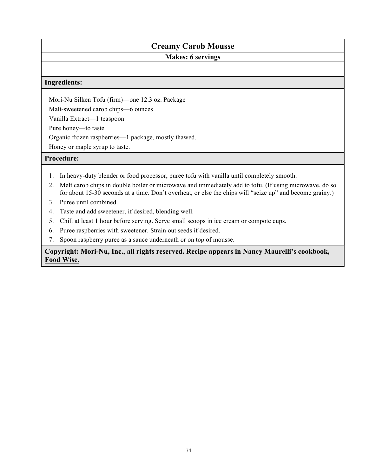# **Creamy Carob Mousse**

# **Makes: 6 servings**

### **Ingredients:**

Mori-Nu Silken Tofu (firm)—one 12.3 oz. Package

Malt-sweetened carob chips—6 ounces

Vanilla Extract—1 teaspoon

Pure honey—to taste

Organic frozen raspberries—1 package, mostly thawed.

Honey or maple syrup to taste.

## **Procedure:**

- 1. In heavy-duty blender or food processor, puree tofu with vanilla until completely smooth.
- 2. Melt carob chips in double boiler or microwave and immediately add to tofu. (If using microwave, do so for about 15-30 seconds at a time. Don't overheat, or else the chips will "seize up" and become grainy.)
- 3. Puree until combined.
- 4. Taste and add sweetener, if desired, blending well.
- 5. Chill at least 1 hour before serving. Serve small scoops in ice cream or compote cups.
- 6. Puree raspberries with sweetener. Strain out seeds if desired.
- 7. Spoon raspberry puree as a sauce underneath or on top of mousse.

# **Copyright: Mori-Nu, Inc., all rights reserved. Recipe appears in Nancy Maurelli's cookbook, Food Wise.**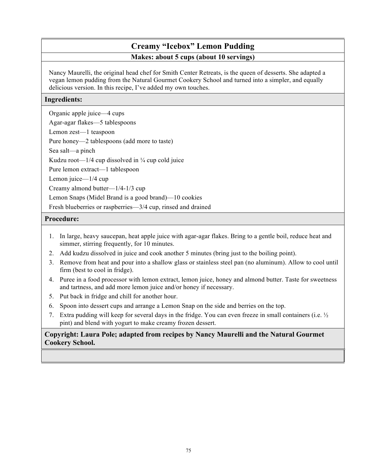# **Creamy "Icebox" Lemon Pudding Makes: about 5 cups (about 10 servings)**

Nancy Maurelli, the original head chef for Smith Center Retreats, is the queen of desserts. She adapted a vegan lemon pudding from the Natural Gourmet Cookery School and turned into a simpler, and equally delicious version. In this recipe, I've added my own touches.

# **Ingredients:**

Organic apple juice—4 cups

Agar-agar flakes—5 tablespoons

Lemon zest—1 teaspoon

Pure honey—2 tablespoons (add more to taste)

Sea salt—a pinch

Kudzu root— $1/4$  cup dissolved in  $\frac{1}{4}$  cup cold juice

Pure lemon extract—1 tablespoon

Lemon juice—1/4 cup

Creamy almond butter—1/4-1/3 cup

Lemon Snaps (Midel Brand is a good brand)—10 cookies

Fresh blueberries or raspberries—3/4 cup, rinsed and drained

## **Procedure:**

- 1. In large, heavy saucepan, heat apple juice with agar-agar flakes. Bring to a gentle boil, reduce heat and simmer, stirring frequently, for 10 minutes.
- 2. Add kudzu dissolved in juice and cook another 5 minutes (bring just to the boiling point).
- 3. Remove from heat and pour into a shallow glass or stainless steel pan (no aluminum). Allow to cool until firm (best to cool in fridge).
- 4. Puree in a food processor with lemon extract, lemon juice, honey and almond butter. Taste for sweetness and tartness, and add more lemon juice and/or honey if necessary.
- 5. Put back in fridge and chill for another hour.
- 6. Spoon into dessert cups and arrange a Lemon Snap on the side and berries on the top.
- 7. Extra pudding will keep for several days in the fridge. You can even freeze in small containers (i.e. ½ pint) and blend with yogurt to make creamy frozen dessert.

# **Copyright: Laura Pole; adapted from recipes by Nancy Maurelli and the Natural Gourmet Cookery School.**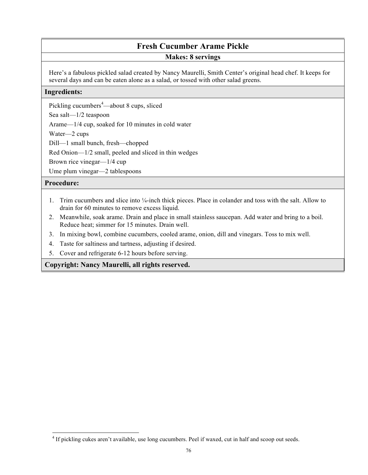# **Fresh Cucumber Arame Pickle**

# **Makes: 8 servings**

Here's a fabulous pickled salad created by Nancy Maurelli, Smith Center's original head chef. It keeps for several days and can be eaten alone as a salad, or tossed with other salad greens.

### **Ingredients:**

Pickling cucumbers<sup>4</sup>—about 8 cups, sliced

Sea salt—1/2 teaspoon

Arame—1/4 cup, soaked for 10 minutes in cold water

Water—2 cups

Dill—1 small bunch, fresh—chopped

Red Onion—1/2 small, peeled and sliced in thin wedges

Brown rice vinegar—1/4 cup

Ume plum vinegar—2 tablespoons

# **Procedure:**

l

- 1. Trim cucumbers and slice into ¼-inch thick pieces. Place in colander and toss with the salt. Allow to drain for 60 minutes to remove excess liquid.
- 2. Meanwhile, soak arame. Drain and place in small stainless saucepan. Add water and bring to a boil. Reduce heat; simmer for 15 minutes. Drain well.
- 3. In mixing bowl, combine cucumbers, cooled arame, onion, dill and vinegars. Toss to mix well.
- 4. Taste for saltiness and tartness, adjusting if desired.
- 5. Cover and refrigerate 6-12 hours before serving.

# **Copyright: Nancy Maurelli, all rights reserved.**

<sup>4</sup> If pickling cukes aren't available, use long cucumbers. Peel if waxed, cut in half and scoop out seeds.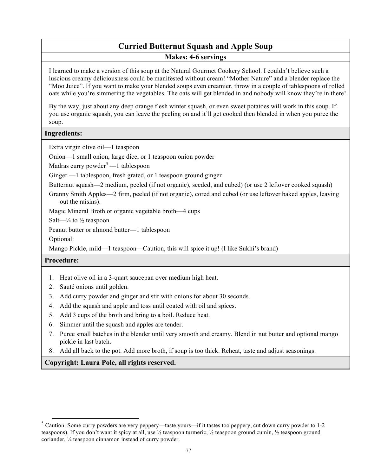# **Curried Butternut Squash and Apple Soup**

**Makes: 4-6 servings** 

I learned to make a version of this soup at the Natural Gourmet Cookery School. I couldn't believe such a luscious creamy deliciousness could be manifested without cream! "Mother Nature" and a blender replace the "Moo Juice". If you want to make your blended soups even creamier, throw in a couple of tablespoons of rolled oats while you're simmering the vegetables. The oats will get blended in and nobody will know they're in there!

By the way, just about any deep orange flesh winter squash, or even sweet potatoes will work in this soup. If you use organic squash, you can leave the peeling on and it'll get cooked then blended in when you puree the soup.

### **Ingredients:**

Extra virgin olive oil—1 teaspoon

Onion—1 small onion, large dice, or 1 teaspoon onion powder

Madras curry powder<sup>5</sup> —1 tablespoon

Ginger —1 tablespoon, fresh grated, or 1 teaspoon ground ginger

Butternut squash—2 medium, peeled (if not organic), seeded, and cubed) (or use 2 leftover cooked squash)

Granny Smith Apples—2 firm, peeled (if not organic), cored and cubed (or use leftover baked apples, leaving out the raisins).

Magic Mineral Broth or organic vegetable broth—4 cups

Salt— $\frac{1}{4}$  to  $\frac{1}{2}$  teaspoon

Peanut butter or almond butter—1 tablespoon

Optional:

Mango Pickle, mild—1 teaspoon—Caution, this will spice it up! (I like Sukhi's brand)

## **Procedure:**

- 1. Heat olive oil in a 3-quart saucepan over medium high heat.
- 2. Sauté onions until golden.
- 3. Add curry powder and ginger and stir with onions for about 30 seconds.
- 4. Add the squash and apple and toss until coated with oil and spices.
- 5. Add 3 cups of the broth and bring to a boil. Reduce heat.
- 6. Simmer until the squash and apples are tender.
- 7. Puree small batches in the blender until very smooth and creamy. Blend in nut butter and optional mango pickle in last batch.
- 8. Add all back to the pot. Add more broth, if soup is too thick. Reheat, taste and adjust seasonings.

 $5$  Caution: Some curry powders are very peppery—taste yours—if it tastes too peppery, cut down curry powder to 1-2 teaspoons). If you don't want it spicy at all, use ½ teaspoon turmeric, ½ teaspoon ground cumin, ½ teaspoon ground coriander, ¼ teaspoon cinnamon instead of curry powder.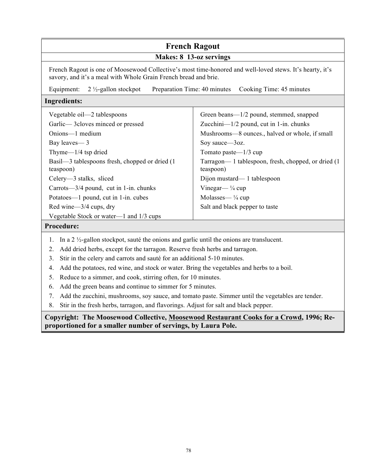#### **French Ragout Makes: 8 13-oz servings**  French Ragout is one of Moosewood Collective's most time-honored and well-loved stews. It's hearty, it's savory, and it's a meal with Whole Grain French bread and brie. Equipment: 2 ½-gallon stockpot Preparation Time: 40 minutes Cooking Time: 45 minutes **Ingredients:** Vegetable oil—2 tablespoons Garlic— 3cloves minced or pressed Onions—1 medium Bay leaves— 3 Thyme—1/4 tsp dried Basil—3 tablespoons fresh, chopped or dried (1 teaspoon) Celery—3 stalks, sliced Carrots—3/4 pound, cut in 1-in. chunks Potatoes—1 pound, cut in 1-in. cubes Red wine—3/4 cups, dry Vegetable Stock or water—1 and 1/3 cups Green beans—1/2 pound, stemmed, snapped Zucchini—1/2 pound, cut in 1-in. chunks Mushrooms—8 ounces., halved or whole, if small Soy sauce—3oz. Tomato paste—1/3 cup Tarragon— 1 tablespoon, fresh, chopped, or dried (1 teaspoon) Dijon mustard— 1 tablespoon Vinegar— $\frac{1}{4}$  cup Molasses— $\frac{1}{4}$  cup Salt and black pepper to taste **Procedure:**  1. In a 2 ½-gallon stockpot, sauté the onions and garlic until the onions are translucent. 2. Add dried herbs, except for the tarragon. Reserve fresh herbs and tarragon.

- 3. Stir in the celery and carrots and sauté for an additional 5-10 minutes.
- 4. Add the potatoes, red wine, and stock or water. Bring the vegetables and herbs to a boil.
- 5. Reduce to a simmer, and cook, stirring often, for 10 minutes.
- 6. Add the green beans and continue to simmer for 5 minutes.
- 7. Add the zucchini, mushrooms, soy sauce, and tomato paste. Simmer until the vegetables are tender.
- 8. Stir in the fresh herbs, tarragon, and flavorings. Adjust for salt and black pepper.

**Copyright: The Moosewood Collective, Moosewood Restaurant Cooks for a Crowd, 1996; Reproportioned for a smaller number of servings, by Laura Pole.**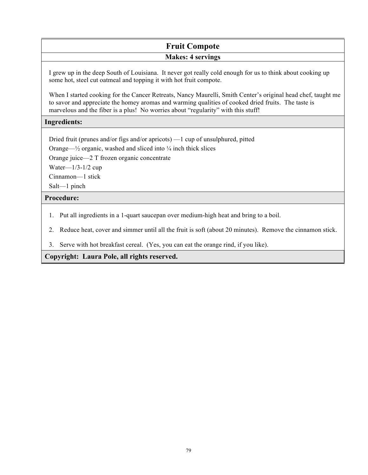# **Fruit Compote Makes: 4 servings**

I grew up in the deep South of Louisiana. It never got really cold enough for us to think about cooking up some hot, steel cut oatmeal and topping it with hot fruit compote.

When I started cooking for the Cancer Retreats, Nancy Maurelli, Smith Center's original head chef, taught me to savor and appreciate the homey aromas and warming qualities of cooked dried fruits. The taste is marvelous and the fiber is a plus! No worries about "regularity" with this stuff!

## **Ingredients:**

Dried fruit (prunes and/or figs and/or apricots) —1 cup of unsulphured, pitted

Orange— $\frac{1}{2}$  organic, washed and sliced into  $\frac{1}{4}$  inch thick slices

Orange juice—2 T frozen organic concentrate

Water—1/3-1/2 cup

Cinnamon—1 stick

Salt—1 pinch

# **Procedure:**

- 1. Put all ingredients in a 1-quart saucepan over medium-high heat and bring to a boil.
- 2. Reduce heat, cover and simmer until all the fruit is soft (about 20 minutes). Remove the cinnamon stick.
- 3. Serve with hot breakfast cereal. (Yes, you can eat the orange rind, if you like).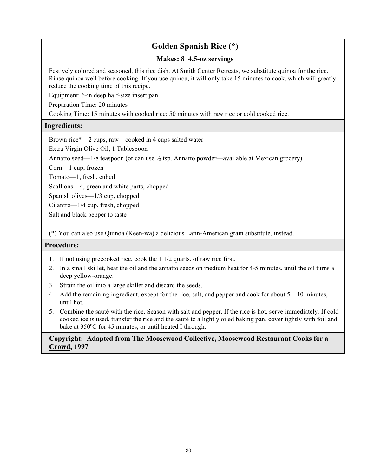# **Golden Spanish Rice (\*)**

## **Makes: 8 4.5-oz servings**

Festively colored and seasoned, this rice dish. At Smith Center Retreats, we substitute quinoa for the rice. Rinse quinoa well before cooking. If you use quinoa, it will only take 15 minutes to cook, which will greatly reduce the cooking time of this recipe.

Equipment: 6-in deep half-size insert pan

Preparation Time: 20 minutes

Cooking Time: 15 minutes with cooked rice; 50 minutes with raw rice or cold cooked rice.

# **Ingredients:**

Brown rice\*—2 cups, raw—cooked in 4 cups salted water

Extra Virgin Olive Oil, 1 Tablespoon

Annatto seed— $1/8$  teaspoon (or can use  $\frac{1}{2}$  tsp. Annatto powder—available at Mexican grocery)

Corn—1 cup, frozen

Tomato—1, fresh, cubed

Scallions—4, green and white parts, chopped

Spanish olives—1/3 cup, chopped

Cilantro—1/4 cup, fresh, chopped

Salt and black pepper to taste

(\*) You can also use Quinoa (Keen-wa) a delicious Latin-American grain substitute, instead.

## **Procedure:**

- 1. If not using precooked rice, cook the 1 1/2 quarts. of raw rice first.
- 2. In a small skillet, heat the oil and the annatto seeds on medium heat for 4-5 minutes, until the oil turns a deep yellow-orange.
- 3. Strain the oil into a large skillet and discard the seeds.
- 4. Add the remaining ingredient, except for the rice, salt, and pepper and cook for about 5—10 minutes, until hot.
- 5. Combine the sauté with the rice. Season with salt and pepper. If the rice is hot, serve immediately. If cold cooked ice is used, transfer the rice and the sauté to a lightly oiled baking pan, cover tightly with foil and bake at  $350^{\circ}$ C for 45 minutes, or until heated I through.

**Copyright: Adapted from The Moosewood Collective, Moosewood Restaurant Cooks for a Crowd, 1997**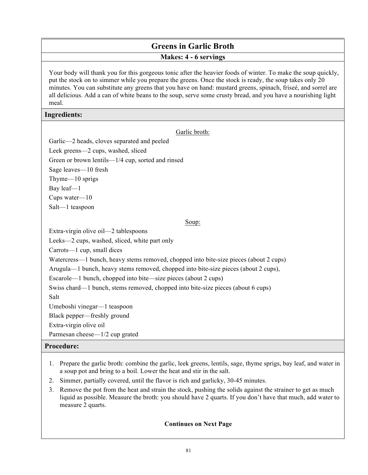# **Greens in Garlic Broth Makes: 4 - 6 servings**

Your body will thank you for this gorgeous tonic after the heavier foods of winter. To make the soup quickly, put the stock on to simmer while you prepare the greens. Once the stock is ready, the soup takes only 20 minutes. You can substitute any greens that you have on hand: mustard greens, spinach, friseé, and sorrel are all delicious. Add a can of white beans to the soup, serve some crusty bread, and you have a nourishing light meal.

## **Ingredients:**

| Garlic broth:                                                                         |  |  |
|---------------------------------------------------------------------------------------|--|--|
| Garlic-2 heads, cloves separated and peeled                                           |  |  |
| Leek greens-2 cups, washed, sliced                                                    |  |  |
| Green or brown lentils—1/4 cup, sorted and rinsed                                     |  |  |
| Sage leaves-10 fresh                                                                  |  |  |
| Thyme $-10$ sprigs                                                                    |  |  |
| Bay $leaf-1$                                                                          |  |  |
| Cups water $-10$                                                                      |  |  |
| Salt-1 teaspoon                                                                       |  |  |
| Soup:                                                                                 |  |  |
| Extra-virgin olive oil—2 tablespoons                                                  |  |  |
| Leeks-2 cups, washed, sliced, white part only                                         |  |  |
| Carrots—1 cup, small dices                                                            |  |  |
| Watercress—1 bunch, heavy stems removed, chopped into bite-size pieces (about 2 cups) |  |  |
| Arugula—1 bunch, heavy stems removed, chopped into bite-size pieces (about 2 cups),   |  |  |
| Escarole—1 bunch, chopped into bite—size pieces (about 2 cups)                        |  |  |
| Swiss chard—1 bunch, stems removed, chopped into bite-size pieces (about 6 cups)      |  |  |
| Salt                                                                                  |  |  |
| Umeboshi vinegar—1 teaspoon                                                           |  |  |
| Black pepper—freshly ground                                                           |  |  |
| Extra-virgin olive oil                                                                |  |  |
| Parmesan cheese—1/2 cup grated                                                        |  |  |
| <b>Procedure:</b>                                                                     |  |  |

- 1. Prepare the garlic broth: combine the garlic, leek greens, lentils, sage, thyme sprigs, bay leaf, and water in a soup pot and bring to a boil. Lower the heat and stir in the salt.
- 2. Simmer, partially covered, until the flavor is rich and garlicky, 30-45 minutes.
- 3. Remove the pot from the heat and strain the stock, pushing the solids against the strainer to get as much liquid as possible. Measure the broth: you should have 2 quarts. If you don't have that much, add water to measure 2 quarts.

## **Continues on Next Page**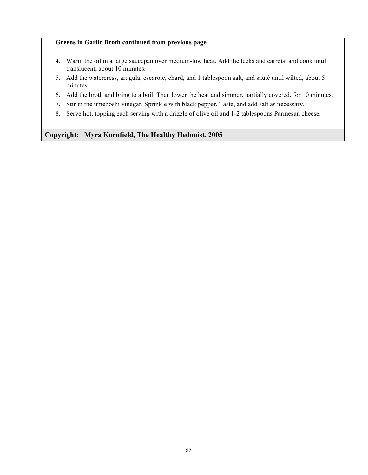### **Greens in Garlic Broth continued from previous page**

- 4. Warm the oil in a large saucepan over medium-low heat. Add the leeks and carrots, and cook until translucent, about 10 minutes.
- 5. Add the watercress, arugula, escarole, chard, and 1 tablespoon salt, and sauté until wilted, about 5 minutes.
- 6. Add the broth and bring to a boil. Then lower the heat and simmer, partially covered, for 10 minutes.
- 7. Stir in the umeboshi vinegar. Sprinkle with black pepper. Taste, and add salt as necessary.
- 8. Serve hot, topping each serving with a drizzle of olive oil and 1-2 tablespoons Parmesan cheese.

## **Copyright: Myra Kornfield, The Healthy Hedonist, 2005**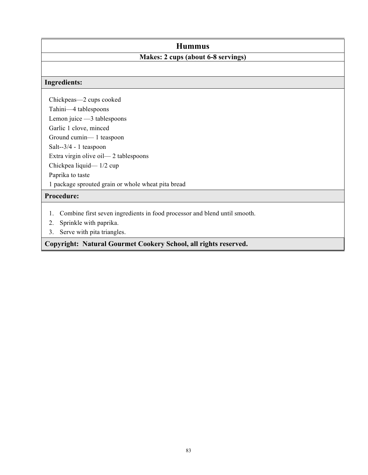# **Hummus**

# **Makes: 2 cups (about 6-8 servings)**

## **Ingredients:**

Chickpeas—2 cups cooked Tahini—4 tablespoons Lemon juice —3 tablespoons Garlic 1 clove, minced Ground cumin— 1 teaspoon Salt--3/4 - 1 teaspoon Extra virgin olive oil— 2 tablespoons Chickpea liquid— 1/2 cup Paprika to taste 1 package sprouted grain or whole wheat pita bread

# **Procedure:**

- 1. Combine first seven ingredients in food processor and blend until smooth.
- 2. Sprinkle with paprika.
- 3. Serve with pita triangles.

**Copyright: Natural Gourmet Cookery School, all rights reserved.**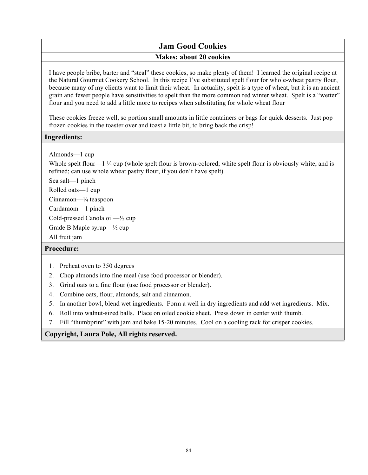# **Jam Good Cookies Makes: about 20 cookies**

I have people bribe, barter and "steal" these cookies, so make plenty of them! I learned the original recipe at the Natural Gourmet Cookery School. In this recipe I've substituted spelt flour for whole-wheat pastry flour, because many of my clients want to limit their wheat. In actuality, spelt is a type of wheat, but it is an ancient grain and fewer people have sensitivities to spelt than the more common red winter wheat. Spelt is a "wetter" flour and you need to add a little more to recipes when substituting for whole wheat flour

These cookies freeze well, so portion small amounts in little containers or bags for quick desserts. Just pop frozen cookies in the toaster over and toast a little bit, to bring back the crisp!

# **Ingredients:**

Almonds—1 cup

Whole spelt flour—1  $\frac{1}{4}$  cup (whole spelt flour is brown-colored; white spelt flour is obviously white, and is refined; can use whole wheat pastry flour, if you don't have spelt)

Sea salt—1 pinch

Rolled oats—1 cup

Cinnamon—¼ teaspoon

Cardamom—1 pinch

Cold-pressed Canola oil—½ cup

Grade B Maple syrup—½ cup

All fruit jam

# **Procedure:**

- 1. Preheat oven to 350 degrees
- 2. Chop almonds into fine meal (use food processor or blender).
- 3. Grind oats to a fine flour (use food processor or blender).
- 4. Combine oats, flour, almonds, salt and cinnamon.
- 5. In another bowl, blend wet ingredients. Form a well in dry ingredients and add wet ingredients. Mix.
- 6. Roll into walnut-sized balls. Place on oiled cookie sheet. Press down in center with thumb.
- 7. Fill "thumbprint" with jam and bake 15-20 minutes. Cool on a cooling rack for crisper cookies.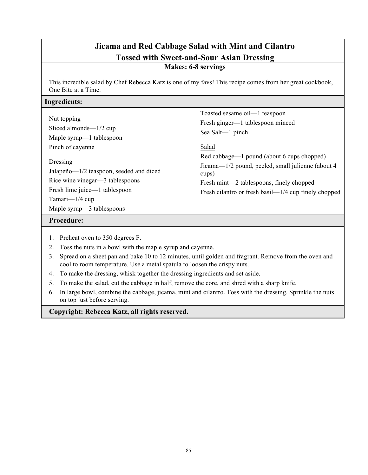# **Jicama and Red Cabbage Salad with Mint and Cilantro Tossed with Sweet-and-Sour Asian Dressing Makes: 6-8 servings**

This incredible salad by Chef Rebecca Katz is one of my favs! This recipe comes from her great cookbook, One Bite at a Time.

### **Ingredients:**

| Nut topping                                                                                                                                                               | Toasted sesame oil—1 teaspoon                                                                                                                                                                                    |
|---------------------------------------------------------------------------------------------------------------------------------------------------------------------------|------------------------------------------------------------------------------------------------------------------------------------------------------------------------------------------------------------------|
| Sliced almonds— $1/2$ cup                                                                                                                                                 | Fresh ginger—1 tablespoon minced                                                                                                                                                                                 |
| Maple syrup—1 tablespoon                                                                                                                                                  | Sea Salt—1 pinch                                                                                                                                                                                                 |
| Pinch of cayenne                                                                                                                                                          | Salad                                                                                                                                                                                                            |
| Dressing<br>Jalapeño—1/2 teaspoon, seeded and diced<br>Rice wine vinegar—3 tablespoons<br>Fresh lime juice—1 tablespoon<br>Tamari— $1/4$ cup<br>Maple syrup—3 tablespoons | Red cabbage—1 pound (about 6 cups chopped)<br>Jicama—1/2 pound, peeled, small julienne (about 4)<br>cups)<br>Fresh mint—2 tablespoons, finely chopped<br>Fresh cilantro or fresh basil— $1/4$ cup finely chopped |

### **Procedure:**

- 1. Preheat oven to 350 degrees F.
- 2. Toss the nuts in a bowl with the maple syrup and cayenne.
- 3. Spread on a sheet pan and bake 10 to 12 minutes, until golden and fragrant. Remove from the oven and cool to room temperature. Use a metal spatula to loosen the crispy nuts.
- 4. To make the dressing, whisk together the dressing ingredients and set aside.
- 5. To make the salad, cut the cabbage in half, remove the core, and shred with a sharp knife.
- 6. In large bowl, combine the cabbage, jicama, mint and cilantro. Toss with the dressing. Sprinkle the nuts on top just before serving.

**Copyright: Rebecca Katz, all rights reserved.**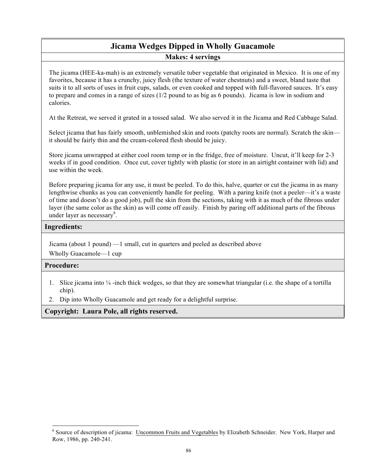# **Jicama Wedges Dipped in Wholly Guacamole Makes: 4 servings**

The jicama (HEE-ka-mah) is an extremely versatile tuber vegetable that originated in Mexico. It is one of my favorites, because it has a crunchy, juicy flesh (the texture of water chestnuts) and a sweet, bland taste that suits it to all sorts of uses in fruit cups, salads, or even cooked and topped with full-flavored sauces. It's easy to prepare and comes in a range of sizes (1/2 pound to as big as 6 pounds). Jicama is low in sodium and calories.

At the Retreat, we served it grated in a tossed salad. We also served it in the Jicama and Red Cabbage Salad.

Select jicama that has fairly smooth, unblemished skin and roots (patchy roots are normal). Scratch the skin it should be fairly thin and the cream-colored flesh should be juicy.

Store jicama unwrapped at either cool room temp or in the fridge, free of moisture. Uncut, it'll keep for 2-3 weeks if in good condition. Once cut, cover tightly with plastic (or store in an airtight container with lid) and use within the week.

Before preparing jicama for any use, it must be peeled. To do this, halve, quarter or cut the jicama in as many lengthwise chunks as you can conveniently handle for peeling. With a paring knife (not a peeler—it's a waste of time and doesn't do a good job), pull the skin from the sections, taking with it as much of the fibrous under layer (the same color as the skin) as will come off easily. Finish by paring off additional parts of the fibrous under layer as necessary<sup>6</sup>.

## **Ingredients:**

Jicama (about 1 pound) —1 small, cut in quarters and peeled as described above

Wholly Guacamole—1 cup

## **Procedure:**

 $\overline{a}$ 

- 1. Slice jicama into  $\frac{1}{4}$ -inch thick wedges, so that they are somewhat triangular (i.e. the shape of a tortilla chip).
- 2. Dip into Wholly Guacamole and get ready for a delightful surprise.

<sup>&</sup>lt;sup>6</sup> Source of description of jicama: Uncommon Fruits and Vegetables by Elizabeth Schneider. New York, Harper and Row, 1986, pp. 240-241.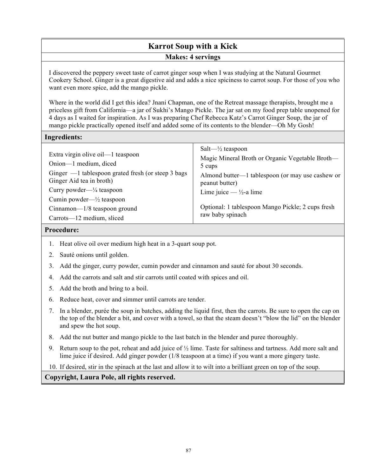# **Karrot Soup with a Kick Makes: 4 servings**

I discovered the peppery sweet taste of carrot ginger soup when I was studying at the Natural Gourmet Cookery School. Ginger is a great digestive aid and adds a nice spiciness to carrot soup. For those of you who want even more spice, add the mango pickle.

Where in the world did I get this idea? Jnani Chapman, one of the Retreat massage therapists, brought me a priceless gift from California—a jar of Sukhi's Mango Pickle. The jar sat on my food prep table unopened for 4 days as I waited for inspiration. As I was preparing Chef Rebecca Katz's Carrot Ginger Soup, the jar of mango pickle practically opened itself and added some of its contents to the blender—Oh My Gosh!

## **Ingredients:**

| Extra virgin olive oil—1 teaspoon<br>Onion-1 medium, diced<br>Ginger $-1$ tablespoon grated fresh (or steep 3 bags<br>Ginger Aid tea in broth) | Salt— $\frac{1}{2}$ teaspoon<br>Magic Mineral Broth or Organic Vegetable Broth—<br>5 cups<br>Almond butter—1 tablespoon (or may use cashew or<br>peanut butter) |
|------------------------------------------------------------------------------------------------------------------------------------------------|-----------------------------------------------------------------------------------------------------------------------------------------------------------------|
| Curry powder— $\frac{1}{4}$ teaspoon                                                                                                           | Lime juice $-\frac{1}{2}$ -a lime                                                                                                                               |
| Cumin powder— $\frac{1}{2}$ teaspoon                                                                                                           |                                                                                                                                                                 |
| Cinnamon-1/8 teaspoon ground                                                                                                                   | Optional: 1 tablespoon Mango Pickle; 2 cups fresh                                                                                                               |
| Carrots—12 medium, sliced                                                                                                                      | raw baby spinach                                                                                                                                                |

### **Procedure:**

- 1. Heat olive oil over medium high heat in a 3-quart soup pot.
- 2. Sauté onions until golden.
- 3. Add the ginger, curry powder, cumin powder and cinnamon and sauté for about 30 seconds.
- 4. Add the carrots and salt and stir carrots until coated with spices and oil.
- 5. Add the broth and bring to a boil.
- 6. Reduce heat, cover and simmer until carrots are tender.
- 7. In a blender, purée the soup in batches, adding the liquid first, then the carrots. Be sure to open the cap on the top of the blender a bit, and cover with a towel, so that the steam doesn't "blow the lid" on the blender and spew the hot soup.
- 8. Add the nut butter and mango pickle to the last batch in the blender and puree thoroughly.
- 9. Return soup to the pot, reheat and add juice of ½ lime. Taste for saltiness and tartness. Add more salt and lime juice if desired. Add ginger powder (1/8 teaspoon at a time) if you want a more gingery taste.

10. If desired, stir in the spinach at the last and allow it to wilt into a brilliant green on top of the soup.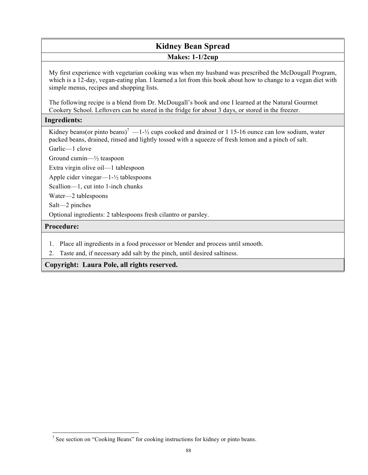# **Kidney Bean Spread Makes: 1-1/2cup**

My first experience with vegetarian cooking was when my husband was prescribed the McDougall Program, which is a 12-day, vegan-eating plan. I learned a lot from this book about how to change to a vegan diet with simple menus, recipes and shopping lists.

The following recipe is a blend from Dr. McDougall's book and one I learned at the Natural Gourmet Cookery School. Leftovers can be stored in the fridge for about 3 days, or stored in the freezer.

# **Ingredients:**

Kidney beans(or pinto beans)<sup>7</sup> —1- $\frac{1}{2}$  cups cooked and drained or 1 15-16 ounce can low sodium, water packed beans, drained, rinsed and lightly tossed with a squeeze of fresh lemon and a pinch of salt.

Garlic—1 clove

Ground cumin—½ teaspoon

Extra virgin olive oil—1 tablespoon

Apple cider vinegar—1-½ tablespoons

Scallion—1, cut into 1-inch chunks

Water—2 tablespoons

Salt—2 pinches

Optional ingredients: 2 tablespoons fresh cilantro or parsley.

# **Procedure:**

l

- 1. Place all ingredients in a food processor or blender and process until smooth.
- 2. Taste and, if necessary add salt by the pinch, until desired saltiness.

<sup>&</sup>lt;sup>7</sup> See section on "Cooking Beans" for cooking instructions for kidney or pinto beans.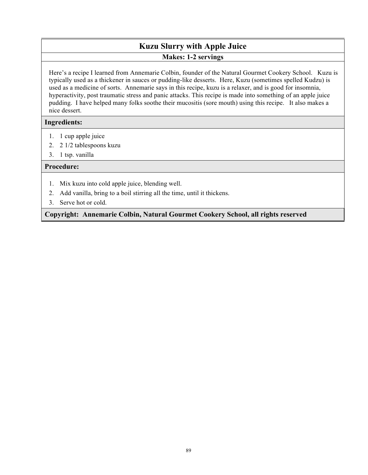# **Kuzu Slurry with Apple Juice Makes: 1-2 servings**

Here's a recipe I learned from Annemarie Colbin, founder of the Natural Gourmet Cookery School. Kuzu is typically used as a thickener in sauces or pudding-like desserts. Here, Kuzu (sometimes spelled Kudzu) is used as a medicine of sorts. Annemarie says in this recipe, kuzu is a relaxer, and is good for insomnia, hyperactivity, post traumatic stress and panic attacks. This recipe is made into something of an apple juice pudding. I have helped many folks soothe their mucositis (sore mouth) using this recipe. It also makes a nice dessert.

# **Ingredients:**

- 1. 1 cup apple juice
- 2. 2 1/2 tablespoons kuzu
- 3. 1 tsp. vanilla

# **Procedure:**

- 1. Mix kuzu into cold apple juice, blending well.
- 2. Add vanilla, bring to a boil stirring all the time, until it thickens.
- 3. Serve hot or cold.

**Copyright: Annemarie Colbin, Natural Gourmet Cookery School, all rights reserved**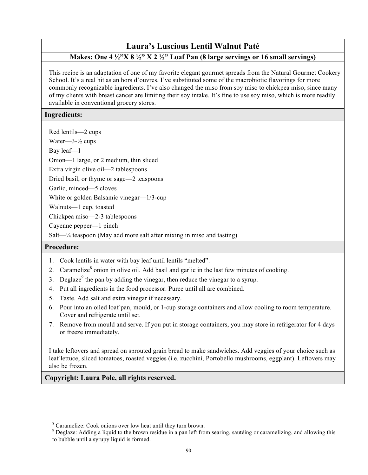# **Laura's Luscious Lentil Walnut Paté**

# **Makes: One 4 ½"X 8 ½" X 2 ½" Loaf Pan (8 large servings or 16 small servings)**

This recipe is an adaptation of one of my favorite elegant gourmet spreads from the Natural Gourmet Cookery School. It's a real hit as an hors d'ouvres. I've substituted some of the macrobiotic flavorings for more commonly recognizable ingredients. I've also changed the miso from soy miso to chickpea miso, since many of my clients with breast cancer are limiting their soy intake. It's fine to use soy miso, which is more readily available in conventional grocery stores.

## **Ingredients:**

Red lentils—2 cups

Water—3-½ cups

Bay leaf—1

Onion—1 large, or 2 medium, thin sliced

Extra virgin olive oil—2 tablespoons

Dried basil, or thyme or sage—2 teaspoons

Garlic, minced—5 cloves

White or golden Balsamic vinegar—1/3-cup

Walnuts—1 cup, toasted

Chickpea miso—2-3 tablespoons

Cayenne pepper—1 pinch

Salt— $\frac{1}{4}$  teaspoon (May add more salt after mixing in miso and tasting)

## **Procedure:**

 $\overline{a}$ 

- 1. Cook lentils in water with bay leaf until lentils "melted".
- 2. Caramelize<sup>8</sup> onion in olive oil. Add basil and garlic in the last few minutes of cooking.
- 3. Deglaze<sup>9</sup> the pan by adding the vinegar, then reduce the vinegar to a syrup.
- 4. Put all ingredients in the food processor. Puree until all are combined.
- 5. Taste. Add salt and extra vinegar if necessary.
- 6. Pour into an oiled loaf pan, mould, or 1-cup storage containers and allow cooling to room temperature. Cover and refrigerate until set.
- 7. Remove from mould and serve. If you put in storage containers, you may store in refrigerator for 4 days or freeze immediately.

I take leftovers and spread on sprouted grain bread to make sandwiches. Add veggies of your choice such as leaf lettuce, sliced tomatoes, roasted veggies (i.e. zucchini, Portobello mushrooms, eggplant). Leftovers may also be frozen.

<sup>8</sup> Caramelize: Cook onions over low heat until they turn brown.

<sup>&</sup>lt;sup>9</sup> Deglaze: Adding a liquid to the brown residue in a pan left from searing, sautéing or caramelizing, and allowing this to bubble until a syrupy liquid is formed.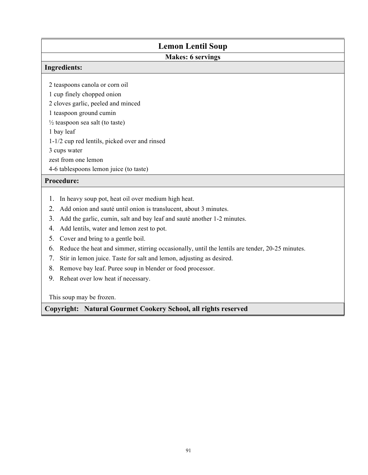# **Lemon Lentil Soup**

# **Makes: 6 servings**

### **Ingredients:**

2 teaspoons canola or corn oil

1 cup finely chopped onion

2 cloves garlic, peeled and minced

1 teaspoon ground cumin

 $\frac{1}{2}$  teaspoon sea salt (to taste)

1 bay leaf

1-1/2 cup red lentils, picked over and rinsed

3 cups water

zest from one lemon

4-6 tablespoons lemon juice (to taste)

# **Procedure:**

- 1. In heavy soup pot, heat oil over medium high heat.
- 2. Add onion and sauté until onion is translucent, about 3 minutes.
- 3. Add the garlic, cumin, salt and bay leaf and sauté another 1-2 minutes.
- 4. Add lentils, water and lemon zest to pot.
- 5. Cover and bring to a gentle boil.
- 6. Reduce the heat and simmer, stirring occasionally, until the lentils are tender, 20-25 minutes.
- 7. Stir in lemon juice. Taste for salt and lemon, adjusting as desired.
- 8. Remove bay leaf. Puree soup in blender or food processor.
- 9. Reheat over low heat if necessary.

This soup may be frozen.

**Copyright: Natural Gourmet Cookery School, all rights reserved**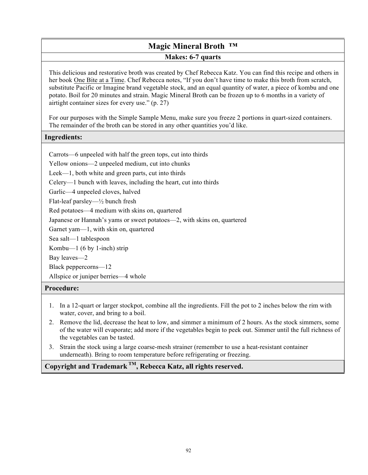# **Magic Mineral Broth ™ Makes: 6-7 quarts**

This delicious and restorative broth was created by Chef Rebecca Katz. You can find this recipe and others in her book One Bite at a Time. Chef Rebecca notes, "If you don't have time to make this broth from scratch, substitute Pacific or Imagine brand vegetable stock, and an equal quantity of water, a piece of kombu and one potato. Boil for 20 minutes and strain. Magic Mineral Broth can be frozen up to 6 months in a variety of airtight container sizes for every use." (p. 27)

For our purposes with the Simple Sample Menu, make sure you freeze 2 portions in quart-sized containers. The remainder of the broth can be stored in any other quantities you'd like.

## **Ingredients:**

Carrots—6 unpeeled with half the green tops, cut into thirds

Yellow onions—2 unpeeled medium, cut into chunks

Leek—1, both white and green parts, cut into thirds

Celery—1 bunch with leaves, including the heart, cut into thirds

Garlic—4 unpeeled cloves, halved

Flat-leaf parsley—½ bunch fresh

Red potatoes—4 medium with skins on, quartered

Japanese or Hannah's yams or sweet potatoes—2, with skins on, quartered

Garnet yam—1, with skin on, quartered

Sea salt—1 tablespoon

Kombu—1 (6 by 1-inch) strip

Bay leaves—2

Black peppercorns—12

Allspice or juniper berries—4 whole

## **Procedure:**

- 1. In a 12-quart or larger stockpot, combine all the ingredients. Fill the pot to 2 inches below the rim with water, cover, and bring to a boil.
- 2. Remove the lid, decrease the heat to low, and simmer a minimum of 2 hours. As the stock simmers, some of the water will evaporate; add more if the vegetables begin to peek out. Simmer until the full richness of the vegetables can be tasted.
- 3. Strain the stock using a large coarse-mesh strainer (remember to use a heat-resistant container underneath). Bring to room temperature before refrigerating or freezing.

**Copyright and Trademark TM, Rebecca Katz, all rights reserved.**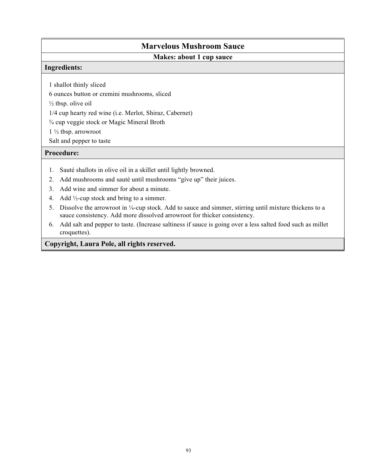# **Marvelous Mushroom Sauce**

# **Makes: about 1 cup sauce**

### **Ingredients:**

1 shallot thinly sliced

6 ounces button or cremini mushrooms, sliced

 $\frac{1}{2}$  tbsp. olive oil

1/4 cup hearty red wine (i.e. Merlot, Shiraz, Cabernet)

¾ cup veggie stock or Magic Mineral Broth

1 ½ tbsp. arrowroot

Salt and pepper to taste

## **Procedure:**

- 1. Sauté shallots in olive oil in a skillet until lightly browned.
- 2. Add mushrooms and sauté until mushrooms "give up" their juices.
- 3. Add wine and simmer for about a minute.
- 4. Add ½-cup stock and bring to a simmer.
- 5. Dissolve the arrowroot in ¼-cup stock. Add to sauce and simmer, stirring until mixture thickens to a sauce consistency. Add more dissolved arrowroot for thicker consistency.
- 6. Add salt and pepper to taste. (Increase saltiness if sauce is going over a less salted food such as millet croquettes).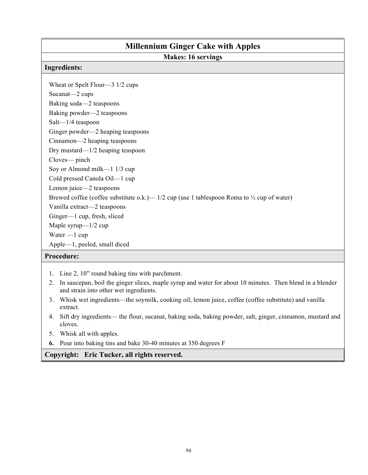# **Millennium Ginger Cake with Apples Makes: 16 servings Ingredients:** Wheat or Spelt Flour—3 1/2 cups Sucanat—2 cups Baking soda—2 teaspoons Baking powder—2 teaspoons Salt—1/4 teaspoon Ginger powder—2 heaping teaspoons Cinnamon—2 heaping teaspoons Dry mustard—1/2 heaping teaspoon Cloves— pinch Soy or Almond milk—1 1/3 cup Cold pressed Canola Oil—1 cup Lemon juice—2 teaspoons Brewed coffee (coffee substitute o.k.)— 1/2 cup (use 1 tablespoon Roma to  $\frac{1}{2}$  cup of water) Vanilla extract—2 teaspoons Ginger—1 cup, fresh, sliced Maple syrup—1/2 cup Water —1 cup Apple—1, peeled, small diced

# **Procedure:**

- 1. Line 2, 10" round baking tins with parchment.
- 2. In saucepan, boil the ginger slices, maple syrup and water for about 10 minutes. Then blend in a blender and strain into other wet ingredients.
- 3. Whisk wet ingredients—the soymilk, cooking oil, lemon juice, coffee (coffee substitute) and vanilla extract.
- 4. Sift dry ingredients— the flour, sucanat, baking soda, baking powder, salt, ginger, cinnamon, mustard and cloves.
- 5. Whisk all with apples.
- **6.** Pour into baking tins and bake 30-40 minutes at 350 degrees F

## **Copyright: Eric Tucker, all rights reserved.**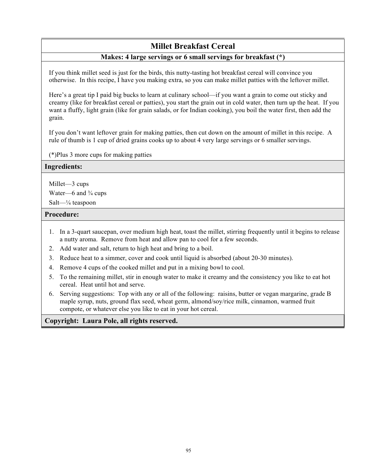# **Millet Breakfast Cereal**

## **Makes: 4 large servings or 6 small servings for breakfast (\*)**

If you think millet seed is just for the birds, this nutty-tasting hot breakfast cereal will convince you otherwise. In this recipe, I have you making extra, so you can make millet patties with the leftover millet.

Here's a great tip I paid big bucks to learn at culinary school—if you want a grain to come out sticky and creamy (like for breakfast cereal or patties), you start the grain out in cold water, then turn up the heat. If you want a fluffy, light grain (like for grain salads, or for Indian cooking), you boil the water first, then add the grain.

If you don't want leftover grain for making patties, then cut down on the amount of millet in this recipe. A rule of thumb is 1 cup of dried grains cooks up to about 4 very large servings or 6 smaller servings.

(\*)Plus 3 more cups for making patties

#### **Ingredients:**

Millet—3 cups

Water—6 and  $\frac{3}{4}$  cups

Salt—¼ teaspoon

## **Procedure:**

- 1. In a 3-quart saucepan, over medium high heat, toast the millet, stirring frequently until it begins to release a nutty aroma. Remove from heat and allow pan to cool for a few seconds.
- 2. Add water and salt, return to high heat and bring to a boil.
- 3. Reduce heat to a simmer, cover and cook until liquid is absorbed (about 20-30 minutes).
- 4. Remove 4 cups of the cooked millet and put in a mixing bowl to cool.
- 5. To the remaining millet, stir in enough water to make it creamy and the consistency you like to eat hot cereal. Heat until hot and serve.
- 6. Serving suggestions: Top with any or all of the following: raisins, butter or vegan margarine, grade B maple syrup, nuts, ground flax seed, wheat germ, almond/soy/rice milk, cinnamon, warmed fruit compote, or whatever else you like to eat in your hot cereal.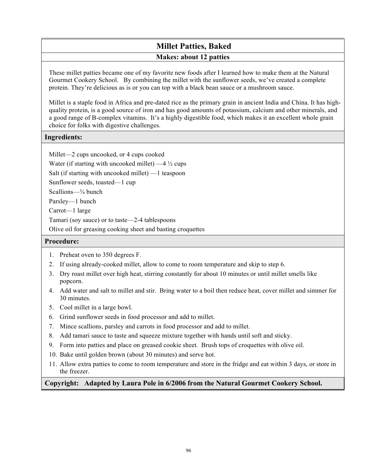# **Millet Patties, Baked Makes: about 12 patties**

These millet patties became one of my favorite new foods after I learned how to make them at the Natural Gourmet Cookery School. By combining the millet with the sunflower seeds, we've created a complete protein. They're delicious as is or you can top with a black bean sauce or a mushroom sauce.

Millet is a staple food in Africa and pre-dated rice as the primary grain in ancient India and China. It has highquality protein, is a good source of iron and has good amounts of potassium, calcium and other minerals, and a good range of B-complex vitamins. It's a highly digestible food, which makes it an excellent whole grain choice for folks with digestive challenges.

## **Ingredients:**

Millet—2 cups uncooked, or 4 cups cooked

Water (if starting with uncooked millet)  $-4\frac{1}{2}$  cups

Salt (if starting with uncooked millet) —1 teaspoon

Sunflower seeds, toasted—1 cup

Scallions—¾ bunch

Parsley—1 bunch

Carrot—1 large

Tamari (soy sauce) or to taste—2-4 tablespoons

Olive oil for greasing cooking sheet and basting croquettes

# **Procedure:**

- 1. Preheat oven to 350 degrees F.
- 2. If using already-cooked millet, allow to come to room temperature and skip to step 6.
- 3. Dry roast millet over high heat, stirring constantly for about 10 minutes or until millet smells like popcorn.
- 4. Add water and salt to millet and stir. Bring water to a boil then reduce heat, cover millet and simmer for 30 minutes.
- 5. Cool millet in a large bowl.
- 6. Grind sunflower seeds in food processor and add to millet.
- 7. Mince scallions, parsley and carrots in food processor and add to millet.
- 8. Add tamari sauce to taste and squeeze mixture together with hands until soft and sticky.
- 9. Form into patties and place on greased cookie sheet. Brush tops of croquettes with olive oil.
- 10. Bake until golden brown (about 30 minutes) and serve hot.
- 11. Allow extra patties to come to room temperature and store in the fridge and eat within 3 days, or store in the freezer.

# **Copyright: Adapted by Laura Pole in 6/2006 from the Natural Gourmet Cookery School.**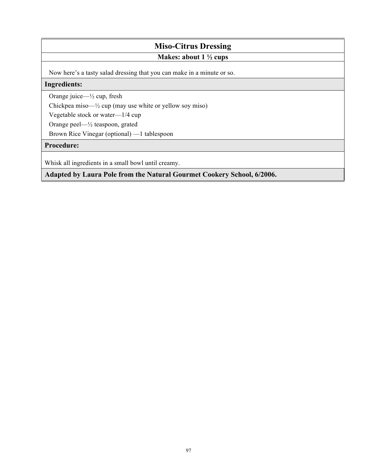# **Miso-Citrus Dressing**

# **Makes: about 1 ½ cups**

Now here's a tasty salad dressing that you can make in a minute or so.

# **Ingredients:**

Orange juice—½ cup, fresh

Chickpea miso—½ cup (may use white or yellow soy miso)

Vegetable stock or water—1/4 cup

Orange peel—½ teaspoon, grated

Brown Rice Vinegar (optional) —1 tablespoon

# **Procedure:**

Whisk all ingredients in a small bowl until creamy.

**Adapted by Laura Pole from the Natural Gourmet Cookery School, 6/2006.**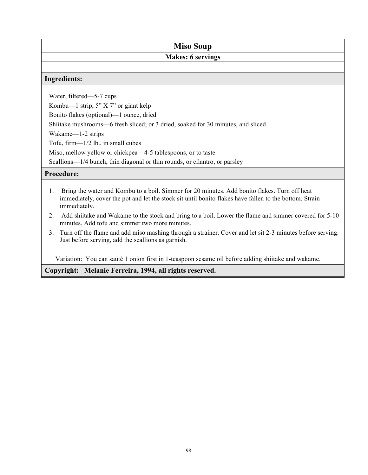# **Miso Soup**

# **Makes: 6 servings**

## **Ingredients:**

Water, filtered—5-7 cups

Kombu—1 strip, 5" X 7" or giant kelp

Bonito flakes (optional)—1 ounce, dried

Shiitake mushrooms—6 fresh sliced; or 3 dried, soaked for 30 minutes, and sliced

Wakame—1-2 strips

Tofu, firm—1/2 lb., in small cubes

Miso, mellow yellow or chickpea—4-5 tablespoons, or to taste

Scallions—1/4 bunch, thin diagonal or thin rounds, or cilantro, or parsley

# **Procedure:**

- 1. Bring the water and Kombu to a boil. Simmer for 20 minutes. Add bonito flakes. Turn off heat immediately, cover the pot and let the stock sit until bonito flakes have fallen to the bottom. Strain immediately.
- 2. Add shiitake and Wakame to the stock and bring to a boil. Lower the flame and simmer covered for 5-10 minutes. Add tofu and simmer two more minutes.
- 3. Turn off the flame and add miso mashing through a strainer. Cover and let sit 2-3 minutes before serving. Just before serving, add the scallions as garnish.

Variation: You can sauté 1 onion first in 1-teaspoon sesame oil before adding shiitake and wakame.

**Copyright: Melanie Ferreira, 1994, all rights reserved.**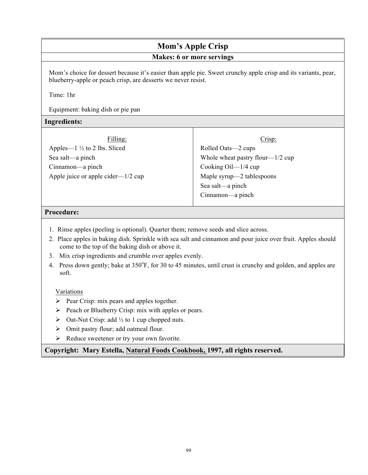# **Mom's Apple Crisp**

# **Makes: 6 or more servings**

Mom's choice for dessert because it's easier than apple pie. Sweet crunchy apple crisp and its variants, pear, blueberry-apple or peach crisp, are desserts we never resist.

Time: 1hr

Equipment: baking dish or pie pan

### **Ingredients:**

| Filling:                                | Crisp:                                 |
|-----------------------------------------|----------------------------------------|
| Apples— $1\frac{1}{2}$ to 2 lbs. Sliced | Rolled Oats—2 cups                     |
| Sea salt—a pinch                        | Whole wheat pastry flour— $1/2$ cup    |
| Cinnamon—a pinch                        | Cooking $\text{Oil} - \frac{1}{4}$ cup |
| Apple juice or apple cider— $1/2$ cup   | Maple syrup—2 tablespoons              |
|                                         | Sea salt—a pinch                       |
|                                         | Cinnamon—a pinch                       |
|                                         |                                        |

### **Procedure:**

- 1. Rinse apples (peeling is optional). Quarter them; remove seeds and slice across.
- 2. Place apples in baking dish. Sprinkle with sea salt and cinnamon and pour juice over fruit. Apples should come to the top of the baking dish or above it.
- 3. Mix crisp ingredients and crumble over apples evenly.
- 4. Press down gently; bake at 350°F, for 30 to 45 minutes, until crust is crunchy and golden, and apples are soft.

#### Variations

- $\triangleright$  Pear Crisp: mix pears and apples together.
- $\triangleright$  Peach or Blueberry Crisp: mix with apples or pears.
- $\triangleright$  Oat-Nut Crisp: add  $\frac{1}{2}$  to 1 cup chopped nuts.
- $\triangleright$  Omit pastry flour; add oatmeal flour.
- $\triangleright$  Reduce sweetener or try your own favorite.

## **Copyright: Mary Estella, Natural Foods Cookbook, 1997, all rights reserved.**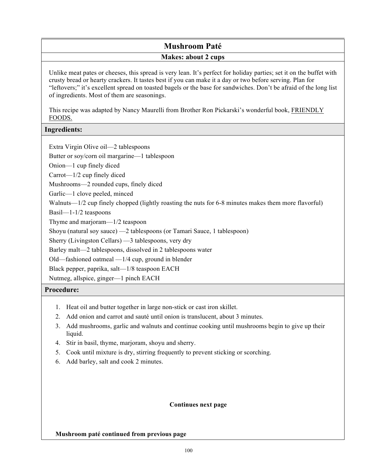# **Mushroom Paté Makes: about 2 cups**

Unlike meat pates or cheeses, this spread is very lean. It's perfect for holiday parties; set it on the buffet with crusty bread or hearty crackers. It tastes best if you can make it a day or two before serving. Plan for "leftovers;" it's excellent spread on toasted bagels or the base for sandwiches. Don't be afraid of the long list of ingredients. Most of them are seasonings.

This recipe was adapted by Nancy Maurelli from Brother Ron Pickarski's wonderful book, FRIENDLY FOODS.

# **Ingredients:**

Extra Virgin Olive oil—2 tablespoons

Butter or soy/corn oil margarine—1 tablespoon

Onion—1 cup finely diced

Carrot—1/2 cup finely diced

Mushrooms—2 rounded cups, finely diced

Garlic—1 clove peeled, minced

Walnuts—1/2 cup finely chopped (lightly roasting the nuts for 6-8 minutes makes them more flavorful)

Basil—1-1/2 teaspoons

Thyme and marjoram—1/2 teaspoon

Shoyu (natural soy sauce) —2 tablespoons (or Tamari Sauce, 1 tablespoon)

Sherry (Livingston Cellars) —3 tablespoons, very dry

Barley malt—2 tablespoons, dissolved in 2 tablespoons water

Old—fashioned oatmeal —1/4 cup, ground in blender

Black pepper, paprika, salt—1/8 teaspoon EACH

Nutmeg, allspice, ginger—1 pinch EACH

## **Procedure:**

- 1. Heat oil and butter together in large non-stick or cast iron skillet.
- 2. Add onion and carrot and sauté until onion is translucent, about 3 minutes.
- 3. Add mushrooms, garlic and walnuts and continue cooking until mushrooms begin to give up their liquid.
- 4. Stir in basil, thyme, marjoram, shoyu and sherry.
- 5. Cook until mixture is dry, stirring frequently to prevent sticking or scorching.
- 6. Add barley, salt and cook 2 minutes.

## **Continues next page**

#### **Mushroom paté continued from previous page**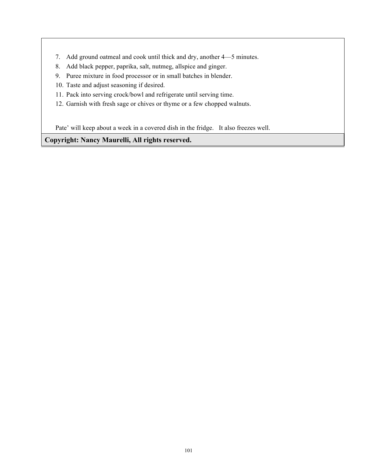- 7. Add ground oatmeal and cook until thick and dry, another 4—5 minutes.
- 8. Add black pepper, paprika, salt, nutmeg, allspice and ginger.
- 9. Puree mixture in food processor or in small batches in blender.
- 10. Taste and adjust seasoning if desired.
- 11. Pack into serving crock/bowl and refrigerate until serving time.
- 12. Garnish with fresh sage or chives or thyme or a few chopped walnuts.

Pate' will keep about a week in a covered dish in the fridge. It also freezes well.

**Copyright: Nancy Maurelli, All rights reserved.**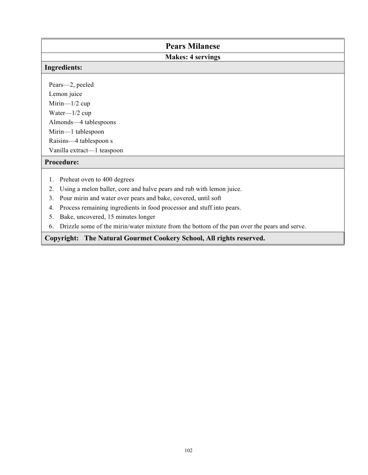| <b>Pears Milanese</b>                                                       |  |  |
|-----------------------------------------------------------------------------|--|--|
| <b>Makes: 4 servings</b>                                                    |  |  |
| <b>Ingredients:</b>                                                         |  |  |
|                                                                             |  |  |
| Pears-2, peeled                                                             |  |  |
| Lemon juice                                                                 |  |  |
| Mirin- $1/2$ cup                                                            |  |  |
| Water— $1/2$ cup                                                            |  |  |
| Almonds—4 tablespoons                                                       |  |  |
| Mirin-1 tablespoon                                                          |  |  |
| Raisins-4 tablespoon s                                                      |  |  |
| Vanilla extract-1 teaspoon                                                  |  |  |
| <b>Procedure:</b>                                                           |  |  |
| Preheat oven to 400 degrees<br>1.                                           |  |  |
| 2.                                                                          |  |  |
| Using a melon baller, core and halve pears and rub with lemon juice.        |  |  |
| 3.<br>Pour mirin and water over pears and bake, covered, until soft         |  |  |
| Process remaining ingredients in food processor and stuff into pears.<br>4. |  |  |
| Bake, uncovered, 15 minutes longer<br>5.                                    |  |  |
|                                                                             |  |  |

6. Drizzle some of the mirin/water mixture from the bottom of the pan over the pears and serve.

# **Copyright: The Natural Gourmet Cookery School, All rights reserved.**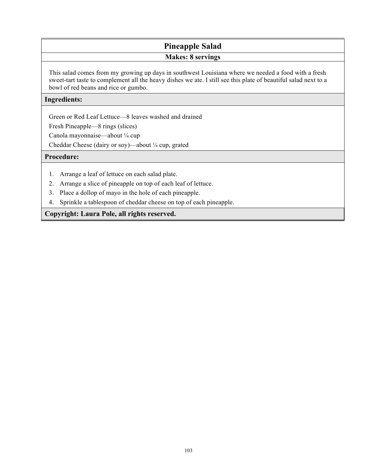# **Pineapple Salad Makes: 8 servings**

This salad comes from my growing up days in southwest Louisiana where we needed a food with a fresh sweet-tart taste to complement all the heavy dishes we ate. I still see this plate of beautiful salad next to a bowl of red beans and rice or gumbo.

### **Ingredients:**

Green or Red Leaf Lettuce—8 leaves washed and drained

Fresh Pineapple—8 rings (slices)

Canola mayonnaise—about ¼ cup

Cheddar Cheese (dairy or soy)—about ¼ cup, grated

#### **Procedure:**

- 1. Arrange a leaf of lettuce on each salad plate.
- 2. Arrange a slice of pineapple on top of each leaf of lettuce.
- 3. Place a dollop of mayo in the hole of each pineapple.
- 4. Sprinkle a tablespoon of cheddar cheese on top of each pineapple.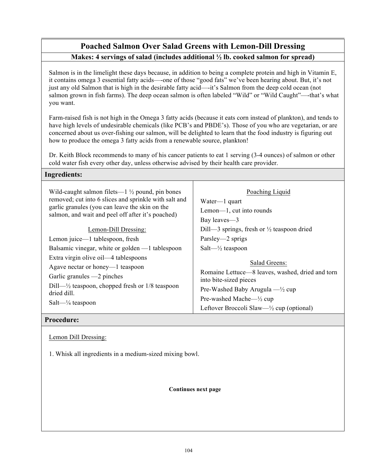# **Poached Salmon Over Salad Greens with Lemon-Dill Dressing Makes: 4 servings of salad (includes additional ½ lb. cooked salmon for spread)**

Salmon is in the limelight these days because, in addition to being a complete protein and high in Vitamin E, it contains omega 3 essential fatty acids—-one of those "good fats" we've been hearing about. But, it's not just any old Salmon that is high in the desirable fatty acid—-it's Salmon from the deep cold ocean (not salmon grown in fish farms). The deep ocean salmon is often labeled "Wild" or "Wild Caught"—-that's what you want.

Farm-raised fish is not high in the Omega 3 fatty acids (because it eats corn instead of plankton), and tends to have high levels of undesirable chemicals (like PCB's and PBDE's). Those of you who are vegetarian, or are concerned about us over-fishing our salmon, will be delighted to learn that the food industry is figuring out how to produce the omega 3 fatty acids from a renewable source, plankton!

Dr. Keith Block recommends to many of his cancer patients to eat 1 serving (3-4 ounces) of salmon or other cold water fish every other day, unless otherwise advised by their health care provider.

## **Ingredients:**

| Wild-caught salmon filets— $1\frac{1}{2}$ pound, pin bones<br>removed; cut into 6 slices and sprinkle with salt and<br>garlic granules (you can leave the skin on the<br>salmon, and wait and peel off after it's poached) | Poaching Liquid<br>Water—1 quart<br>Lemon—1, cut into rounds<br>Bay leaves—3                                                                                                                                                             |
|----------------------------------------------------------------------------------------------------------------------------------------------------------------------------------------------------------------------------|------------------------------------------------------------------------------------------------------------------------------------------------------------------------------------------------------------------------------------------|
| Lemon-Dill Dressing:                                                                                                                                                                                                       | Dill—3 springs, fresh or $\frac{1}{2}$ teaspoon dried                                                                                                                                                                                    |
| Lemon juice—1 tablespoon, fresh                                                                                                                                                                                            | Parsley—2 sprigs                                                                                                                                                                                                                         |
| Balsamic vinegar, white or golden —1 tablespoon                                                                                                                                                                            | Salt— $\frac{1}{2}$ teaspoon                                                                                                                                                                                                             |
| Extra virgin olive oil—4 tablespoons<br>Agave nectar or honey—1 teaspoon<br>Garlic granules $-2$ pinches<br>Dill— $\frac{1}{2}$ teaspoon, chopped fresh or 1/8 teaspoon<br>dried dill.<br>$Salt$ $\frac{1}{4}$ teaspoon    | Salad Greens:<br>Romaine Lettuce—8 leaves, washed, dried and torn<br>into bite-sized pieces<br>Pre-Washed Baby Arugula $-\frac{1}{2}$ cup<br>Pre-washed Mache— $\frac{1}{2}$ cup<br>Leftover Broccoli Slaw— $\frac{1}{2}$ cup (optional) |

## **Procedure:**

#### Lemon Dill Dressing:

1. Whisk all ingredients in a medium-sized mixing bowl.

**Continues next page**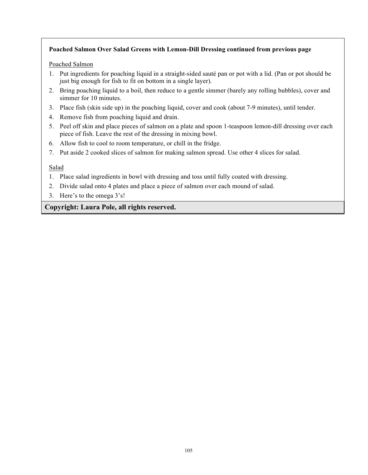## **Poached Salmon Over Salad Greens with Lemon-Dill Dressing continued from previous page**

### Poached Salmon

- 1. Put ingredients for poaching liquid in a straight-sided sauté pan or pot with a lid. (Pan or pot should be just big enough for fish to fit on bottom in a single layer).
- 2. Bring poaching liquid to a boil, then reduce to a gentle simmer (barely any rolling bubbles), cover and simmer for 10 minutes.
- 3. Place fish (skin side up) in the poaching liquid, cover and cook (about 7-9 minutes), until tender.
- 4. Remove fish from poaching liquid and drain.
- 5. Peel off skin and place pieces of salmon on a plate and spoon 1-teaspoon lemon-dill dressing over each piece of fish. Leave the rest of the dressing in mixing bowl.
- 6. Allow fish to cool to room temperature, or chill in the fridge.
- 7. Put aside 2 cooked slices of salmon for making salmon spread. Use other 4 slices for salad.

## Salad

- 1. Place salad ingredients in bowl with dressing and toss until fully coated with dressing.
- 2. Divide salad onto 4 plates and place a piece of salmon over each mound of salad.
- 3. Here's to the omega 3's!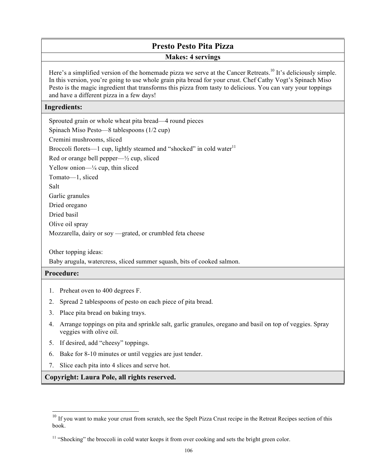# **Presto Pesto Pita Pizza**

### **Makes: 4 servings**

Here's a simplified version of the homemade pizza we serve at the Cancer Retreats.<sup>10</sup> It's deliciously simple. In this version, you're going to use whole grain pita bread for your crust. Chef Cathy Vogt's Spinach Miso Pesto is the magic ingredient that transforms this pizza from tasty to delicious. You can vary your toppings and have a different pizza in a few days!

### **Ingredients:**

| Sprouted grain or whole wheat pita bread—4 round pieces                           |
|-----------------------------------------------------------------------------------|
| Spinach Miso Pesto—8 tablespoons $(1/2$ cup)                                      |
| Cremini mushrooms, sliced                                                         |
| Broccoli florets—1 cup, lightly steamed and "shocked" in cold water <sup>11</sup> |
| Red or orange bell pepper— $\frac{1}{2}$ cup, sliced                              |
| Yellow onion— $\frac{1}{4}$ cup, thin sliced                                      |
| Tomato-1, sliced                                                                  |
| Salt                                                                              |
| Garlic granules                                                                   |
| Dried oregano                                                                     |
| Dried basil                                                                       |
| Olive oil spray                                                                   |
| Mozzarella, dairy or soy —grated, or crumbled feta cheese                         |
|                                                                                   |

Other topping ideas:

Baby arugula, watercress, sliced summer squash, bits of cooked salmon.

## **Procedure:**

 $\overline{a}$ 

- 1. Preheat oven to 400 degrees F.
- 2. Spread 2 tablespoons of pesto on each piece of pita bread.
- 3. Place pita bread on baking trays.
- 4. Arrange toppings on pita and sprinkle salt, garlic granules, oregano and basil on top of veggies. Spray veggies with olive oil.
- 5. If desired, add "cheesy" toppings.
- 6. Bake for 8-10 minutes or until veggies are just tender.
- 7. Slice each pita into 4 slices and serve hot.

 $10$  If you want to make your crust from scratch, see the Spelt Pizza Crust recipe in the Retreat Recipes section of this book.

<sup>&</sup>lt;sup>11</sup> "Shocking" the broccoli in cold water keeps it from over cooking and sets the bright green color.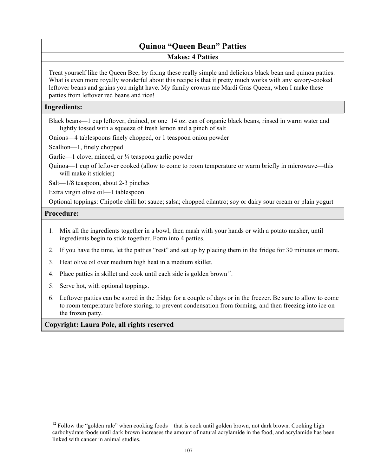# **Quinoa "Queen Bean" Patties Makes: 4 Patties**

Treat yourself like the Queen Bee, by fixing these really simple and delicious black bean and quinoa patties. What is even more royally wonderful about this recipe is that it pretty much works with any savory-cooked leftover beans and grains you might have. My family crowns me Mardi Gras Queen, when I make these patties from leftover red beans and rice!

## **Ingredients:**

Black beans—1 cup leftover, drained, or one 14 oz. can of organic black beans, rinsed in warm water and lightly tossed with a squeeze of fresh lemon and a pinch of salt

Onions—4 tablespoons finely chopped, or 1 teaspoon onion powder

Scallion—1, finely chopped

Garlic—1 clove, minced, or  $\frac{1}{4}$  teaspoon garlic powder

Quinoa—1 cup of leftover cooked (allow to come to room temperature or warm briefly in microwave—this will make it stickier)

Salt—1/8 teaspoon, about 2-3 pinches

Extra virgin olive oil—1 tablespoon

Optional toppings: Chipotle chili hot sauce; salsa; chopped cilantro; soy or dairy sour cream or plain yogurt

## **Procedure:**

 $\overline{a}$ 

- 1. Mix all the ingredients together in a bowl, then mash with your hands or with a potato masher, until ingredients begin to stick together. Form into 4 patties.
- 2. If you have the time, let the patties "rest" and set up by placing them in the fridge for 30 minutes or more.
- 3. Heat olive oil over medium high heat in a medium skillet.
- 4. Place patties in skillet and cook until each side is golden brown<sup>12</sup>.
- 5. Serve hot, with optional toppings.
- 6. Leftover patties can be stored in the fridge for a couple of days or in the freezer. Be sure to allow to come to room temperature before storing, to prevent condensation from forming, and then freezing into ice on the frozen patty.

<sup>&</sup>lt;sup>12</sup> Follow the "golden rule" when cooking foods—that is cook until golden brown, not dark brown. Cooking high carbohydrate foods until dark brown increases the amount of natural acrylamide in the food, and acrylamide has been linked with cancer in animal studies.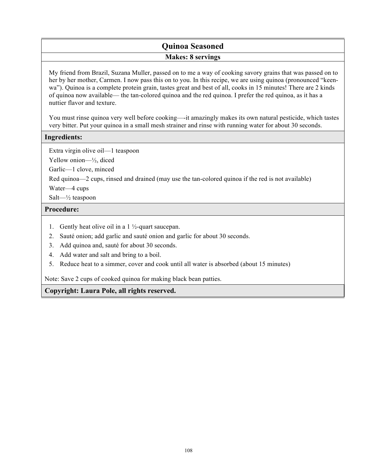# **Quinoa Seasoned Makes: 8 servings**

My friend from Brazil, Suzana Muller, passed on to me a way of cooking savory grains that was passed on to her by her mother, Carmen. I now pass this on to you. In this recipe, we are using quinoa (pronounced "keenwa"). Quinoa is a complete protein grain, tastes great and best of all, cooks in 15 minutes! There are 2 kinds of quinoa now available— the tan-colored quinoa and the red quinoa. I prefer the red quinoa, as it has a nuttier flavor and texture.

You must rinse quinoa very well before cooking—-it amazingly makes its own natural pesticide, which tastes very bitter. Put your quinoa in a small mesh strainer and rinse with running water for about 30 seconds.

## **Ingredients:**

Extra virgin olive oil—1 teaspoon

Yellow onion—½, diced

Garlic—1 clove, minced

Red quinoa—2 cups, rinsed and drained (may use the tan-colored quinoa if the red is not available)

Water—4 cups

Salt—½ teaspoon

## **Procedure:**

- 1. Gently heat olive oil in a  $1\frac{1}{2}$ -quart saucepan.
- 2. Sauté onion; add garlic and sauté onion and garlic for about 30 seconds.
- 3. Add quinoa and, sauté for about 30 seconds.
- 4. Add water and salt and bring to a boil.
- 5. Reduce heat to a simmer, cover and cook until all water is absorbed (about 15 minutes)

Note: Save 2 cups of cooked quinoa for making black bean patties.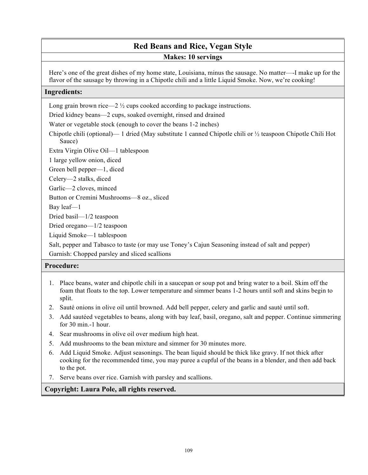# **Red Beans and Rice, Vegan Style**

#### **Makes: 10 servings**

Here's one of the great dishes of my home state, Louisiana, minus the sausage. No matter—-I make up for the flavor of the sausage by throwing in a Chipotle chili and a little Liquid Smoke. Now, we're cooking!

#### **Ingredients:**

Long grain brown rice—2  $\frac{1}{2}$  cups cooked according to package instructions.

Dried kidney beans—2 cups, soaked overnight, rinsed and drained

Water or vegetable stock (enough to cover the beans 1-2 inches)

Chipotle chili (optional)— 1 dried (May substitute 1 canned Chipotle chili or ½ teaspoon Chipotle Chili Hot Sauce)

Extra Virgin Olive Oil—1 tablespoon

1 large yellow onion, diced

Green bell pepper—1, diced

Celery—2 stalks, diced

Garlic—2 cloves, minced

Button or Cremini Mushrooms—8 oz., sliced

Bay leaf—1

Dried basil—1/2 teaspoon

Dried oregano—1/2 teaspoon

Liquid Smoke—1 tablespoon

Salt, pepper and Tabasco to taste (or may use Toney's Cajun Seasoning instead of salt and pepper) Garnish: Chopped parsley and sliced scallions

#### **Procedure:**

- 1. Place beans, water and chipotle chili in a saucepan or soup pot and bring water to a boil. Skim off the foam that floats to the top. Lower temperature and simmer beans 1-2 hours until soft and skins begin to split.
- 2. Sauté onions in olive oil until browned. Add bell pepper, celery and garlic and sauté until soft.
- 3. Add sautéed vegetables to beans, along with bay leaf, basil, oregano, salt and pepper. Continue simmering for 30 min.-1 hour.
- 4. Sear mushrooms in olive oil over medium high heat.
- 5. Add mushrooms to the bean mixture and simmer for 30 minutes more.
- 6. Add Liquid Smoke. Adjust seasonings. The bean liquid should be thick like gravy. If not thick after cooking for the recommended time, you may puree a cupful of the beans in a blender, and then add back to the pot.
- 7. Serve beans over rice. Garnish with parsley and scallions.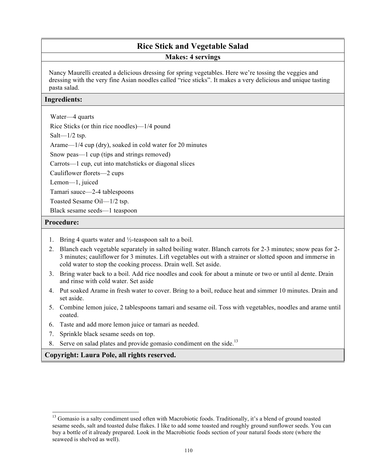# **Rice Stick and Vegetable Salad**

**Makes: 4 servings** 

Nancy Maurelli created a delicious dressing for spring vegetables. Here we're tossing the veggies and dressing with the very fine Asian noodles called "rice sticks". It makes a very delicious and unique tasting pasta salad.

#### **Ingredients:**

Water—4 quarts

Rice Sticks (or thin rice noodles)—1/4 pound

Salt $-1/2$  tsp.

Arame—1/4 cup (dry), soaked in cold water for 20 minutes

Snow peas—1 cup (tips and strings removed)

Carrots—1 cup, cut into matchsticks or diagonal slices

Cauliflower florets—2 cups

Lemon—1, juiced

Tamari sauce—2-4 tablespoons

Toasted Sesame Oil—1/2 tsp.

Black sesame seeds—1 teaspoon

#### **Procedure:**

 $\overline{a}$ 

- 1. Bring 4 quarts water and ½-teaspoon salt to a boil.
- 2. Blanch each vegetable separately in salted boiling water. Blanch carrots for 2-3 minutes; snow peas for 2- 3 minutes; cauliflower for 3 minutes. Lift vegetables out with a strainer or slotted spoon and immerse in cold water to stop the cooking process. Drain well. Set aside.
- 3. Bring water back to a boil. Add rice noodles and cook for about a minute or two or until al dente. Drain and rinse with cold water. Set aside
- 4. Put soaked Arame in fresh water to cover. Bring to a boil, reduce heat and simmer 10 minutes. Drain and set aside.
- 5. Combine lemon juice, 2 tablespoons tamari and sesame oil. Toss with vegetables, noodles and arame until coated.
- 6. Taste and add more lemon juice or tamari as needed.
- 7. Sprinkle black sesame seeds on top.
- 8. Serve on salad plates and provide gomasio condiment on the side.<sup>13</sup>

<sup>&</sup>lt;sup>13</sup> Gomasio is a salty condiment used often with Macrobiotic foods. Traditionally, it's a blend of ground toasted sesame seeds, salt and toasted dulse flakes. I like to add some toasted and roughly ground sunflower seeds. You can buy a bottle of it already prepared. Look in the Macrobiotic foods section of your natural foods store (where the seaweed is shelved as well).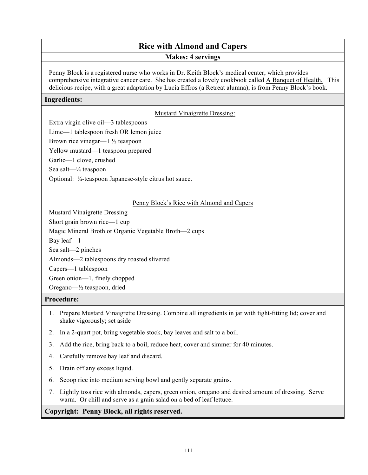# **Rice with Almond and Capers**

#### **Makes: 4 servings**

Penny Block is a registered nurse who works in Dr. Keith Block's medical center, which provides comprehensive integrative cancer care. She has created a lovely cookbook called A Banquet of Health. This delicious recipe, with a great adaptation by Lucia Effros (a Retreat alumna), is from Penny Block's book.

#### **Ingredients:**

#### Mustard Vinaigrette Dressing:

Extra virgin olive oil—3 tablespoons

Lime—1 tablespoon fresh OR lemon juice

Brown rice vinegar— $1\frac{1}{2}$  teaspoon

Yellow mustard—1 teaspoon prepared

Garlic—1 clove, crushed

Sea salt—¼ teaspoon

Optional: ¼-teaspoon Japanese-style citrus hot sauce.

#### Penny Block's Rice with Almond and Capers

Mustard Vinaigrette Dressing

Short grain brown rice—1 cup

Magic Mineral Broth or Organic Vegetable Broth—2 cups

Bay leaf—1

Sea salt—2 pinches

Almonds—2 tablespoons dry roasted slivered

Capers—1 tablespoon

Green onion—1, finely chopped

Oregano—½ teaspoon, dried

#### **Procedure:**

- 1. Prepare Mustard Vinaigrette Dressing. Combine all ingredients in jar with tight-fitting lid; cover and shake vigorously; set aside
- 2. In a 2-quart pot, bring vegetable stock, bay leaves and salt to a boil.
- 3. Add the rice, bring back to a boil, reduce heat, cover and simmer for 40 minutes.
- 4. Carefully remove bay leaf and discard.
- 5. Drain off any excess liquid.
- 6. Scoop rice into medium serving bowl and gently separate grains.
- 7. Lightly toss rice with almonds, capers, green onion, oregano and desired amount of dressing. Serve warm. Or chill and serve as a grain salad on a bed of leaf lettuce.

#### **Copyright: Penny Block, all rights reserved.**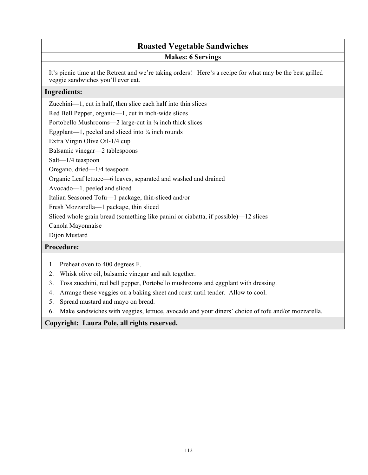# **Roasted Vegetable Sandwiches Makes: 6 Servings**

It's picnic time at the Retreat and we're taking orders! Here's a recipe for what may be the best grilled veggie sandwiches you'll ever eat.

#### **Ingredients:**

Zucchini—1, cut in half, then slice each half into thin slices

Red Bell Pepper, organic—1, cut in inch-wide slices

Portobello Mushrooms—2 large-cut in  $\frac{1}{4}$  inch thick slices

Eggplant—1, peeled and sliced into ¼ inch rounds

Extra Virgin Olive Oil-1/4 cup

Balsamic vinegar—2 tablespoons

Salt—1/4 teaspoon

Oregano, dried—1/4 teaspoon

Organic Leaf lettuce—6 leaves, separated and washed and drained

Avocado—1, peeled and sliced

Italian Seasoned Tofu—1 package, thin-sliced and/or

Fresh Mozzarella—1 package, thin sliced

Sliced whole grain bread (something like panini or ciabatta, if possible)—12 slices

Canola Mayonnaise

Dijon Mustard

#### **Procedure:**

- 1. Preheat oven to 400 degrees F.
- 2. Whisk olive oil, balsamic vinegar and salt together.
- 3. Toss zucchini, red bell pepper, Portobello mushrooms and eggplant with dressing.
- 4. Arrange these veggies on a baking sheet and roast until tender. Allow to cool.
- 5. Spread mustard and mayo on bread.
- 6. Make sandwiches with veggies, lettuce, avocado and your diners' choice of tofu and/or mozzarella.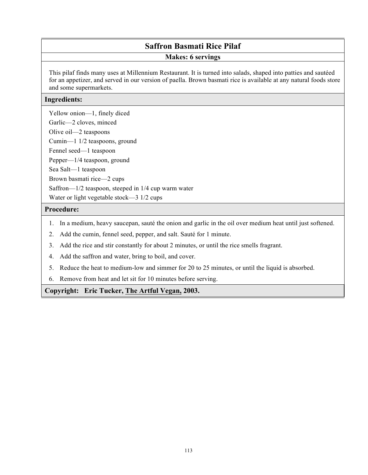## **Saffron Basmati Rice Pilaf**

#### **Makes: 6 servings**

This pilaf finds many uses at Millennium Restaurant. It is turned into salads, shaped into patties and sautéed for an appetizer, and served in our version of paella. Brown basmati rice is available at any natural foods store and some supermarkets.

#### **Ingredients:**

Yellow onion—1, finely diced Garlic—2 cloves, minced

Olive oil—2 teaspoons

Cumin—1 1/2 teaspoons, ground

Fennel seed—1 teaspoon

Pepper—1/4 teaspoon, ground

Sea Salt—1 teaspoon

Brown basmati rice—2 cups

Saffron—1/2 teaspoon, steeped in 1/4 cup warm water

Water or light vegetable stock—3 1/2 cups

#### **Procedure:**

- 1. In a medium, heavy saucepan, sauté the onion and garlic in the oil over medium heat until just softened.
- 2. Add the cumin, fennel seed, pepper, and salt. Sauté for 1 minute.
- 3. Add the rice and stir constantly for about 2 minutes, or until the rice smells fragrant.
- 4. Add the saffron and water, bring to boil, and cover.
- 5. Reduce the heat to medium-low and simmer for 20 to 25 minutes, or until the liquid is absorbed.
- 6. Remove from heat and let sit for 10 minutes before serving.

**Copyright: Eric Tucker, The Artful Vegan, 2003.**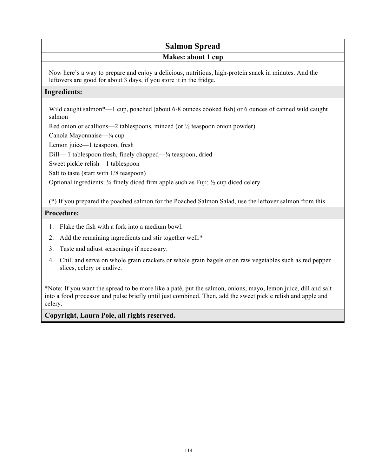# **Salmon Spread**

#### **Makes: about 1 cup**

Now here's a way to prepare and enjoy a delicious, nutritious, high-protein snack in minutes. And the leftovers are good for about 3 days, if you store it in the fridge.

#### **Ingredients:**

Wild caught salmon\*—1 cup, poached (about 6-8 ounces cooked fish) or 6 ounces of canned wild caught salmon

Red onion or scallions—2 tablespoons, minced (or  $\frac{1}{2}$  teaspoon onion powder)

Canola Mayonnaise—¼ cup

Lemon juice—1 teaspoon, fresh

Dill— 1 tablespoon fresh, finely chopped—¼ teaspoon, dried

Sweet pickle relish—1 tablespoon

Salt to taste (start with 1/8 teaspoon)

Optional ingredients: ¼ finely diced firm apple such as Fuji; ½ cup diced celery

(\*) If you prepared the poached salmon for the Poached Salmon Salad, use the leftover salmon from this

#### **Procedure:**

- 1. Flake the fish with a fork into a medium bowl.
- 2. Add the remaining ingredients and stir together well.\*
- 3. Taste and adjust seasonings if necessary.
- 4. Chill and serve on whole grain crackers or whole grain bagels or on raw vegetables such as red pepper slices, celery or endive.

\*Note: If you want the spread to be more like a paté, put the salmon, onions, mayo, lemon juice, dill and salt into a food processor and pulse briefly until just combined. Then, add the sweet pickle relish and apple and celery.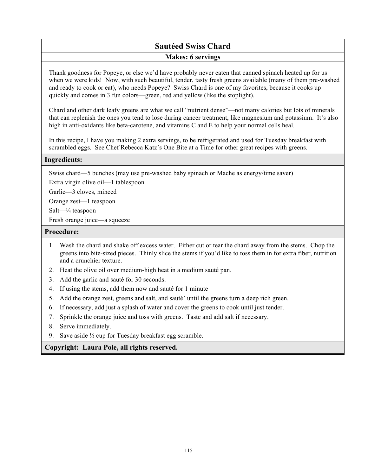# **Sautéed Swiss Chard Makes: 6 servings**

Thank goodness for Popeye, or else we'd have probably never eaten that canned spinach heated up for us when we were kids! Now, with such beautiful, tender, tasty fresh greens available (many of them pre-washed and ready to cook or eat), who needs Popeye? Swiss Chard is one of my favorites, because it cooks up quickly and comes in 3 fun colors—green, red and yellow (like the stoplight).

Chard and other dark leafy greens are what we call "nutrient dense"—not many calories but lots of minerals that can replenish the ones you tend to lose during cancer treatment, like magnesium and potassium. It's also high in anti-oxidants like beta-carotene, and vitamins C and E to help your normal cells heal.

In this recipe, I have you making 2 extra servings, to be refrigerated and used for Tuesday breakfast with scrambled eggs. See Chef Rebecca Katz's One Bite at a Time for other great recipes with greens.

#### **Ingredients:**

Swiss chard—5 bunches (may use pre-washed baby spinach or Mache as energy/time saver)

Extra virgin olive oil—1 tablespoon

Garlic—3 cloves, minced

Orange zest—1 teaspoon

Salt—¼ teaspoon

Fresh orange juice—a squeeze

#### **Procedure:**

- 1. Wash the chard and shake off excess water. Either cut or tear the chard away from the stems. Chop the greens into bite-sized pieces. Thinly slice the stems if you'd like to toss them in for extra fiber, nutrition and a crunchier texture.
- 2. Heat the olive oil over medium-high heat in a medium sauté pan.
- 3. Add the garlic and sauté for 30 seconds.
- 4. If using the stems, add them now and sauté for 1 minute
- 5. Add the orange zest, greens and salt, and sauté' until the greens turn a deep rich green.
- 6. If necessary, add just a splash of water and cover the greens to cook until just tender.
- 7. Sprinkle the orange juice and toss with greens. Taste and add salt if necessary.
- 8. Serve immediately.
- 9. Save aside ½ cup for Tuesday breakfast egg scramble.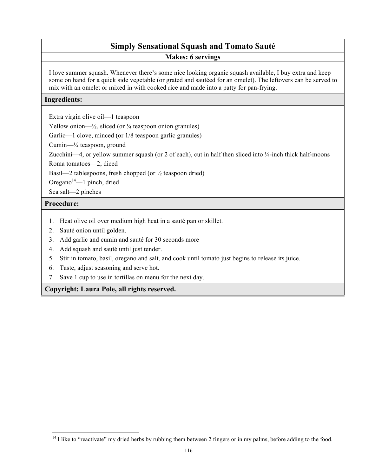# **Simply Sensational Squash and Tomato Sauté**

**Makes: 6 servings** 

I love summer squash. Whenever there's some nice looking organic squash available, I buy extra and keep some on hand for a quick side vegetable (or grated and sautéed for an omelet). The leftovers can be served to mix with an omelet or mixed in with cooked rice and made into a patty for pan-frying.

#### **Ingredients:**

Extra virgin olive oil—1 teaspoon

Yellow onion— $\frac{1}{2}$ , sliced (or  $\frac{1}{4}$  teaspoon onion granules)

Garlic—1 clove, minced (or  $1/8$  teaspoon garlic granules)

Cumin—¼ teaspoon, ground

Zucchini—4, or yellow summer squash (or 2 of each), cut in half then sliced into ¼-inch thick half-moons

Roma tomatoes—2, diced

Basil—2 tablespoons, fresh chopped (or  $\frac{1}{2}$  teaspoon dried)

Oregano $14$ —1 pinch, dried

Sea salt—2 pinches

#### **Procedure:**

l

- 1. Heat olive oil over medium high heat in a sauté pan or skillet.
- 2. Sauté onion until golden.
- 3. Add garlic and cumin and sauté for 30 seconds more
- 4. Add squash and sauté until just tender.
- 5. Stir in tomato, basil, oregano and salt, and cook until tomato just begins to release its juice.
- 6. Taste, adjust seasoning and serve hot.
- 7. Save 1 cup to use in tortillas on menu for the next day.

 $14$  I like to "reactivate" my dried herbs by rubbing them between 2 fingers or in my palms, before adding to the food.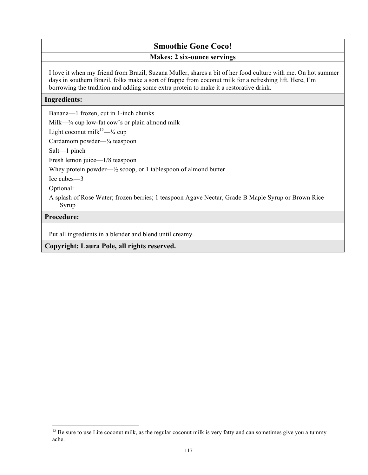# **Smoothie Gone Coco!**

#### **Makes: 2 six-ounce servings**

I love it when my friend from Brazil, Suzana Muller, shares a bit of her food culture with me. On hot summer days in southern Brazil, folks make a sort of frappe from coconut milk for a refreshing lift. Here, I'm borrowing the tradition and adding some extra protein to make it a restorative drink.

#### **Ingredients:**

Banana—1 frozen, cut in 1-inch chunks

Milk—¾ cup low-fat cow's or plain almond milk

Light coconut milk $15 - \frac{1}{4}$  cup

Cardamom powder—¼ teaspoon

Salt—1 pinch

Fresh lemon juice—1/8 teaspoon

Whey protein powder— $\frac{1}{2}$  scoop, or 1 tablespoon of almond butter

Ice cubes—3

Optional:

A splash of Rose Water; frozen berries; 1 teaspoon Agave Nectar, Grade B Maple Syrup or Brown Rice Syrup

#### **Procedure:**

 $\overline{a}$ 

Put all ingredients in a blender and blend until creamy.

 $15$  Be sure to use Lite coconut milk, as the regular coconut milk is very fatty and can sometimes give you a tummy ache.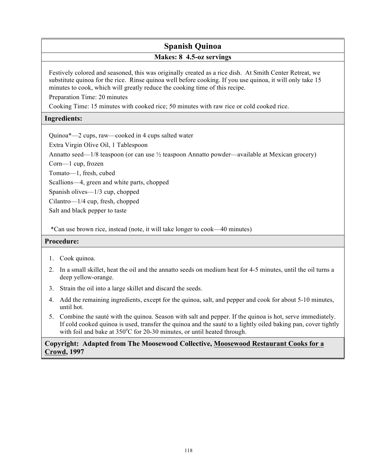# **Spanish Quinoa**

#### **Makes: 8 4.5-oz servings**

Festively colored and seasoned, this was originally created as a rice dish. At Smith Center Retreat, we substitute quinoa for the rice. Rinse quinoa well before cooking. If you use quinoa, it will only take 15 minutes to cook, which will greatly reduce the cooking time of this recipe.

Preparation Time: 20 minutes

Cooking Time: 15 minutes with cooked rice; 50 minutes with raw rice or cold cooked rice.

#### **Ingredients:**

Quinoa\*—2 cups, raw—cooked in 4 cups salted water

Extra Virgin Olive Oil, 1 Tablespoon

Annatto seed—1/8 teaspoon (or can use  $\frac{1}{2}$  teaspoon Annatto powder—available at Mexican grocery)

Corn—1 cup, frozen

Tomato—1, fresh, cubed

Scallions—4, green and white parts, chopped

Spanish olives—1/3 cup, chopped

Cilantro—1/4 cup, fresh, chopped

Salt and black pepper to taste

\*Can use brown rice, instead (note, it will take longer to cook—40 minutes)

#### **Procedure:**

- 1. Cook quinoa.
- 2. In a small skillet, heat the oil and the annatto seeds on medium heat for 4-5 minutes, until the oil turns a deep yellow-orange.
- 3. Strain the oil into a large skillet and discard the seeds.
- 4. Add the remaining ingredients, except for the quinoa, salt, and pepper and cook for about 5-10 minutes, until hot.
- 5. Combine the sauté with the quinoa. Season with salt and pepper. If the quinoa is hot, serve immediately. If cold cooked quinoa is used, transfer the quinoa and the sauté to a lightly oiled baking pan, cover tightly with foil and bake at 350°C for 20-30 minutes, or until heated through.

#### **Copyright: Adapted from The Moosewood Collective, Moosewood Restaurant Cooks for a Crowd, 1997**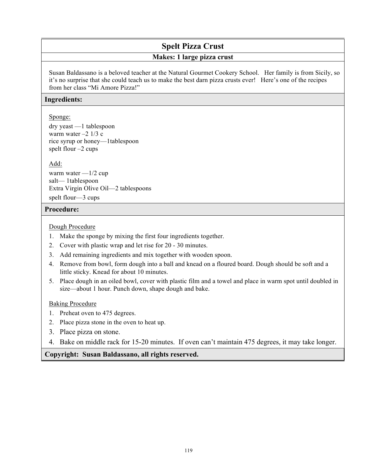# **Spelt Pizza Crust**

#### **Makes: 1 large pizza crust**

Susan Baldassano is a beloved teacher at the Natural Gourmet Cookery School. Her family is from Sicily, so it's no surprise that she could teach us to make the best darn pizza crusts ever! Here's one of the recipes from her class "Mi Amore Pizza!"

#### **Ingredients:**

#### Sponge:

dry yeast —1 tablespoon warm water  $-2$  1/3 c rice syrup or honey—1tablespoon spelt flour –2 cups

Add:

warm water  $-1/2$  cup salt— 1tablespoon Extra Virgin Olive Oil—2 tablespoons spelt flour—3 cups

#### **Procedure:**

#### Dough Procedure

- 1. Make the sponge by mixing the first four ingredients together.
- 2. Cover with plastic wrap and let rise for 20 30 minutes.
- 3. Add remaining ingredients and mix together with wooden spoon.
- 4. Remove from bowl, form dough into a ball and knead on a floured board. Dough should be soft and a little sticky. Knead for about 10 minutes.
- 5. Place dough in an oiled bowl, cover with plastic film and a towel and place in warm spot until doubled in size—about 1 hour. Punch down, shape dough and bake.

#### Baking Procedure

- 1. Preheat oven to 475 degrees.
- 2. Place pizza stone in the oven to heat up.
- 3. Place pizza on stone.
- 4. Bake on middle rack for 15-20 minutes. If oven can't maintain 475 degrees, it may take longer.

#### **Copyright: Susan Baldassano, all rights reserved.**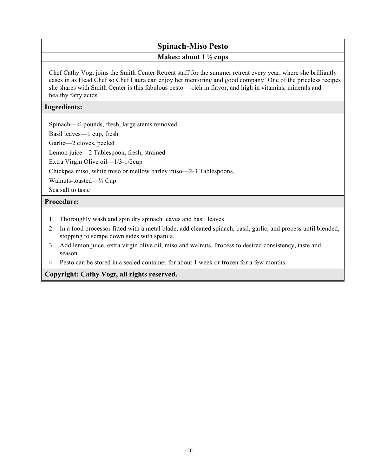# **Spinach-Miso Pesto Makes: about 1 ½ cups**

Chef Cathy Vogt joins the Smith Center Retreat staff for the summer retreat every year, where she brilliantly eases in as Head Chef so Chef Laura can enjoy her mentoring and good company! One of the priceless recipes she shares with Smith Center is this fabulous pesto—-rich in flavor, and high in vitamins, minerals and healthy fatty acids.

#### **Ingredients:**

Spinach—¾ pounds, fresh, large stems removed

Basil leaves—1 cup, fresh

Garlic—2 cloves, peeled

Lemon juice—2 Tablespoon, fresh, strained

Extra Virgin Olive oil—1/3-1/2cup

Chickpea miso, white miso or mellow barley miso—2-3 Tablespoons,

Walnuts-toasted—¾ Cup

Sea salt to taste

#### **Procedure:**

- 1. Thoroughly wash and spin dry spinach leaves and basil leaves
- 2. In a food processor fitted with a metal blade, add cleaned spinach, basil, garlic, and process until blended, stopping to scrape down sides with spatula.
- 3. Add lemon juice, extra virgin olive oil, miso and walnuts. Process to desired consistency, taste and season.
- 4. Pesto can be stored in a sealed container for about 1 week or frozen for a few months.

**Copyright: Cathy Vogt, all rights reserved.**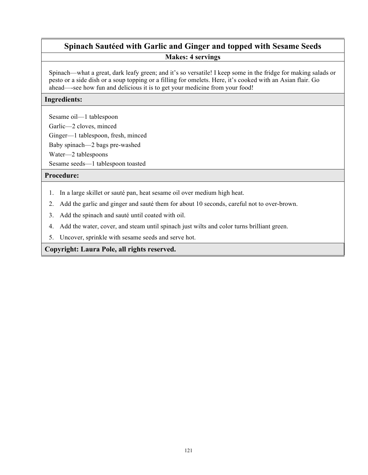# **Spinach Sautéed with Garlic and Ginger and topped with Sesame Seeds Makes: 4 servings**

Spinach—what a great, dark leafy green; and it's so versatile! I keep some in the fridge for making salads or pesto or a side dish or a soup topping or a filling for omelets. Here, it's cooked with an Asian flair. Go ahead—-see how fun and delicious it is to get your medicine from your food!

#### **Ingredients:**

Sesame oil—1 tablespoon

Garlic—2 cloves, minced

Ginger—1 tablespoon, fresh, minced

Baby spinach—2 bags pre-washed

Water—2 tablespoons

Sesame seeds—1 tablespoon toasted

#### **Procedure:**

- 1. In a large skillet or sauté pan, heat sesame oil over medium high heat.
- 2. Add the garlic and ginger and sauté them for about 10 seconds, careful not to over-brown.
- 3. Add the spinach and sauté until coated with oil.
- 4. Add the water, cover, and steam until spinach just wilts and color turns brilliant green.
- 5. Uncover, sprinkle with sesame seeds and serve hot.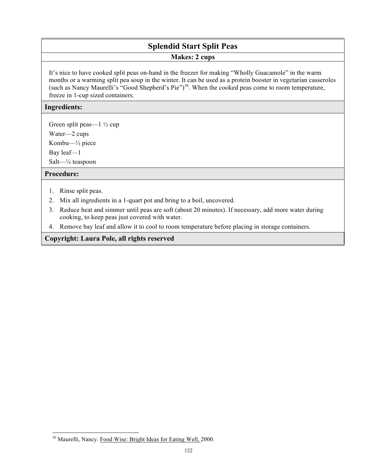# **Splendid Start Split Peas**

#### **Makes: 2 cups**

It's nice to have cooked split peas on-hand in the freezer for making "Wholly Guacamole" in the warm months or a warming split pea soup in the winter. It can be used as a protein booster in vegetarian casseroles (such as Nancy Maurelli's "Good Shepherd's Pie")16. When the cooked peas come to room temperature, freeze in 1-cup sized containers.

#### **Ingredients:**

Green split peas—1 ½ cup

Water—2 cups

Kombu—½ piece

Bay leaf—1

Salt—¼ teaspoon

#### **Procedure:**

- 1. Rinse split peas.
- 2. Mix all ingredients in a 1-quart pot and bring to a boil, uncovered.
- 3. Reduce heat and simmer until peas are soft (about 20 minutes). If necessary, add more water during cooking, to keep peas just covered with water.
- 4. Remove bay leaf and allow it to cool to room temperature before placing in storage containers.

l <sup>16</sup> Maurelli, Nancy. Food Wise: Bright Ideas for Eating Well, 2000.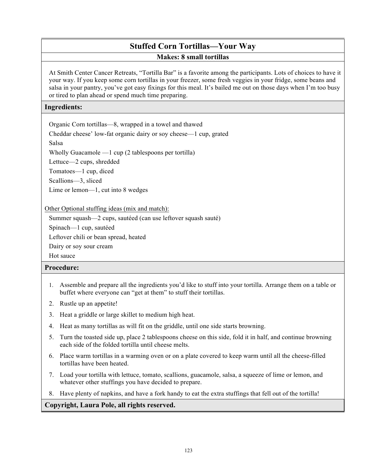## **Stuffed Corn Tortillas—Your Way Makes: 8 small tortillas**

At Smith Center Cancer Retreats, "Tortilla Bar" is a favorite among the participants. Lots of choices to have it your way. If you keep some corn tortillas in your freezer, some fresh veggies in your fridge, some beans and salsa in your pantry, you've got easy fixings for this meal. It's bailed me out on those days when I'm too busy or tired to plan ahead or spend much time preparing.

#### **Ingredients:**

Organic Corn tortillas—8, wrapped in a towel and thawed

Cheddar cheese' low-fat organic dairy or soy cheese—1 cup, grated

Salsa

Wholly Guacamole —1 cup (2 tablespoons per tortilla)

Lettuce—2 cups, shredded

Tomatoes—1 cup, diced

Scallions—3, sliced

Lime or lemon—1, cut into 8 wedges

Other Optional stuffing ideas (mix and match):

Summer squash—2 cups, sautéed (can use leftover squash sauté)

Spinach—1 cup, sautéed

Leftover chili or bean spread, heated

Dairy or soy sour cream

Hot sauce

#### **Procedure:**

- 1. Assemble and prepare all the ingredients you'd like to stuff into your tortilla. Arrange them on a table or buffet where everyone can "get at them" to stuff their tortillas.
- 2. Rustle up an appetite!
- 3. Heat a griddle or large skillet to medium high heat.
- 4. Heat as many tortillas as will fit on the griddle, until one side starts browning.
- 5. Turn the toasted side up, place 2 tablespoons cheese on this side, fold it in half, and continue browning each side of the folded tortilla until cheese melts.
- 6. Place warm tortillas in a warming oven or on a plate covered to keep warm until all the cheese-filled tortillas have been heated.
- 7. Load your tortilla with lettuce, tomato, scallions, guacamole, salsa, a squeeze of lime or lemon, and whatever other stuffings you have decided to prepare.
- 8. Have plenty of napkins, and have a fork handy to eat the extra stuffings that fell out of the tortilla!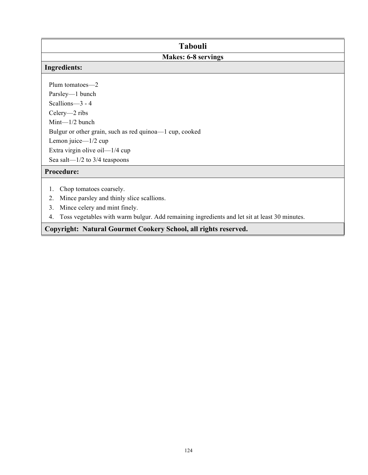### **Tabouli**

## **Makes: 6-8 servings**

#### **Ingredients:**

Plum tomatoes—2 Parsley—1 bunch Scallions—3 - 4 Celery—2 ribs Mint—1/2 bunch Bulgur or other grain, such as red quinoa—1 cup, cooked Lemon juice—1/2 cup Extra virgin olive oil—1/4 cup Sea salt—1/2 to 3/4 teaspoons

#### **Procedure:**

- 1. Chop tomatoes coarsely.
- 2. Mince parsley and thinly slice scallions.
- 3. Mince celery and mint finely.
- 4. Toss vegetables with warm bulgur. Add remaining ingredients and let sit at least 30 minutes.

## **Copyright: Natural Gourmet Cookery School, all rights reserved.**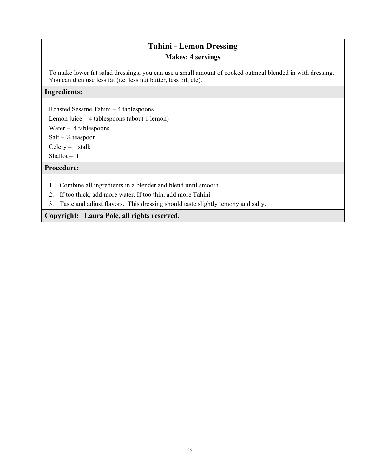# **Tahini - Lemon Dressing**

#### **Makes: 4 servings**

To make lower fat salad dressings, you can use a small amount of cooked oatmeal blended in with dressing. You can then use less fat (i.e. less nut butter, less oil, etc).

#### **Ingredients:**

Roasted Sesame Tahini – 4 tablespoons

Lemon juice – 4 tablespoons (about 1 lemon)

Water – 4 tablespoons

Salt –  $\frac{1}{4}$  teaspoon

 $Celery - 1$  stalk

Shallot  $-1$ 

**Procedure:**

- 1. Combine all ingredients in a blender and blend until smooth.
- 2. If too thick, add more water. If too thin, add more Tahini
- 3. Taste and adjust flavors. This dressing should taste slightly lemony and salty.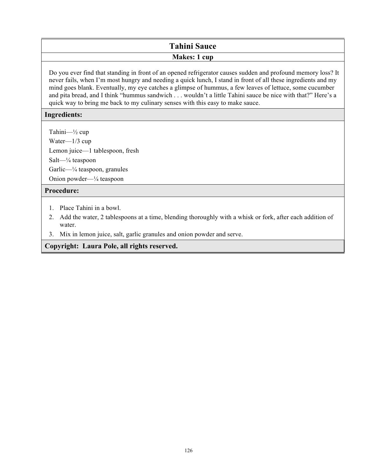# **Tahini Sauce**

#### **Makes: 1 cup**

Do you ever find that standing in front of an opened refrigerator causes sudden and profound memory loss? It never fails, when I'm most hungry and needing a quick lunch, I stand in front of all these ingredients and my mind goes blank. Eventually, my eye catches a glimpse of hummus, a few leaves of lettuce, some cucumber and pita bread, and I think "hummus sandwich . . . wouldn't a little Tahini sauce be nice with that?" Here's a quick way to bring me back to my culinary senses with this easy to make sauce.

#### **Ingredients:**

Tahini—½ cup

Water—1/3 cup

Lemon juice—1 tablespoon, fresh

Salt—¼ teaspoon

Garlic—¼ teaspoon, granules

Onion powder—¼ teaspoon

#### **Procedure:**

- 1. Place Tahini in a bowl.
- 2. Add the water, 2 tablespoons at a time, blending thoroughly with a whisk or fork, after each addition of water.
- 3. Mix in lemon juice, salt, garlic granules and onion powder and serve.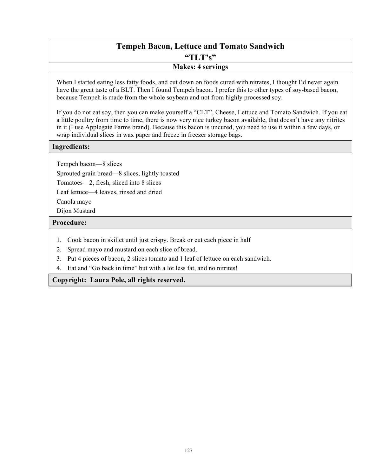# **Tempeh Bacon, Lettuce and Tomato Sandwich**

**"TLT's"**

#### **Makes: 4 servings**

When I started eating less fatty foods, and cut down on foods cured with nitrates, I thought I'd never again have the great taste of a BLT. Then I found Tempeh bacon. I prefer this to other types of soy-based bacon, because Tempeh is made from the whole soybean and not from highly processed soy.

If you do not eat soy, then you can make yourself a "CLT", Cheese, Lettuce and Tomato Sandwich. If you eat a little poultry from time to time, there is now very nice turkey bacon available, that doesn't have any nitrites in it (I use Applegate Farms brand). Because this bacon is uncured, you need to use it within a few days, or wrap individual slices in wax paper and freeze in freezer storage bags.

#### **Ingredients:**

Tempeh bacon—8 slices

Sprouted grain bread—8 slices, lightly toasted

Tomatoes—2, fresh, sliced into 8 slices

Leaf lettuce—4 leaves, rinsed and dried

Canola mayo

Dijon Mustard

#### **Procedure:**

- 1. Cook bacon in skillet until just crispy. Break or cut each piece in half
- 2. Spread mayo and mustard on each slice of bread.
- 3. Put 4 pieces of bacon, 2 slices tomato and 1 leaf of lettuce on each sandwich.
- 4. Eat and "Go back in time" but with a lot less fat, and no nitrites!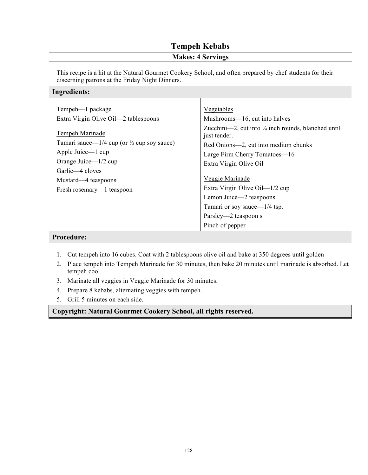#### **Tempeh Kebabs Makes: 4 Servings**  This recipe is a hit at the Natural Gourmet Cookery School, and often prepared by chef students for their discerning patrons at the Friday Night Dinners. **Ingredients:** Tempeh—1 package Extra Virgin Olive Oil—2 tablespoons Tempeh Marinade Tamari sauce— $1/4$  cup (or  $\frac{1}{2}$  cup soy sauce) Apple Juice—1 cup Orange Juice—1/2 cup Garlic—4 cloves Mustard—4 teaspoons Fresh rosemary—1 teaspoon Vegetables Mushrooms—16, cut into halves Zucchini—2, cut into  $\frac{1}{4}$  inch rounds, blanched until just tender. Red Onions—2, cut into medium chunks Large Firm Cherry Tomatoes—16 Extra Virgin Olive Oil Veggie Marinade Extra Virgin Olive Oil—1/2 cup Lemon Juice—2 teaspoons Tamari or soy sauce—1/4 tsp. Parsley—2 teaspoon s Pinch of pepper

#### **Procedure:**

- 1. Cut tempeh into 16 cubes. Coat with 2 tablespoons olive oil and bake at 350 degrees until golden
- 2. Place tempeh into Tempeh Marinade for 30 minutes, then bake 20 minutes until marinade is absorbed. Let tempeh cool.
- 3. Marinate all veggies in Veggie Marinade for 30 minutes.
- 4. Prepare 8 kebabs, alternating veggies with tempeh.
- 5. Grill 5 minutes on each side.

**Copyright: Natural Gourmet Cookery School, all rights reserved.**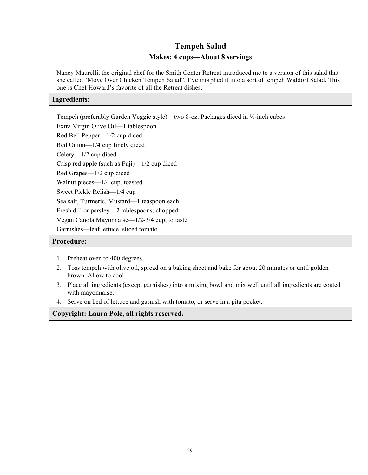# **Tempeh Salad**

## **Makes: 4 cups—About 8 servings**

Nancy Maurelli, the original chef for the Smith Center Retreat introduced me to a version of this salad that she called "Move Over Chicken Tempeh Salad". I've morphed it into a sort of tempeh Waldorf Salad. This one is Chef Howard's favorite of all the Retreat dishes.

#### **Ingredients:**

Tempeh (preferably Garden Veggie style)—two 8-oz. Packages diced in ½-inch cubes

Extra Virgin Olive Oil—1 tablespoon

Red Bell Pepper—1/2 cup diced

Red Onion—1/4 cup finely diced

Celery—1/2 cup diced

Crisp red apple (such as Fuji)—1/2 cup diced

Red Grapes—1/2 cup diced

Walnut pieces—1/4 cup, toasted

Sweet Pickle Relish—1/4 cup

Sea salt, Turmeric, Mustard—1 teaspoon each

Fresh dill or parsley—2 tablespoons, chopped

Vegan Canola Mayonnaise—1/2-3/4 cup, to taste

Garnishes—leaf lettuce, sliced tomato

#### **Procedure:**

- 1. Preheat oven to 400 degrees.
- 2. Toss tempeh with olive oil, spread on a baking sheet and bake for about 20 minutes or until golden brown. Allow to cool.
- 3. Place all ingredients (except garnishes) into a mixing bowl and mix well until all ingredients are coated with mayonnaise.
- 4. Serve on bed of lettuce and garnish with tomato, or serve in a pita pocket.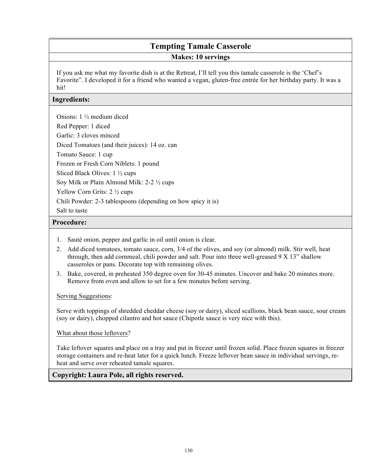# **Tempting Tamale Casserole**

#### **Makes: 10 servings**

If you ask me what my favorite dish is at the Retreat, I'll tell you this tamale casserole is the 'Chef's Favorite". I developed it for a friend who wanted a vegan, gluten-free entrée for her birthday party. It was a hit!

#### **Ingredients:**

Onions: 1 ½ medium diced Red Pepper: 1 diced

Garlic: 3 cloves minced

Diced Tomatoes (and their juices): 14 oz. can

Tomato Sauce: 1 cup

Frozen or Fresh Corn Niblets: 1 pound

Sliced Black Olives: 1 ½ cups

Soy Milk or Plain Almond Milk: 2-2 ½ cups

Yellow Corn Grits: 2 ½ cups

Chili Powder: 2-3 tablespoons (depending on how spicy it is)

Salt to taste

#### **Procedure:**

- 1. Sauté onion, pepper and garlic in oil until onion is clear.
- 2. Add diced tomatoes, tomato sauce, corn, 3/4 of the olives, and soy (or almond) milk. Stir well, heat through, then add cornmeal, chili powder and salt. Pour into three well-greased 9 X 13" shallow casseroles or pans. Decorate top with remaining olives.
- 3. Bake, covered, in preheated 350 degree oven for 30-45 minutes. Uncover and bake 20 minutes more. Remove from oven and allow to set for a few minutes before serving.

#### Serving Suggestions:

Serve with toppings of shredded cheddar cheese (soy or dairy), sliced scallions, black bean sauce, sour cream (soy or dairy), chopped cilantro and hot sauce (Chipotle sauce is very nice with this).

#### What about those leftovers?

Take leftover squares and place on a tray and put in freezer until frozen solid. Place frozen squares in freezer storage containers and re-heat later for a quick lunch. Freeze leftover bean sauce in individual servings, reheat and serve over reheated tamale squares.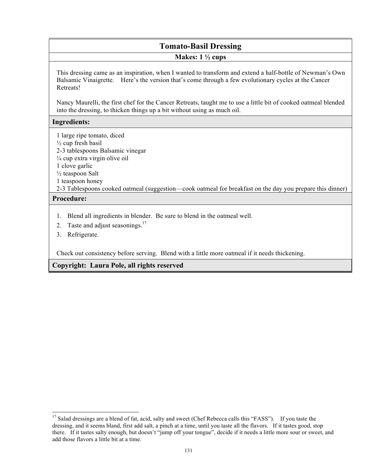# **Tomato-Basil Dressing**

#### **Makes: 1 ½ cups**

This dressing came as an inspiration, when I wanted to transform and extend a half-bottle of Newman's Own Balsamic Vinaigrette. Here's the version that's come through a few evolutionary cycles at the Cancer Retreats!

Nancy Maurelli, the first chef for the Cancer Retreats, taught me to use a little bit of cooked oatmeal blended into the dressing, to thicken things up a bit without using as much oil.

#### **Ingredients:**

1 large ripe tomato, diced

- $\frac{1}{2}$  cup fresh basil
- 2-3 tablespoons Balsamic vinegar
- ¼ cup extra virgin olive oil
- 1 clove garlic
- ½ teaspoon Salt
- 1 teaspoon honey
- 2-3 Tablespoons cooked oatmeal (suggestion—cook oatmeal for breakfast on the day you prepare this dinner)

#### **Procedure:**

 $\overline{a}$ 

- 1. Blend all ingredients in blender. Be sure to blend in the oatmeal well.
- 2. Taste and adjust seasonings.<sup>17</sup>
- 3. Refrigerate.

Check out consistency before serving. Blend with a little more oatmeal if it needs thickening.

<sup>&</sup>lt;sup>17</sup> Salad dressings are a blend of fat, acid, salty and sweet (Chef Rebecca calls this "FASS"). If you taste the dressing, and it seems bland, first add salt, a pinch at a time, until you taste all the flavors. If it tastes good, stop there. If it tastes salty enough, but doesn't "jump off your tongue", decide if it needs a little more sour or sweet, and add those flavors a little bit at a time.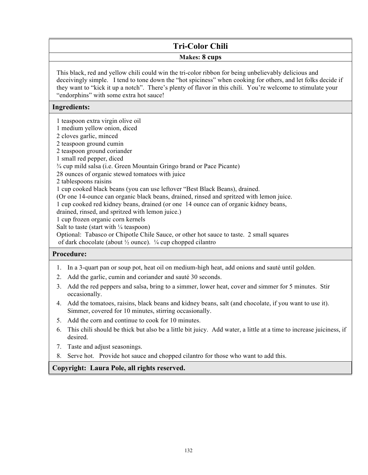# **Tri-Color Chili**

#### **Makes: 8 cups**

This black, red and yellow chili could win the tri-color ribbon for being unbelievably delicious and deceivingly simple. I tend to tone down the "hot spiciness" when cooking for others, and let folks decide if they want to "kick it up a notch". There's plenty of flavor in this chili. You're welcome to stimulate your "endorphins" with some extra hot sauce!

#### **Ingredients:**

1 teaspoon extra virgin olive oil

1 medium yellow onion, diced

2 cloves garlic, minced

2 teaspoon ground cumin

2 teaspoon ground coriander

1 small red pepper, diced

¾ cup mild salsa (i.e. Green Mountain Gringo brand or Pace Picante)

28 ounces of organic stewed tomatoes with juice

2 tablespoons raisins

1 cup cooked black beans (you can use leftover "Best Black Beans), drained.

(Or one 14-ounce can organic black beans, drained, rinsed and spritzed with lemon juice.

1 cup cooked red kidney beans, drained (or one 14 ounce can of organic kidney beans,

drained, rinsed, and spritzed with lemon juice.)

1 cup frozen organic corn kernels

Salt to taste (start with  $\frac{1}{4}$  teaspoon)

Optional: Tabasco or Chipotle Chile Sauce, or other hot sauce to taste. 2 small squares of dark chocolate (about  $\frac{1}{2}$  ounce).  $\frac{1}{4}$  cup chopped cilantro

#### **Procedure:**

- 1. In a 3-quart pan or soup pot, heat oil on medium-high heat, add onions and sauté until golden.
- 2. Add the garlic, cumin and coriander and sauté 30 seconds.
- 3. Add the red peppers and salsa, bring to a simmer, lower heat, cover and simmer for 5 minutes. Stir occasionally.
- 4. Add the tomatoes, raisins, black beans and kidney beans, salt (and chocolate, if you want to use it). Simmer, covered for 10 minutes, stirring occasionally.
- 5. Add the corn and continue to cook for 10 minutes.
- 6. This chili should be thick but also be a little bit juicy. Add water, a little at a time to increase juiciness, if desired.
- 7. Taste and adjust seasonings.
- 8. Serve hot. Provide hot sauce and chopped cilantro for those who want to add this.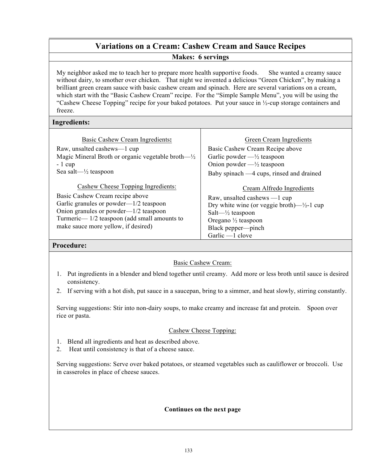# **Variations on a Cream: Cashew Cream and Sauce Recipes**

#### **Makes: 6 servings**

My neighbor asked me to teach her to prepare more health supportive foods. She wanted a creamy sauce without dairy, to smother over chicken. That night we invented a delicious "Green Chicken", by making a brilliant green cream sauce with basic cashew cream and spinach. Here are several variations on a cream, which start with the "Basic Cashew Cream" recipe. For the "Simple Sample Menu", you will be using the "Cashew Cheese Topping" recipe for your baked potatoes. Put your sauce in ½-cup storage containers and freeze.

#### **Ingredients:**

| Basic Cashew Cream Ingredients:                               |
|---------------------------------------------------------------|
| Raw, unsalted cashews—1 cup                                   |
| Magic Mineral Broth or organic vegetable broth— $\frac{1}{2}$ |
| $-1$ cup                                                      |
| Sea salt— $\frac{1}{2}$ teaspoon                              |

Cashew Cheese Topping Ingredients: Basic Cashew Cream recipe above Garlic granules or powder—1/2 teaspoon Onion granules or powder—1/2 teaspoon Turmeric— 1/2 teaspoon (add small amounts to make sauce more yellow, if desired)

#### Green Cream Ingredients

Basic Cashew Cream Recipe above Garlic powder  $-\frac{1}{2}$  teaspoon Onion powder  $-\frac{1}{2}$  teaspoon Baby spinach —4 cups, rinsed and drained

#### Cream Alfredo Ingredients

Raw, unsalted cashews —1 cup Dry white wine (or veggie broth)— $\frac{1}{2}$ -1 cup Salt—½ teaspoon Oregano ½ teaspoon Black pepper—pinch Garlic —1 clove

#### **Procedure:**

#### Basic Cashew Cream:

- 1. Put ingredients in a blender and blend together until creamy. Add more or less broth until sauce is desired consistency.
- 2. If serving with a hot dish, put sauce in a saucepan, bring to a simmer, and heat slowly, stirring constantly.

Serving suggestions: Stir into non-dairy soups, to make creamy and increase fat and protein. Spoon over rice or pasta.

#### Cashew Cheese Topping:

- 1. Blend all ingredients and heat as described above.
- 2. Heat until consistency is that of a cheese sauce.

Serving suggestions: Serve over baked potatoes, or steamed vegetables such as cauliflower or broccoli. Use in casseroles in place of cheese sauces.

#### **Continues on the next page**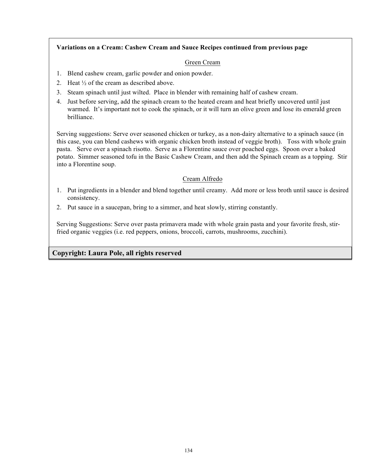#### **Variations on a Cream: Cashew Cream and Sauce Recipes continued from previous page**

#### Green Cream

- 1. Blend cashew cream, garlic powder and onion powder.
- 2. Heat ½ of the cream as described above.
- 3. Steam spinach until just wilted. Place in blender with remaining half of cashew cream.
- 4. Just before serving, add the spinach cream to the heated cream and heat briefly uncovered until just warmed. It's important not to cook the spinach, or it will turn an olive green and lose its emerald green brilliance.

Serving suggestions: Serve over seasoned chicken or turkey, as a non-dairy alternative to a spinach sauce (in this case, you can blend cashews with organic chicken broth instead of veggie broth). Toss with whole grain pasta. Serve over a spinach risotto. Serve as a Florentine sauce over poached eggs. Spoon over a baked potato. Simmer seasoned tofu in the Basic Cashew Cream, and then add the Spinach cream as a topping. Stir into a Florentine soup.

#### Cream Alfredo

- 1. Put ingredients in a blender and blend together until creamy. Add more or less broth until sauce is desired consistency.
- 2. Put sauce in a saucepan, bring to a simmer, and heat slowly, stirring constantly.

Serving Suggestions: Serve over pasta primavera made with whole grain pasta and your favorite fresh, stirfried organic veggies (i.e. red peppers, onions, broccoli, carrots, mushrooms, zucchini).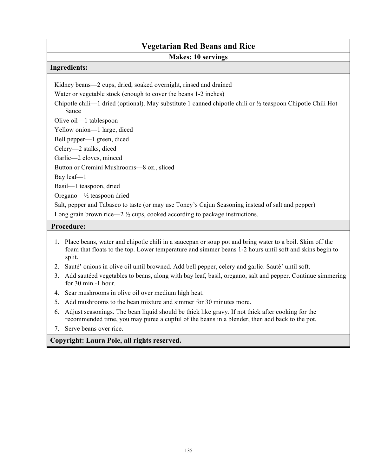# **Vegetarian Red Beans and Rice**

#### **Makes: 10 servings**

#### **Ingredients:**

Kidney beans—2 cups, dried, soaked overnight, rinsed and drained

Water or vegetable stock (enough to cover the beans 1-2 inches)

Chipotle chili—1 dried (optional). May substitute 1 canned chipotle chili or ½ teaspoon Chipotle Chili Hot Sauce

Olive oil—1 tablespoon

Yellow onion—1 large, diced

Bell pepper—1 green, diced

Celery—2 stalks, diced

Garlic—2 cloves, minced

Button or Cremini Mushrooms—8 oz., sliced

Bay leaf—1

Basil—1 teaspoon, dried

Oregano—½ teaspoon dried

Salt, pepper and Tabasco to taste (or may use Toney's Cajun Seasoning instead of salt and pepper) Long grain brown rice—2  $\frac{1}{2}$  cups, cooked according to package instructions.

#### **Procedure:**

- 1. Place beans, water and chipotle chili in a saucepan or soup pot and bring water to a boil. Skim off the foam that floats to the top. Lower temperature and simmer beans 1-2 hours until soft and skins begin to split.
- 2. Sauté' onions in olive oil until browned. Add bell pepper, celery and garlic. Sauté' until soft.
- 3. Add sautéed vegetables to beans, along with bay leaf, basil, oregano, salt and pepper. Continue simmering for 30 min.-1 hour.
- 4. Sear mushrooms in olive oil over medium high heat.
- 5. Add mushrooms to the bean mixture and simmer for 30 minutes more.
- 6. Adjust seasonings. The bean liquid should be thick like gravy. If not thick after cooking for the recommended time, you may puree a cupful of the beans in a blender, then add back to the pot.
- 7. Serve beans over rice.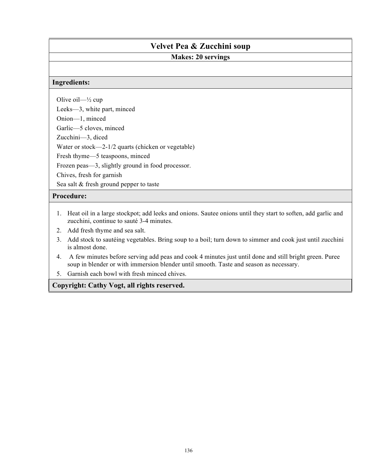# **Velvet Pea & Zucchini soup**

# **Makes: 20 servings**

#### **Ingredients:**

Olive oil— $\frac{1}{2}$  cup

Leeks—3, white part, minced

Onion—1, minced

Garlic—5 cloves, minced

Zucchini—3, diced

Water or stock—2-1/2 quarts (chicken or vegetable)

Fresh thyme—5 teaspoons, minced

Frozen peas—3, slightly ground in food processor.

Chives, fresh for garnish

Sea salt & fresh ground pepper to taste

#### **Procedure:**

- 1. Heat oil in a large stockpot; add leeks and onions. Sautee onions until they start to soften, add garlic and zucchini, continue to sauté 3-4 minutes.
- 2. Add fresh thyme and sea salt.
- 3. Add stock to sautéing vegetables. Bring soup to a boil; turn down to simmer and cook just until zucchini is almost done.
- 4. A few minutes before serving add peas and cook 4 minutes just until done and still bright green. Puree soup in blender or with immersion blender until smooth. Taste and season as necessary.
- 5. Garnish each bowl with fresh minced chives.

**Copyright: Cathy Vogt, all rights reserved.**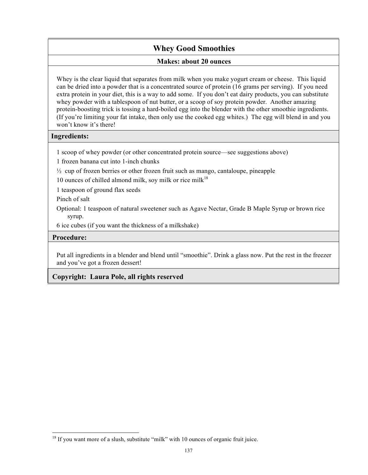## **Whey Good Smoothies**

#### **Makes: about 20 ounces**

Whey is the clear liquid that separates from milk when you make yogurt cream or cheese. This liquid can be dried into a powder that is a concentrated source of protein (16 grams per serving). If you need extra protein in your diet, this is a way to add some. If you don't eat dairy products, you can substitute whey powder with a tablespoon of nut butter, or a scoop of soy protein powder. Another amazing protein-boosting trick is tossing a hard-boiled egg into the blender with the other smoothie ingredients. (If you're limiting your fat intake, then only use the cooked egg whites.) The egg will blend in and you won't know it's there!

#### **Ingredients:**

- 1 scoop of whey powder (or other concentrated protein source—see suggestions above)
- 1 frozen banana cut into 1-inch chunks
- ½ cup of frozen berries or other frozen fruit such as mango, cantaloupe, pineapple
- 10 ounces of chilled almond milk, soy milk or rice milk $18$
- 1 teaspoon of ground flax seeds
- Pinch of salt
- Optional: 1 teaspoon of natural sweetener such as Agave Nectar, Grade B Maple Syrup or brown rice syrup.
- 6 ice cubes (if you want the thickness of a milkshake)

#### **Procedure:**

l

Put all ingredients in a blender and blend until "smoothie". Drink a glass now. Put the rest in the freezer and you've got a frozen dessert!

 $18$  If you want more of a slush, substitute "milk" with 10 ounces of organic fruit juice.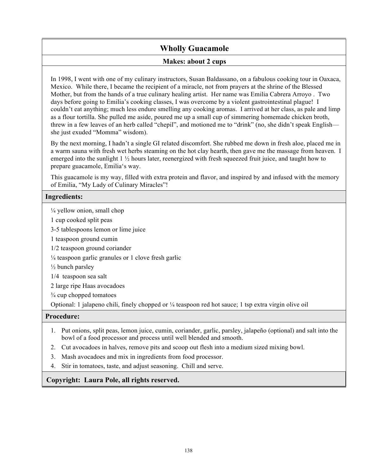# **Wholly Guacamole**

#### **Makes: about 2 cups**

In 1998, I went with one of my culinary instructors, Susan Baldassano, on a fabulous cooking tour in Oaxaca, Mexico. While there, I became the recipient of a miracle, not from prayers at the shrine of the Blessed Mother, but from the hands of a true culinary healing artist. Her name was Emilia Cabrera Arroyo . Two days before going to Emilia's cooking classes, I was overcome by a violent gastrointestinal plague! I couldn't eat anything; much less endure smelling any cooking aromas. I arrived at her class, as pale and limp as a flour tortilla. She pulled me aside, poured me up a small cup of simmering homemade chicken broth, threw in a few leaves of an herb called "chepil", and motioned me to "drink" (no, she didn't speak English she just exuded "Momma" wisdom).

By the next morning, I hadn't a single GI related discomfort. She rubbed me down in fresh aloe, placed me in a warm sauna with fresh wet herbs steaming on the hot clay hearth, then gave me the massage from heaven. I emerged into the sunlight 1 ½ hours later, reenergized with fresh squeezed fruit juice, and taught how to prepare guacamole, Emilia's way.

This guacamole is my way, filled with extra protein and flavor, and inspired by and infused with the memory of Emilia, "My Lady of Culinary Miracles"!

#### **Ingredients:**

 $\frac{1}{4}$  yellow onion, small chop

1 cup cooked split peas

3-5 tablespoons lemon or lime juice

1 teaspoon ground cumin

1/2 teaspoon ground coriander

 $\frac{1}{4}$  teaspoon garlic granules or 1 clove fresh garlic

½ bunch parsley

1/4 teaspoon sea salt

2 large ripe Haas avocadoes

 $\frac{3}{4}$  cup chopped tomatoes

Optional: 1 jalapeno chili, finely chopped or ¼ teaspoon red hot sauce; 1 tsp extra virgin olive oil

#### **Procedure:**

- 1. Put onions, split peas, lemon juice, cumin, coriander, garlic, parsley, jalapeño (optional) and salt into the bowl of a food processor and process until well blended and smooth.
- 2. Cut avocadoes in halves, remove pits and scoop out flesh into a medium sized mixing bowl.
- 3. Mash avocadoes and mix in ingredients from food processor.
- 4. Stir in tomatoes, taste, and adjust seasoning. Chill and serve.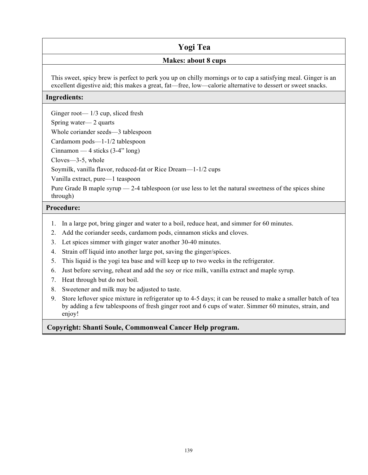# **Yogi Tea**

#### **Makes: about 8 cups**

This sweet, spicy brew is perfect to perk you up on chilly mornings or to cap a satisfying meal. Ginger is an excellent digestive aid; this makes a great, fat—free, low—calorie alternative to dessert or sweet snacks.

#### **Ingredients:**

Ginger root— 1/3 cup, sliced fresh

Spring water— 2 quarts

Whole coriander seeds—3 tablespoon

Cardamom pods—1-1/2 tablespoon

Cinnamon — 4 sticks (3-4" long)

Cloves—3-5, whole

Soymilk, vanilla flavor, reduced-fat or Rice Dream—1-1/2 cups

Vanilla extract, pure—1 teaspoon

Pure Grade B maple syrup — 2-4 tablespoon (or use less to let the natural sweetness of the spices shine through)

#### **Procedure:**

- 1. In a large pot, bring ginger and water to a boil, reduce heat, and simmer for 60 minutes.
- 2. Add the coriander seeds, cardamom pods, cinnamon sticks and cloves.
- 3. Let spices simmer with ginger water another 30-40 minutes.
- 4. Strain off liquid into another large pot, saving the ginger/spices.
- 5. This liquid is the yogi tea base and will keep up to two weeks in the refrigerator.
- 6. Just before serving, reheat and add the soy or rice milk, vanilla extract and maple syrup.
- 7. Heat through but do not boil.
- 8. Sweetener and milk may be adjusted to taste.
- 9. Store leftover spice mixture in refrigerator up to 4-5 days; it can be reused to make a smaller batch of tea by adding a few tablespoons of fresh ginger root and 6 cups of water. Simmer 60 minutes, strain, and enjoy!

#### **Copyright: Shanti Soule, Commonweal Cancer Help program.**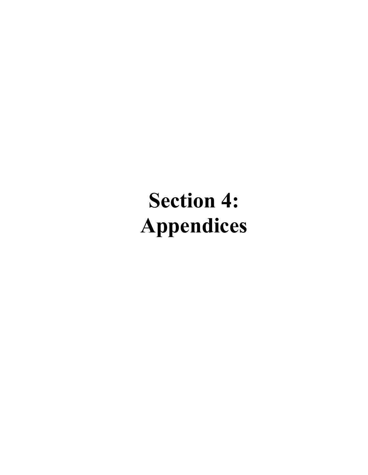# **Section 4: Appendices**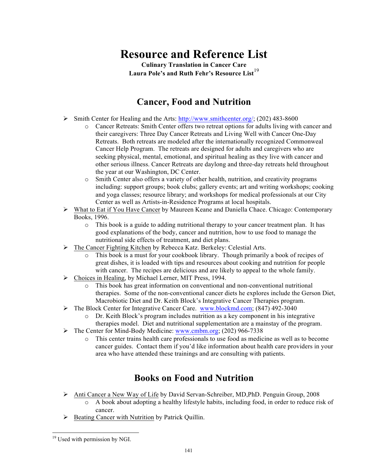# **Resource and Reference List**

**Culinary Translation in Cancer Care Laura Pole's and Ruth Fehr's Resource List**<sup>19</sup>

# **Cancer, Food and Nutrition**

- $\triangleright$  Smith Center for Healing and the Arts: http://www.smithcenter.org/; (202) 483-8600
	- o Cancer Retreats: Smith Center offers two retreat options for adults living with cancer and their caregivers: Three Day Cancer Retreats and Living Well with Cancer One-Day Retreats. Both retreats are modeled after the internationally recognized Commonweal Cancer Help Program. The retreats are designed for adults and caregivers who are seeking physical, mental, emotional, and spiritual healing as they live with cancer and other serious illness. Cancer Retreats are daylong and three-day retreats held throughout the year at our Washington, DC Center.
	- o Smith Center also offers a variety of other health, nutrition, and creativity programs including: support groups; book clubs; gallery events; art and writing workshops; cooking and yoga classes; resource library; and workshops for medical professionals at our City Center as well as Artists-in-Residence Programs at local hospitals.
- $\triangleright$  What to Eat if You Have Cancer by Maureen Keane and Daniella Chace. Chicago: Contemporary Books, 1996.
	- o This book is a guide to adding nutritional therapy to your cancer treatment plan. It has good explanations of the body, cancer and nutrition, how to use food to manage the nutritional side effects of treatment, and diet plans.
- Ø The Cancer Fighting Kitchen by Rebecca Katz. Berkeley: Celestial Arts.
	- o This book is a must for your cookbook library. Though primarily a book of recipes of great dishes, it is loaded with tips and resources about cooking and nutrition for people with cancer. The recipes are delicious and are likely to appeal to the whole family.
- $\triangleright$  Choices in Healing, by Michael Lerner, MIT Press, 1994.
	- o This book has great information on conventional and non-conventional nutritional therapies. Some of the non-conventional cancer diets he explores include the Gerson Diet, Macrobiotic Diet and Dr. Keith Block's Integrative Cancer Therapies program.
- $\triangleright$  The Block Center for Integrative Cancer Care. www.blockmd.com; (847) 492-3040
	- o Dr. Keith Block's program includes nutrition as a key component in his integrative therapies model. Diet and nutritional supplementation are a mainstay of the program.
- Ø The Center for Mind-Body Medicine: www.cmbm.org; (202) 966-7338
	- o This center trains health care professionals to use food as medicine as well as to become cancer guides. Contact them if you'd like information about health care providers in your area who have attended these trainings and are consulting with patients.

# **Books on Food and Nutrition**

- Ø Anti Cancer a New Way of Life by David Servan-Schreiber, MD,PhD. Penguin Group, 2008 o A book about adopting a healthy lifestyle habits, including food, in order to reduce risk of cancer.
- Ø Beating Cancer with Nutrition by Patrick Quillin.

l

<sup>&</sup>lt;sup>19</sup> Used with permission by NGI.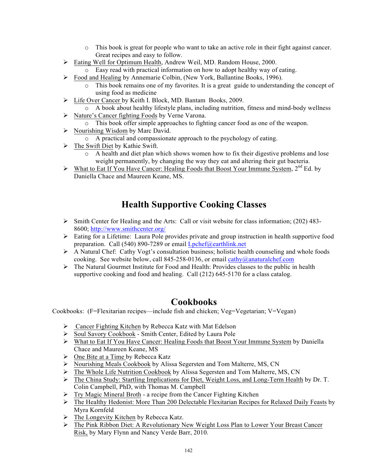- o This book is great for people who want to take an active role in their fight against cancer. Great recipes and easy to follow.
- Ø Eating Well for Optimum Health, Andrew Weil, MD. Random House, 2000.
	- o Easy read with practical information on how to adopt healthy way of eating.
- Ø Food and Healing by Annemarie Colbin, (New York, Ballantine Books, 1996).
	- o This book remains one of my favorites. It is a great guide to understanding the concept of using food as medicine
- Ø Life Over Cancer by Keith I. Block, MD. Bantam Books, 2009.
- o A book about healthy lifestyle plans, including nutrition, fitness and mind-body wellness
- Ø Nature's Cancer fighting Foods by Verne Varona.
	- o This book offer simple approaches to fighting cancer food as one of the weapon.
- $\triangleright$  Nourishing Wisdom by Marc David.
	- o A practical and compassionate approach to the psychology of eating.
- Ø The Swift Diet by Kathie Swift.
	- o A health and diet plan which shows women how to fix their digestive problems and lose weight permanently, by changing the way they eat and altering their gut bacteria.
- $\triangleright$  What to Eat If You Have Cancer: Healing Foods that Boost Your Immune System, 2<sup>nd</sup> Ed. by Daniella Chace and Maureen Keane, MS.

# **Health Supportive Cooking Classes**

- Ø Smith Center for Healing and the Arts: Call or visit website for class information; (202) 483- 8600; http://www.smithcenter.org/
- $\triangleright$  Eating for a Lifetime: Laura Pole provides private and group instruction in health supportive food preparation. Call (540) 890-7289 or email Lpchef@earthlink.net
- $\triangleright$  A Natural Chef: Cathy Vogt's consultation business; holistic health counseling and whole foods cooking. See website below, call 845-258-0136, or email cathy@anaturalchef.com
- $\triangleright$  The Natural Gourmet Institute for Food and Health: Provides classes to the public in health supportive cooking and food and healing. Call (212) 645-5170 for a class catalog.

# **Cookbooks**

Cookbooks: (F=Flexitarian recipes—include fish and chicken; Veg=Vegetarian; V=Vegan)

- Ø Cancer Fighting Kitchen by Rebecca Katz with Mat Edelson
- Ø Soul Savory Cookbook Smith Center, Edited by Laura Pole
- Ø What to Eat If You Have Cancer: Healing Foods that Boost Your Immune System by Daniella Chace and Maureen Keane, MS
- $\triangleright$  One Bite at a Time by Rebecca Katz
- Ø Nourishing Meals Cookbook by Alissa Segersten and Tom Malterre, MS, CN
- $\triangleright$  The Whole Life Nutrition Cookbook by Alissa Segersten and Tom Malterre, MS, CN
- Ø The China Study: Startling Implications for Diet, Weight Loss, and Long-Term Health by Dr. T. Colin Campbell, PhD, with Thomas M. Campbell
- $\triangleright$  Try Magic Mineral Broth a recipe from the Cancer Fighting Kitchen
- $\triangleright$  The Healthy Hedonist: More Than 200 Delectable Flexitarian Recipes for Relaxed Daily Feasts by Myra Kornfeld
- $\triangleright$  The Longevity Kitchen by Rebecca Katz.
- Ø The Pink Ribbon Diet: A Revolutionary New Weight Loss Plan to Lower Your Breast Cancer Risk, by Mary Flynn and Nancy Verde Barr, 2010.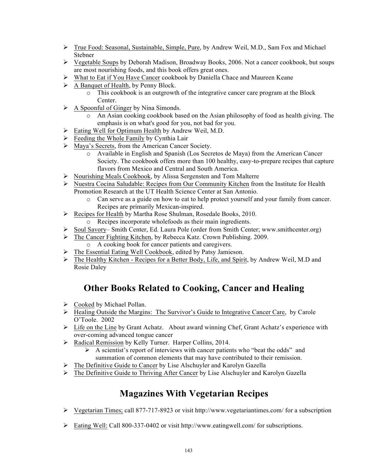- Ø True Food: Seasonal, Sustainable, Simple, Pure, by Andrew Weil, M.D., Sam Fox and Michael Stebner
- $\triangleright$  Vegetable Soups by Deborah Madison, Broadway Books, 2006. Not a cancer cookbook, but soups are most nourishing foods, and this book offers great ones.
- $\triangleright$  What to Eat if You Have Cancer cookbook by Daniella Chace and Maureen Keane
- $\triangleright$  A Banquet of Health, by Penny Block.
	- $\circ$  This cookbook is an outgrowth of the integrative cancer care program at the Block Center.
- $\triangleright$  A Spoonful of Ginger by Nina Simonds.
	- o An Asian cooking cookbook based on the Asian philosophy of food as health giving. The emphasis is on what's good for you, not bad for you.
- Ø Eating Well for Optimum Health by Andrew Weil, M.D.
- $\triangleright$  Feeding the Whole Family by Cynthia Lair
- Ø Maya's Secrets, from the American Cancer Society.
	- o Available in English and Spanish (Los Secretos de Maya) from the American Cancer Society. The cookbook offers more than 100 healthy, easy-to-prepare recipes that capture flavors from Mexico and Central and South America.
- Ø Nourishing Meals Cookbook, by Alissa Sergensten and Tom Malterre
- $\triangleright$  Nuestra Cocina Saludable: Recipes from Our Community Kitchen from the Institute for Health Promotion Research at the UT Health Science Center at San Antonio.
	- o Can serve as a guide on how to eat to help protect yourself and your family from cancer. Recipes are primarily Mexican-inspired.
- Ø Recipes for Health by Martha Rose Shulman, Rosedale Books, 2010.
	- o Recipes incorporate wholefoods as their main ingredients.
- Ø Soul Savory– Smith Center, Ed. Laura Pole (order from Smith Center; www.smithcenter.org)
- Ø The Cancer Fighting Kitchen, by Rebecca Katz. Crown Publishing. 2009. o A cooking book for cancer patients and caregivers.
- $\triangleright$  The Essential Eating Well Cookbook, edited by Patsy Jamieson.
- Ø The Healthy Kitchen Recipes for a Better Body, Life, and Spirit, by Andrew Weil, M.D and Rosie Daley

# **Other Books Related to Cooking, Cancer and Healing**

- $\triangleright$  Cooked by Michael Pollan.
- Ø Healing Outside the Margins: The Survivor's Guide to Integrative Cancer Care, by Carole O'Toole. 2002
- $\triangleright$  Life on the Line by Grant Achatz. About award winning Chef, Grant Achatz's experience with over-coming advanced tongue cancer
- Ø Radical Remission by Kelly Turner. Harper Collins, 2014.
	- $\triangleright$  A scientist's report of interviews with cancer patients who "beat the odds" and summation of common elements that may have contributed to their remission.
- $\triangleright$  The Definitive Guide to Cancer by Lise Alschuyler and Karolyn Gazella
- Ø The Definitive Guide to Thriving After Cancer by Lise Alschuyler and Karolyn Gazella

# **Magazines With Vegetarian Recipes**

- $\triangleright$  Vegetarian Times; call 877-717-8923 or visit http://www.vegetariantimes.com/ for a subscription
- Ø Eating Well: Call 800-337-0402 or visit http://www.eatingwell.com/ for subscriptions.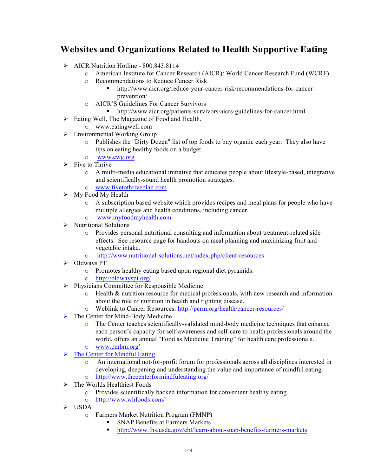# **Websites and Organizations Related to Health Supportive Eating**

- $\triangleright$  AICR Nutrition Hotline 800.843.8114
	- o American Institute for Cancer Research (AICR)/ World Cancer Research Fund (WCRF)
	- o Recommendations to Reduce Cancer Risk
		- § http://www.aicr.org/reduce-your-cancer-risk/recommendations-for-cancerprevention/
	- o AICR'S Guidelines For Cancer Survivors
		- http://www.aicr.org/patients-survivors/aicrs-guidelines-for-cancer.html
- $\triangleright$  Eating Well, The Magazine of Food and Health.
- o www.eatingwell.com
- $\triangleright$  Environmental Working Group
	- o Publishes the "Dirty Dozen" list of top foods to buy organic each year. They also have tips on eating healthy foods on a budget.
	- o www.ewg.org
- $\triangleright$  Five to Thrive
	- o A multi-media educational initiative that educates people about lifestyle-based, integrative and scientifically-sound health promotion strategies.
	- o www.fivetothriveplan.com
- $\triangleright$  My Food My Health
	- o A subscription based website which provides recipes and meal plans for people who have multiple allergies and health conditions, including cancer.
	- o www.myfoodmyhealth.com
- $\triangleright$  Nutritional Solutions
	- o Provides personal nutritional consulting and information about treatment-related side effects. See resource page for handouts on meal planning and maximizing fruit and vegetable intake.
	- o http://www.nutritional-solutions.net/index.php/client-resources
- $\triangleright$  Oldways PT
	- o Promotes healthy eating based upon regional diet pyramids.
	- o http://oldwayspt.org/
- $\triangleright$  Physicians Committee for Responsible Medicine
	- o Health & nutrition resource for medical professionals, with new research and information about the role of nutrition in health and fighting disease.
	- o Weblink to Cancer Resources: http://pcrm.org/health/cancer-resources/
- $\triangleright$  The Center for Mind-Body Medicine
	- $\circ$  The Center teaches scientifically-validated mind-body medicine techniques that enhance each person's capacity for self-awareness and self-care to health professionals around the world, offers an annual "Food as Medicine Training" for health care professionals. o www.cmbm.org'
	-
- $\triangleright$  The Center for Mindful Eating
	- o An international not-for-profit forum for professionals across all disciplines interested in developing, deepening and understanding the value and importance of mindful eating. o http://www.thecenterformindfuleating.org/
- $\triangleright$  The Worlds Healthiest Foods
	- o Provides scientifically backed information for convenient healthy eating.
	- o http://www.whfoods.com/
- $\triangleright$  USDA
	- o Farmers Market Nutrition Program (FMNP)
		- § SNAP Benefits at Farmers Markets
		- § http://www.fns.usda.gov/ebt/learn-about-snap-benefits-farmers-markets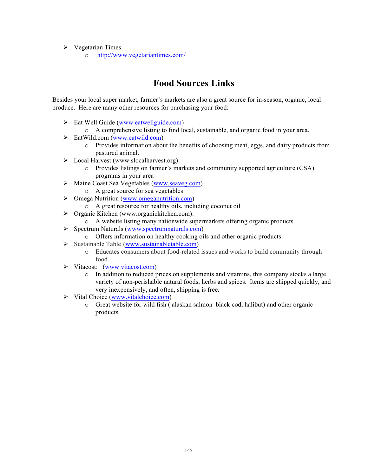- $\triangleright$  Vegetarian Times
	- o http://www.vegetariantimes.com/

# **Food Sources Links**

Besides your local super market, farmer's markets are also a great source for in-season, organic, local produce. Here are many other resources for purchasing your food:

- $\triangleright$  Eat Well Guide (www.eatwellguide.com)
	- o A comprehensive listing to find local, sustainable, and organic food in your area.
- $\triangleright$  EatWild.com (www.eatwild.com)
	- o Provides information about the benefits of choosing meat, eggs, and dairy products from pastured animal.
- Ø Local Harvest (www.slocalharvest.org):
	- o Provides listings on farmer's markets and community supported agriculture (CSA) programs in your area
- Ø Maine Coast Sea Vegetables (www.seaveg.com)
	- o A great source for sea vegetables
- $\triangleright$  Omega Nutrition (www.omeganutrition.com)
	- o A great resource for healthy oils, including coconut oil
- $\triangleright$  Organic Kitchen (www.organickitchen.com):
	- o A website listing many nationwide supermarkets offering organic products
- Ø Spectrum Naturals (www.spectrumnaturals.com)
- o Offers information on healthy cooking oils and other organic products
- $\triangleright$  Sustainable Table (www.sustainabletable.com)
	- o Educates consumers about food-related issues and works to build community through food.
- Ø Vitacost: (www.vitacost.com)
	- o In addition to reduced prices on supplements and vitamins, this company stocks a large variety of non-perishable natural foods, herbs and spices. Items are shipped quickly, and very inexpensively, and often, shipping is free.
- $\triangleright$  Vital Choice (www.vitalchoice.com)
	- o Great website for wild fish ( alaskan salmon black cod, halibut) and other organic products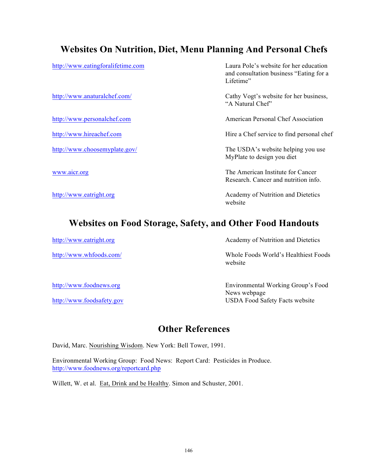## **Websites On Nutrition, Diet, Menu Planning And Personal Chefs**

http://www.eatingforalifetime.com Laura Pole's website for her education and consultation business "Eating for a Lifetime"

http://www.anaturalchef.com/ Cathy Vogt's website for her business, "A Natural Chef"

http://www.personalchef.com American Personal Chef Association

http://www.hireachef.com Hire a Chef service to find personal chef

http://www.choosemyplate.gov/ The USDA's website helping you use MyPlate to design you diet

www.aicr.org **The American Institute for Cancer** Research. Cancer and nutrition info.

http://www.eatright.org Academy of Nutrition and Dietetics website

### **Websites on Food Storage, Safety, and Other Food Handouts**

http://www.eatright.org Academy of Nutrition and Dietetics

http://www.whfoods.com/ Whole Foods World's Healthiest Foods website

http://www.foodnews.org Environmental Working Group's Food News webpage http://www.foodsafety.gov USDA Food Safety Facts website

### **Other References**

David, Marc. Nourishing Wisdom. New York: Bell Tower, 1991.

Environmental Working Group: Food News: Report Card: Pesticides in Produce. http://www.foodnews.org/reportcard.php

Willett, W. et al. Eat, Drink and be Healthy. Simon and Schuster, 2001.